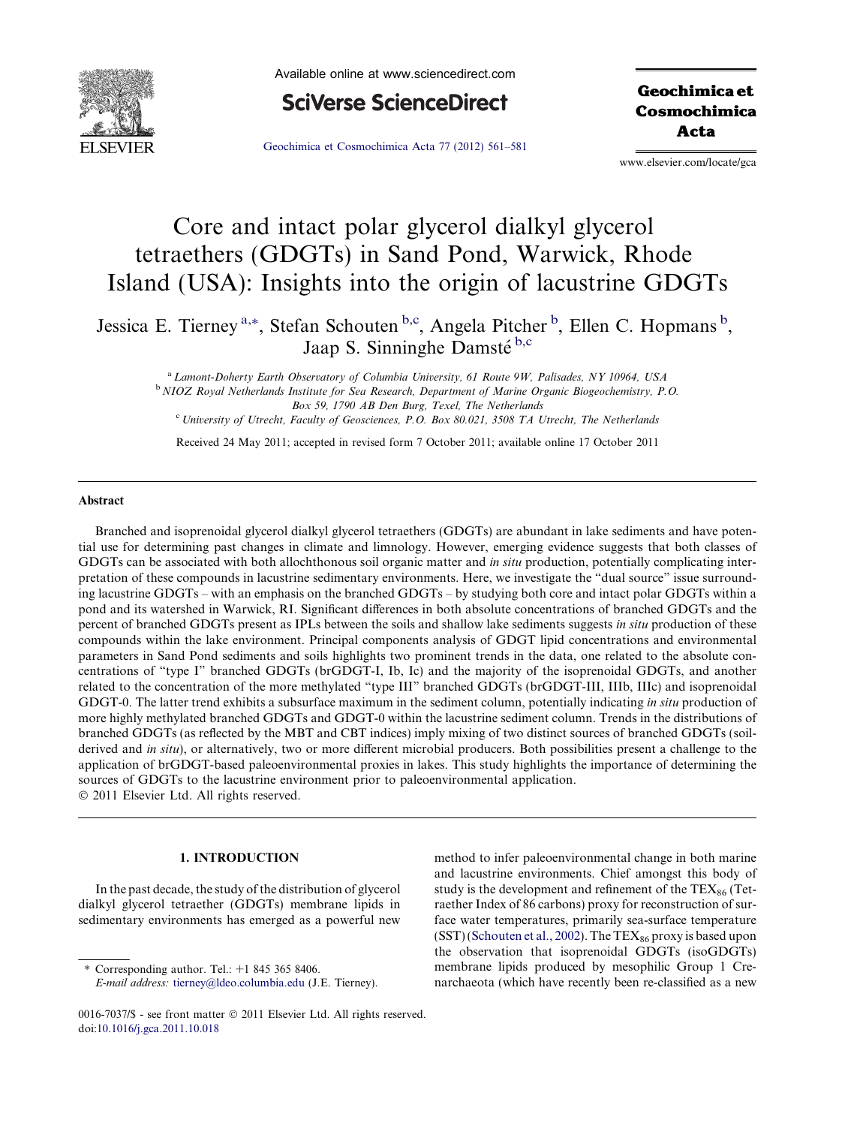

Available online at www.sciencedirect.com



[Geochimica et Cosmochimica Acta 77 \(2012\) 561–581](http://dx.doi.org/016/j.gca.2011.10.018)

Geochimica et Cosmochimica Acta

www.elsevier.com/locate/gca

# Core and intact polar glycerol dialkyl glycerol tetraethers (GDGTs) in Sand Pond, Warwick, Rhode Island (USA): Insights into the origin of lacustrine GDGTs

Jessica E. Tierney<sup>a,\*</sup>, Stefan Schouten<sup>b,c</sup>, Angela Pitcher<sup>b</sup>, Ellen C. Hopmans<sup>b</sup>, Jaap S. Sinninghe Damsté b,c

<sup>a</sup> Lamont-Doherty Earth Observatory of Columbia University, 61 Route 9W, Palisades, NY 10964, USA <sup>b</sup> NIOZ Royal Netherlands Institute for Sea Research, Department of Marine Organic Biogeochemistry, P.O. Box 59, 1790 AB Den Burg, Texel, The Netherlands

<sup>c</sup> University of Utrecht, Faculty of Geosciences, P.O. Box 80.021, 3508 TA Utrecht, The Netherlands

Received 24 May 2011; accepted in revised form 7 October 2011; available online 17 October 2011

#### Abstract

Branched and isoprenoidal glycerol dialkyl glycerol tetraethers (GDGTs) are abundant in lake sediments and have potential use for determining past changes in climate and limnology. However, emerging evidence suggests that both classes of GDGTs can be associated with both allochthonous soil organic matter and *in situ* production, potentially complicating interpretation of these compounds in lacustrine sedimentary environments. Here, we investigate the "dual source" issue surrounding lacustrine GDGTs – with an emphasis on the branched GDGTs – by studying both core and intact polar GDGTs within a pond and its watershed in Warwick, RI. Significant differences in both absolute concentrations of branched GDGTs and the percent of branched GDGTs present as IPLs between the soils and shallow lake sediments suggests in situ production of these compounds within the lake environment. Principal components analysis of GDGT lipid concentrations and environmental parameters in Sand Pond sediments and soils highlights two prominent trends in the data, one related to the absolute concentrations of "type I" branched GDGTs (brGDGT-I, Ib, Ic) and the majority of the isoprenoidal GDGTs, and another related to the concentration of the more methylated "type III" branched GDGTs (brGDGT-III, IIIb, IIIc) and isoprenoidal GDGT-0. The latter trend exhibits a subsurface maximum in the sediment column, potentially indicating in situ production of more highly methylated branched GDGTs and GDGT-0 within the lacustrine sediment column. Trends in the distributions of branched GDGTs (as reflected by the MBT and CBT indices) imply mixing of two distinct sources of branched GDGTs (soilderived and in situ), or alternatively, two or more different microbial producers. Both possibilities present a challenge to the application of brGDGT-based paleoenvironmental proxies in lakes. This study highlights the importance of determining the sources of GDGTs to the lacustrine environment prior to paleoenvironmental application.  $© 2011$  Elsevier Ltd. All rights reserved.

#### 1. INTRODUCTION

In the past decade, the study of the distribution of glycerol dialkyl glycerol tetraether (GDGTs) membrane lipids in sedimentary environments has emerged as a powerful new

 $*$  Corresponding author. Tel.:  $+1$  845 365 8406.

method to infer paleoenvironmental change in both marine and lacustrine environments. Chief amongst this body of study is the development and refinement of the  $TEX_{86}$  (Tetraether Index of 86 carbons) proxy for reconstruction of surface water temperatures, primarily sea-surface temperature  $(SST)$  ([Schouten et al., 2002](#page-19-0)). The TEX $_{86}$  proxy is based upon the observation that isoprenoidal GDGTs (isoGDGTs) membrane lipids produced by mesophilic Group 1 Crenarchaeota (which have recently been re-classified as a new

E-mail address: [tierney@ldeo.columbia.edu](mailto:tierney@ldeo.columbia.edu) (J.E. Tierney).

<sup>0016-7037/\$ -</sup> see front matter © 2011 Elsevier Ltd. All rights reserved. doi[:10.1016/j.gca.2011.10.018](http://dx.doi.org/10.1016/j.gca.2011.10.018)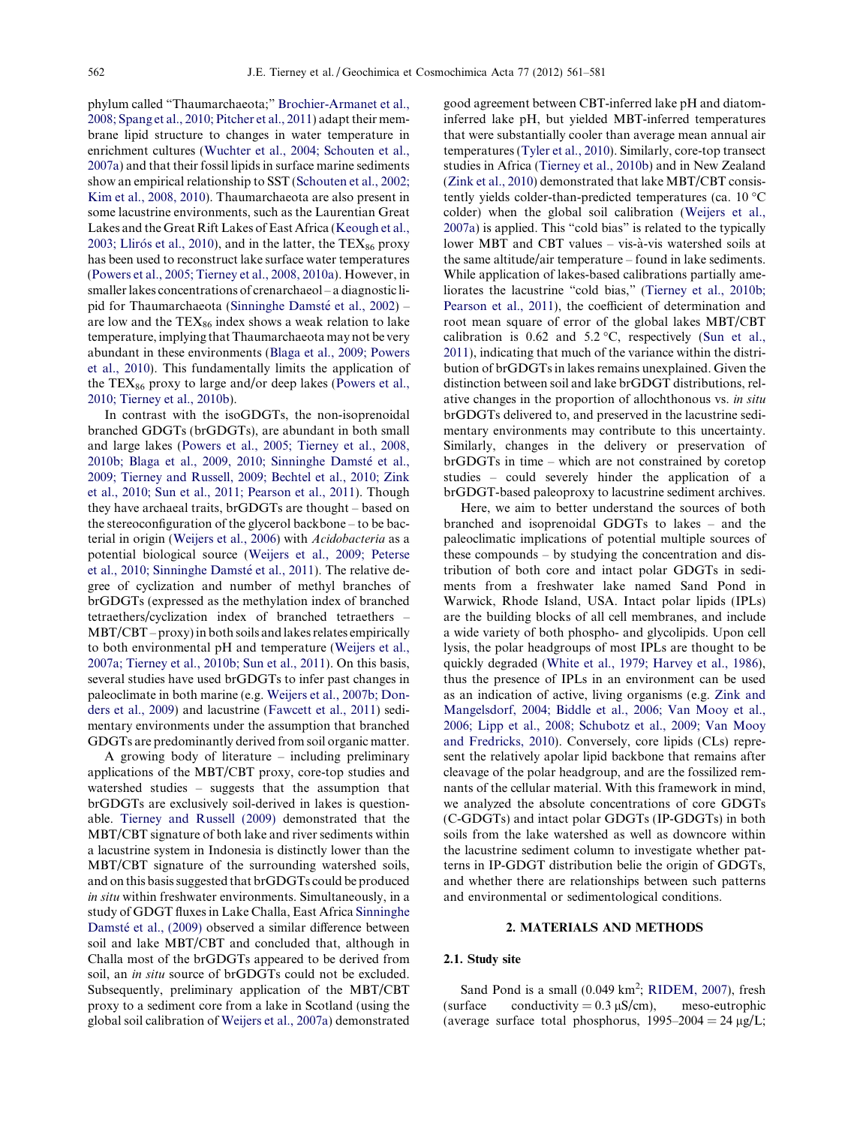phylum called "Thaumarchaeota;" [Brochier-Armanet et al.,](#page-18-0) [2008; Spang et al., 2010; Pitcher et al., 2011](#page-18-0)) adapt their membrane lipid structure to changes in water temperature in enrichment cultures ([Wuchter et al., 2004; Schouten et al.,](#page-20-0) [2007a](#page-20-0)) and that their fossil lipids in surface marine sediments show an empirical relationship to SST [\(Schouten et al., 2002;](#page-19-0) [Kim et al., 2008, 2010\)](#page-19-0). Thaumarchaeota are also present in some lacustrine environments, such as the Laurentian Great Lakes and the Great Rift Lakes of East Africa ([Keough et al.,](#page-18-0) 2003; Llirós et al., 2010), and in the latter, the  $\text{TEX}_{86}$  proxy has been used to reconstruct lake surface water temperatures ([Powers et al., 2005; Tierney et al., 2008, 2010a\)](#page-19-0). However, in smaller lakes concentrations of crenarchaeol – a diagnostic lipid for Thaumarchaeota (Sinninghe Damsté et al., 2002) – are low and the  $TEX_{86}$  index shows a weak relation to lake temperature, implying that Thaumarchaeota may not be very abundant in these environments [\(Blaga et al., 2009; Powers](#page-18-0) [et al., 2010\)](#page-18-0). This fundamentally limits the application of the  $TEX_{86}$  proxy to large and/or deep lakes ([Powers et al.,](#page-19-0) [2010; Tierney et al., 2010b\)](#page-19-0).

In contrast with the isoGDGTs, the non-isoprenoidal branched GDGTs (brGDGTs), are abundant in both small and large lakes [\(Powers et al., 2005; Tierney et al., 2008,](#page-19-0) 2010b; Blaga et al., 2009, 2010; Sinninghe Damsté et al., [2009; Tierney and Russell, 2009; Bechtel et al., 2010; Zink](#page-19-0) [et al., 2010; Sun et al., 2011; Pearson et al., 2011](#page-19-0)). Though they have archaeal traits, brGDGTs are thought – based on the stereoconfiguration of the glycerol backbone – to be bacterial in origin [\(Weijers et al., 2006\)](#page-19-0) with Acidobacteria as a potential biological source [\(Weijers et al., 2009; Peterse](#page-20-0) et al., 2010; Sinninghe Damsté et al., 2011). The relative degree of cyclization and number of methyl branches of brGDGTs (expressed as the methylation index of branched tetraethers/cyclization index of branched tetraethers – MBT/CBT – proxy) in both soils and lakes relates empirically to both environmental pH and temperature [\(Weijers et al.,](#page-20-0) [2007a; Tierney et al., 2010b; Sun et al., 2011\)](#page-20-0). On this basis, several studies have used brGDGTs to infer past changes in paleoclimate in both marine (e.g. [Weijers et al., 2007b; Don](#page-20-0)[ders et al., 2009\)](#page-20-0) and lacustrine [\(Fawcett et al., 2011](#page-18-0)) sedimentary environments under the assumption that branched GDGTs are predominantly derived from soil organic matter.

A growing body of literature – including preliminary applications of the MBT/CBT proxy, core-top studies and watershed studies – suggests that the assumption that brGDGTs are exclusively soil-derived in lakes is questionable. [Tierney and Russell \(2009\)](#page-19-0) demonstrated that the MBT/CBT signature of both lake and river sediments within a lacustrine system in Indonesia is distinctly lower than the MBT/CBT signature of the surrounding watershed soils, and on this basis suggested that brGDGTs could be produced in situ within freshwater environments. Simultaneously, in a study of GDGT fluxes in Lake Challa, East Africa [Sinninghe](#page-19-0) Damsté [et al., \(2009\)](#page-19-0) observed a similar difference between soil and lake MBT/CBT and concluded that, although in Challa most of the brGDGTs appeared to be derived from soil, an *in situ* source of brGDGTs could not be excluded. Subsequently, preliminary application of the MBT/CBT proxy to a sediment core from a lake in Scotland (using the global soil calibration of [Weijers et al., 2007a\)](#page-20-0) demonstrated

good agreement between CBT-inferred lake pH and diatominferred lake pH, but yielded MBT-inferred temperatures that were substantially cooler than average mean annual air temperatures ([Tyler et al., 2010\)](#page-19-0). Similarly, core-top transect studies in Africa [\(Tierney et al., 2010b\)](#page-19-0) and in New Zealand ([Zink et al., 2010](#page-20-0)) demonstrated that lake MBT/CBT consistently yields colder-than-predicted temperatures (ca.  $10^{\circ}$ C colder) when the global soil calibration ([Weijers et al.,](#page-20-0) [2007a](#page-20-0)) is applied. This "cold bias" is related to the typically lower MBT and CBT values – vis-à-vis watershed soils at the same altitude/air temperature – found in lake sediments. While application of lakes-based calibrations partially ameliorates the lacustrine "cold bias," [\(Tierney et al., 2010b;](#page-19-0) [Pearson et al., 2011\)](#page-19-0), the coefficient of determination and root mean square of error of the global lakes MBT/CBT calibration is  $0.62$  and  $5.2$  °C, respectively ([Sun et al.,](#page-19-0) [2011\)](#page-19-0), indicating that much of the variance within the distribution of brGDGTs in lakes remains unexplained. Given the distinction between soil and lake brGDGT distributions, relative changes in the proportion of allochthonous vs. in situ brGDGTs delivered to, and preserved in the lacustrine sedimentary environments may contribute to this uncertainty. Similarly, changes in the delivery or preservation of brGDGTs in time – which are not constrained by coretop studies – could severely hinder the application of a brGDGT-based paleoproxy to lacustrine sediment archives.

Here, we aim to better understand the sources of both branched and isoprenoidal GDGTs to lakes – and the paleoclimatic implications of potential multiple sources of these compounds – by studying the concentration and distribution of both core and intact polar GDGTs in sediments from a freshwater lake named Sand Pond in Warwick, Rhode Island, USA. Intact polar lipids (IPLs) are the building blocks of all cell membranes, and include a wide variety of both phospho- and glycolipids. Upon cell lysis, the polar headgroups of most IPLs are thought to be quickly degraded [\(White et al., 1979; Harvey et al., 1986\)](#page-20-0), thus the presence of IPLs in an environment can be used as an indication of active, living organisms (e.g. [Zink and](#page-20-0) [Mangelsdorf, 2004; Biddle et al., 2006; Van Mooy et al.,](#page-20-0) [2006; Lipp et al., 2008; Schubotz et al., 2009; Van Mooy](#page-20-0) [and Fredricks, 2010](#page-20-0)). Conversely, core lipids (CLs) represent the relatively apolar lipid backbone that remains after cleavage of the polar headgroup, and are the fossilized remnants of the cellular material. With this framework in mind, we analyzed the absolute concentrations of core GDGTs (C-GDGTs) and intact polar GDGTs (IP-GDGTs) in both soils from the lake watershed as well as downcore within the lacustrine sediment column to investigate whether patterns in IP-GDGT distribution belie the origin of GDGTs, and whether there are relationships between such patterns and environmental or sedimentological conditions.

#### 2. MATERIALS AND METHODS

#### 2.1. Study site

Sand Pond is a small  $(0.049 \text{ km}^2; \text{RIDEM}, 2007)$ , fresh (surface conductivity =  $0.3 \mu S/cm$ ), meso-eutrophic (average surface total phosphorus,  $1995-2004 = 24 \mu g/L$ ;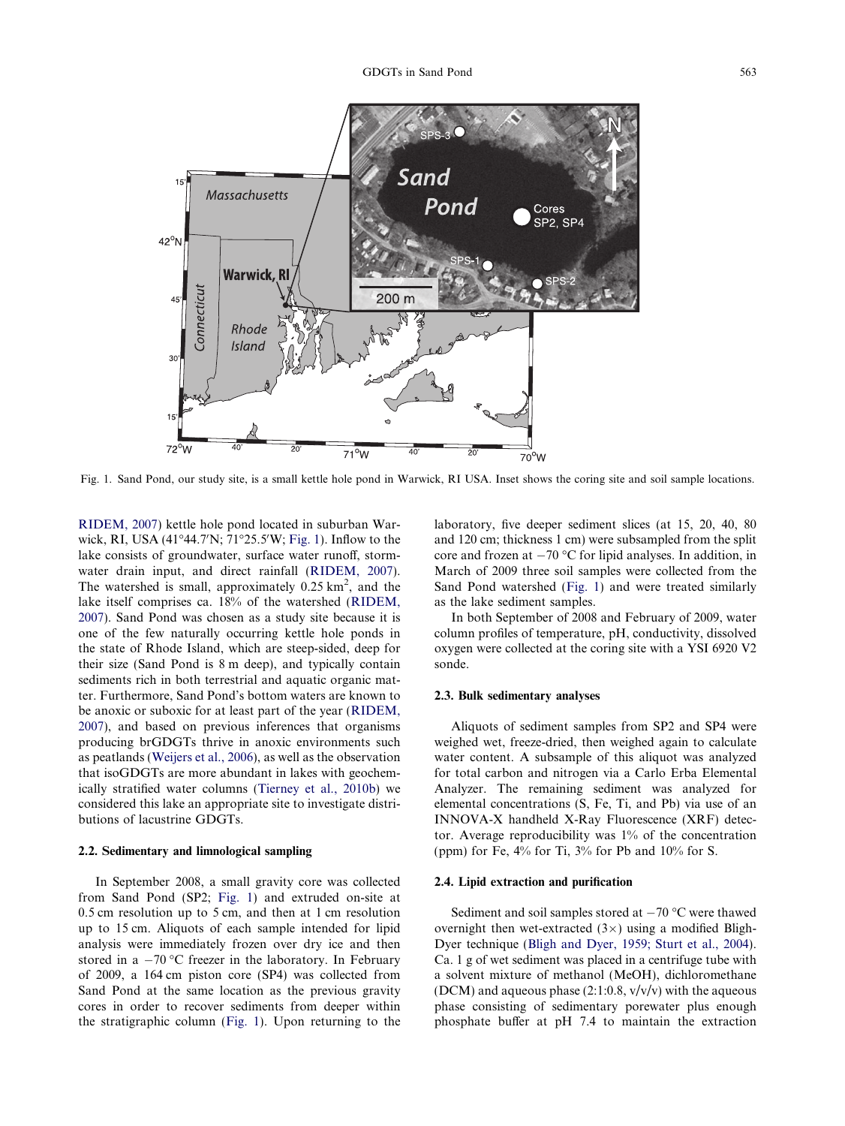<span id="page-2-0"></span>

Fig. 1. Sand Pond, our study site, is a small kettle hole pond in Warwick, RI USA. Inset shows the coring site and soil sample locations.

[RIDEM, 2007](#page-19-0)) kettle hole pond located in suburban Warwick, RI, USA (41°44.7'N; 71°25.5'W; Fig. 1). Inflow to the lake consists of groundwater, surface water runoff, stormwater drain input, and direct rainfall ([RIDEM, 2007](#page-19-0)). The watershed is small, approximately  $0.25 \text{ km}^2$ , and the lake itself comprises ca. 18% of the watershed [\(RIDEM,](#page-19-0) [2007](#page-19-0)). Sand Pond was chosen as a study site because it is one of the few naturally occurring kettle hole ponds in the state of Rhode Island, which are steep-sided, deep for their size (Sand Pond is 8 m deep), and typically contain sediments rich in both terrestrial and aquatic organic matter. Furthermore, Sand Pond's bottom waters are known to be anoxic or suboxic for at least part of the year [\(RIDEM,](#page-19-0) [2007](#page-19-0)), and based on previous inferences that organisms producing brGDGTs thrive in anoxic environments such as peatlands [\(Weijers et al., 2006](#page-19-0)), as well as the observation that isoGDGTs are more abundant in lakes with geochemically stratified water columns ([Tierney et al., 2010b\)](#page-19-0) we considered this lake an appropriate site to investigate distributions of lacustrine GDGTs.

#### 2.2. Sedimentary and limnological sampling

In September 2008, a small gravity core was collected from Sand Pond (SP2; Fig. 1) and extruded on-site at 0.5 cm resolution up to 5 cm, and then at 1 cm resolution up to 15 cm. Aliquots of each sample intended for lipid analysis were immediately frozen over dry ice and then stored in a  $-70$  °C freezer in the laboratory. In February of 2009, a 164 cm piston core (SP4) was collected from Sand Pond at the same location as the previous gravity cores in order to recover sediments from deeper within the stratigraphic column (Fig. 1). Upon returning to the

laboratory, five deeper sediment slices (at 15, 20, 40, 80 and 120 cm; thickness 1 cm) were subsampled from the split core and frozen at  $-70$  °C for lipid analyses. In addition, in March of 2009 three soil samples were collected from the Sand Pond watershed (Fig. 1) and were treated similarly as the lake sediment samples.

In both September of 2008 and February of 2009, water column profiles of temperature, pH, conductivity, dissolved oxygen were collected at the coring site with a YSI 6920 V2 sonde.

#### 2.3. Bulk sedimentary analyses

Aliquots of sediment samples from SP2 and SP4 were weighed wet, freeze-dried, then weighed again to calculate water content. A subsample of this aliquot was analyzed for total carbon and nitrogen via a Carlo Erba Elemental Analyzer. The remaining sediment was analyzed for elemental concentrations (S, Fe, Ti, and Pb) via use of an INNOVA-X handheld X-Ray Fluorescence (XRF) detector. Average reproducibility was 1% of the concentration (ppm) for Fe, 4% for Ti, 3% for Pb and 10% for S.

#### 2.4. Lipid extraction and purification

Sediment and soil samples stored at  $-70$  °C were thawed overnight then wet-extracted  $(3\times)$  using a modified Bligh-Dyer technique [\(Bligh and Dyer, 1959; Sturt et al., 2004](#page-18-0)). Ca. 1 g of wet sediment was placed in a centrifuge tube with a solvent mixture of methanol (MeOH), dichloromethane (DCM) and aqueous phase (2:1:0.8,  $v/v/v$ ) with the aqueous phase consisting of sedimentary porewater plus enough phosphate buffer at pH 7.4 to maintain the extraction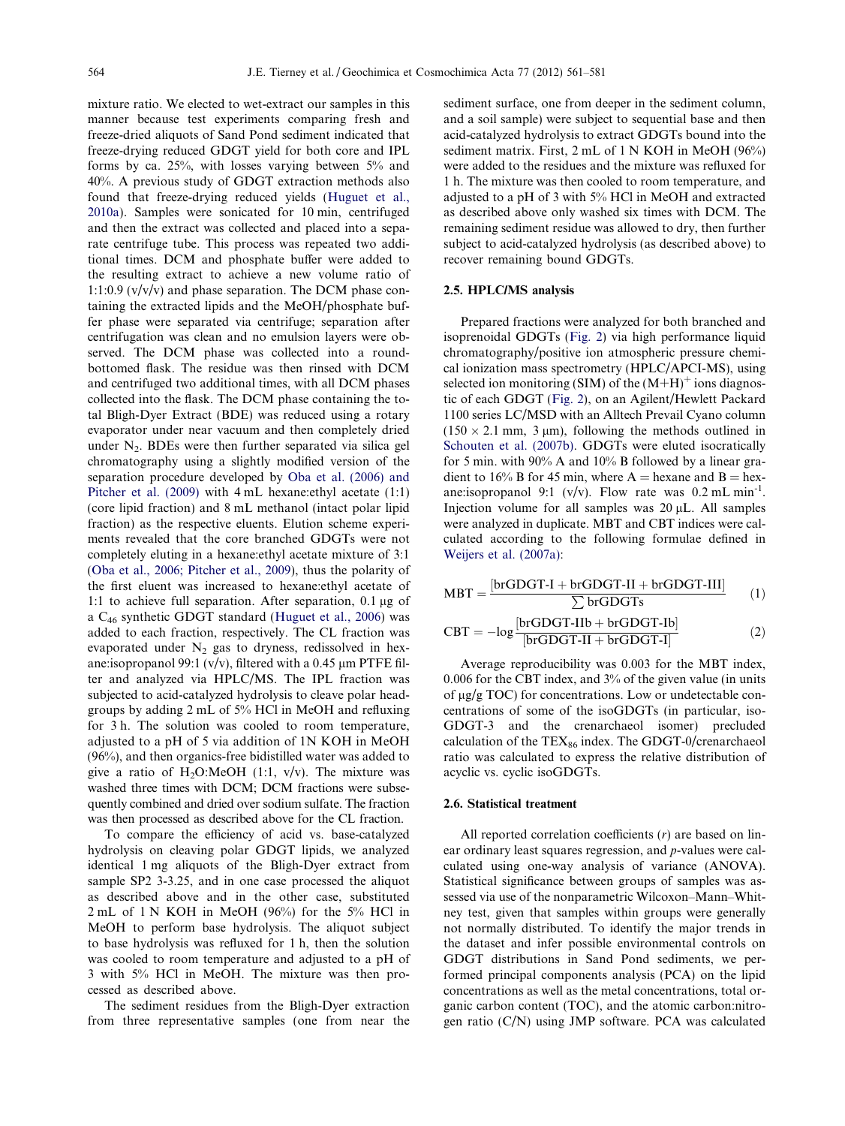mixture ratio. We elected to wet-extract our samples in this manner because test experiments comparing fresh and freeze-dried aliquots of Sand Pond sediment indicated that freeze-drying reduced GDGT yield for both core and IPL forms by ca. 25%, with losses varying between 5% and 40%. A previous study of GDGT extraction methods also found that freeze-drying reduced yields [\(Huguet et al.,](#page-18-0) [2010a](#page-18-0)). Samples were sonicated for 10 min, centrifuged and then the extract was collected and placed into a separate centrifuge tube. This process was repeated two additional times. DCM and phosphate buffer were added to the resulting extract to achieve a new volume ratio of 1:1:0.9 ( $v/v/v$ ) and phase separation. The DCM phase containing the extracted lipids and the MeOH/phosphate buffer phase were separated via centrifuge; separation after centrifugation was clean and no emulsion layers were observed. The DCM phase was collected into a roundbottomed flask. The residue was then rinsed with DCM and centrifuged two additional times, with all DCM phases collected into the flask. The DCM phase containing the total Bligh-Dyer Extract (BDE) was reduced using a rotary evaporator under near vacuum and then completely dried under  $N_2$ . BDEs were then further separated via silica gel chromatography using a slightly modified version of the separation procedure developed by [Oba et al. \(2006\) and](#page-18-0) [Pitcher et al. \(2009\)](#page-18-0) with 4 mL hexane:ethyl acetate (1:1) (core lipid fraction) and 8 mL methanol (intact polar lipid fraction) as the respective eluents. Elution scheme experiments revealed that the core branched GDGTs were not completely eluting in a hexane:ethyl acetate mixture of 3:1 ([Oba et al., 2006; Pitcher et al., 2009](#page-18-0)), thus the polarity of the first eluent was increased to hexane:ethyl acetate of 1:1 to achieve full separation. After separation,  $0.1 \mu g$  of a C46 synthetic GDGT standard ([Huguet et al., 2006](#page-18-0)) was added to each fraction, respectively. The CL fraction was evaporated under  $N_2$  gas to dryness, redissolved in hexane:isopropanol 99:1 (v/v), filtered with a 0.45  $\mu$ m PTFE filter and analyzed via HPLC/MS. The IPL fraction was subjected to acid-catalyzed hydrolysis to cleave polar headgroups by adding 2 mL of 5% HCl in MeOH and refluxing for 3 h. The solution was cooled to room temperature, adjusted to a pH of 5 via addition of 1N KOH in MeOH (96%), and then organics-free bidistilled water was added to give a ratio of  $H_2O$ :MeOH (1:1, v/v). The mixture was washed three times with DCM; DCM fractions were subsequently combined and dried over sodium sulfate. The fraction was then processed as described above for the CL fraction.

To compare the efficiency of acid vs. base-catalyzed hydrolysis on cleaving polar GDGT lipids, we analyzed identical 1 mg aliquots of the Bligh-Dyer extract from sample SP2 3-3.25, and in one case processed the aliquot as described above and in the other case, substituted 2 mL of 1 N KOH in MeOH (96%) for the 5% HCl in MeOH to perform base hydrolysis. The aliquot subject to base hydrolysis was refluxed for 1 h, then the solution was cooled to room temperature and adjusted to a pH of 3 with 5% HCl in MeOH. The mixture was then processed as described above.

The sediment residues from the Bligh-Dyer extraction from three representative samples (one from near the

sediment surface, one from deeper in the sediment column, and a soil sample) were subject to sequential base and then acid-catalyzed hydrolysis to extract GDGTs bound into the sediment matrix. First, 2 mL of 1 N KOH in MeOH (96%) were added to the residues and the mixture was refluxed for 1 h. The mixture was then cooled to room temperature, and adjusted to a pH of 3 with 5% HCl in MeOH and extracted as described above only washed six times with DCM. The remaining sediment residue was allowed to dry, then further subject to acid-catalyzed hydrolysis (as described above) to recover remaining bound GDGTs.

#### 2.5. HPLC/MS analysis

Prepared fractions were analyzed for both branched and isoprenoidal GDGTs ([Fig. 2\)](#page-4-0) via high performance liquid chromatography/positive ion atmospheric pressure chemical ionization mass spectrometry (HPLC/APCI-MS), using selected ion monitoring (SIM) of the  $(M+H)^+$  ions diagnostic of each GDGT [\(Fig. 2\)](#page-4-0), on an Agilent/Hewlett Packard 1100 series LC/MSD with an Alltech Prevail Cyano column  $(150 \times 2.1 \text{ mm}, 3 \mu \text{m})$ , following the methods outlined in [Schouten et al. \(2007b\).](#page-19-0) GDGTs were eluted isocratically for 5 min. with 90% A and 10% B followed by a linear gradient to 16% B for 45 min, where  $A =$  hexane and  $B =$  hexane:isopropanol 9:1 (v/v). Flow rate was  $0.2 \text{ mL min}^{-1}$ . Injection volume for all samples was  $20 \mu L$ . All samples were analyzed in duplicate. MBT and CBT indices were calculated according to the following formulae defined in [Weijers et al. \(2007a\):](#page-20-0)

$$
MBT = \frac{[brGDGT-I + brGDGT-II + brGDGT-III]}{\sum brGDGTs}
$$
 (1)  
OPT  
 
$$
[brGDGT-IIb + brGDGT-Ib]
$$
 (2)

$$
CBT = -\log \frac{[\text{brGDGT-II} + \text{brGDGT-Ib}]}{[\text{brGDGT-II} + \text{brGDGT-I}]}
$$
(2)

Average reproducibility was 0.003 for the MBT index, 0.006 for the CBT index, and 3% of the given value (in units of lg/g TOC) for concentrations. Low or undetectable concentrations of some of the isoGDGTs (in particular, iso-GDGT-3 and the crenarchaeol isomer) precluded calculation of the  $TEX_{86}$  index. The GDGT-0/crenarchaeol ratio was calculated to express the relative distribution of acyclic vs. cyclic isoGDGTs.

#### 2.6. Statistical treatment

All reported correlation coefficients  $(r)$  are based on linear ordinary least squares regression, and p-values were calculated using one-way analysis of variance (ANOVA). Statistical significance between groups of samples was assessed via use of the nonparametric Wilcoxon–Mann–Whitney test, given that samples within groups were generally not normally distributed. To identify the major trends in the dataset and infer possible environmental controls on GDGT distributions in Sand Pond sediments, we performed principal components analysis (PCA) on the lipid concentrations as well as the metal concentrations, total organic carbon content (TOC), and the atomic carbon:nitrogen ratio (C/N) using JMP software. PCA was calculated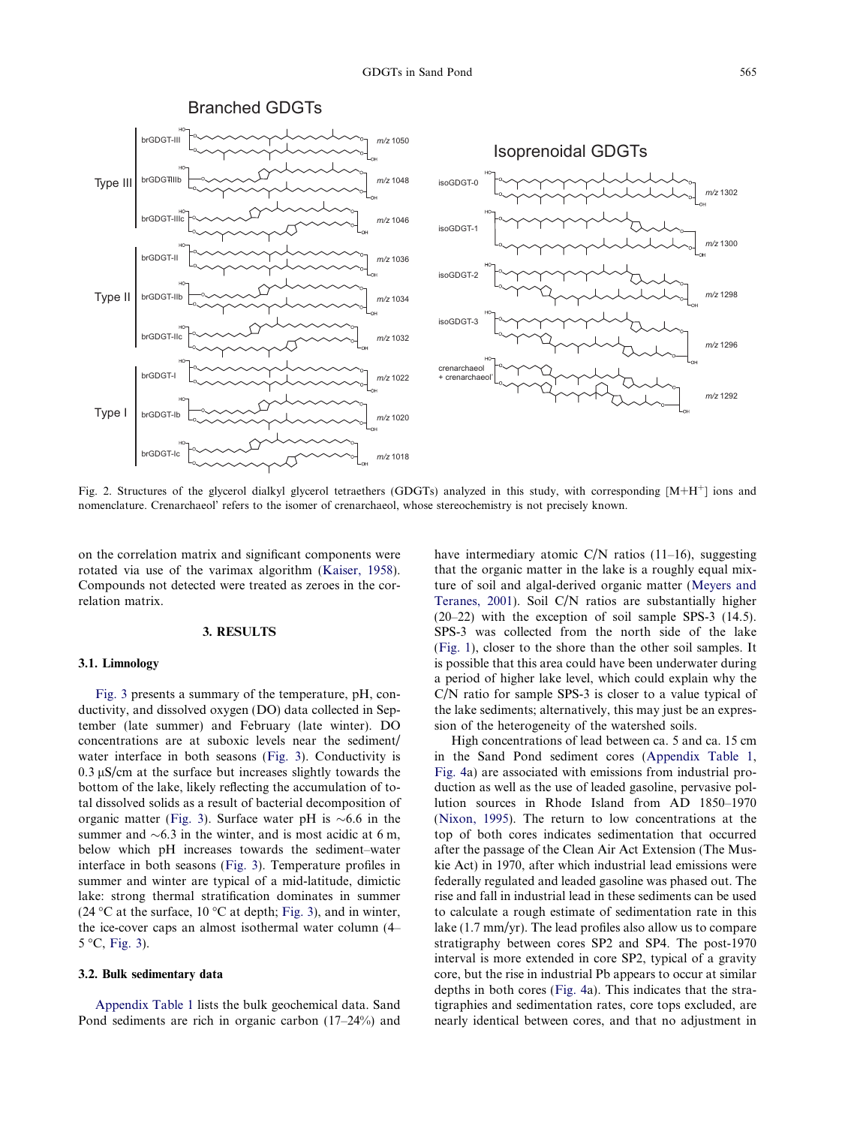<span id="page-4-0"></span>

Fig. 2. Structures of the glycerol dialkyl glycerol tetraethers (GDGTs) analyzed in this study, with corresponding [M+H<sup>+</sup>] ions and nomenclature. Crenarchaeol' refers to the isomer of crenarchaeol, whose stereochemistry is not precisely known.

on the correlation matrix and significant components were rotated via use of the varimax algorithm [\(Kaiser, 1958](#page-18-0)). Compounds not detected were treated as zeroes in the correlation matrix.

## 3. RESULTS

#### 3.1. Limnology

[Fig. 3](#page-5-0) presents a summary of the temperature, pH, conductivity, and dissolved oxygen (DO) data collected in September (late summer) and February (late winter). DO concentrations are at suboxic levels near the sediment/ water interface in both seasons [\(Fig. 3](#page-5-0)). Conductivity is  $0.3 \mu$ S/cm at the surface but increases slightly towards the bottom of the lake, likely reflecting the accumulation of total dissolved solids as a result of bacterial decomposition of organic matter ([Fig. 3\)](#page-5-0). Surface water pH is  $\sim 6.6$  in the summer and  $\sim 6.3$  in the winter, and is most acidic at 6 m, below which pH increases towards the sediment–water interface in both seasons ([Fig. 3\)](#page-5-0). Temperature profiles in summer and winter are typical of a mid-latitude, dimictic lake: strong thermal stratification dominates in summer (24 °C at the surface, 10 °C at depth; [Fig. 3](#page-5-0)), and in winter, the ice-cover caps an almost isothermal water column (4–  $5^{\circ}$ C, [Fig. 3](#page-5-0)).

#### 3.2. Bulk sedimentary data

[Appendix Table 1](#page-14-0) lists the bulk geochemical data. Sand Pond sediments are rich in organic carbon (17–24%) and

have intermediary atomic  $C/N$  ratios (11–16), suggesting that the organic matter in the lake is a roughly equal mixture of soil and algal-derived organic matter ([Meyers and](#page-18-0) [Teranes, 2001\)](#page-18-0). Soil C/N ratios are substantially higher (20–22) with the exception of soil sample SPS-3 (14.5). SPS-3 was collected from the north side of the lake [\(Fig. 1](#page-2-0)), closer to the shore than the other soil samples. It is possible that this area could have been underwater during a period of higher lake level, which could explain why the C/N ratio for sample SPS-3 is closer to a value typical of the lake sediments; alternatively, this may just be an expression of the heterogeneity of the watershed soils.

High concentrations of lead between ca. 5 and ca. 15 cm in the Sand Pond sediment cores ([Appendix Table 1](#page-14-0), [Fig. 4](#page-6-0)a) are associated with emissions from industrial production as well as the use of leaded gasoline, pervasive pollution sources in Rhode Island from AD 1850–1970 [\(Nixon, 1995\)](#page-18-0). The return to low concentrations at the top of both cores indicates sedimentation that occurred after the passage of the Clean Air Act Extension (The Muskie Act) in 1970, after which industrial lead emissions were federally regulated and leaded gasoline was phased out. The rise and fall in industrial lead in these sediments can be used to calculate a rough estimate of sedimentation rate in this lake (1.7 mm/yr). The lead profiles also allow us to compare stratigraphy between cores SP2 and SP4. The post-1970 interval is more extended in core SP2, typical of a gravity core, but the rise in industrial Pb appears to occur at similar depths in both cores [\(Fig. 4a](#page-6-0)). This indicates that the stratigraphies and sedimentation rates, core tops excluded, are nearly identical between cores, and that no adjustment in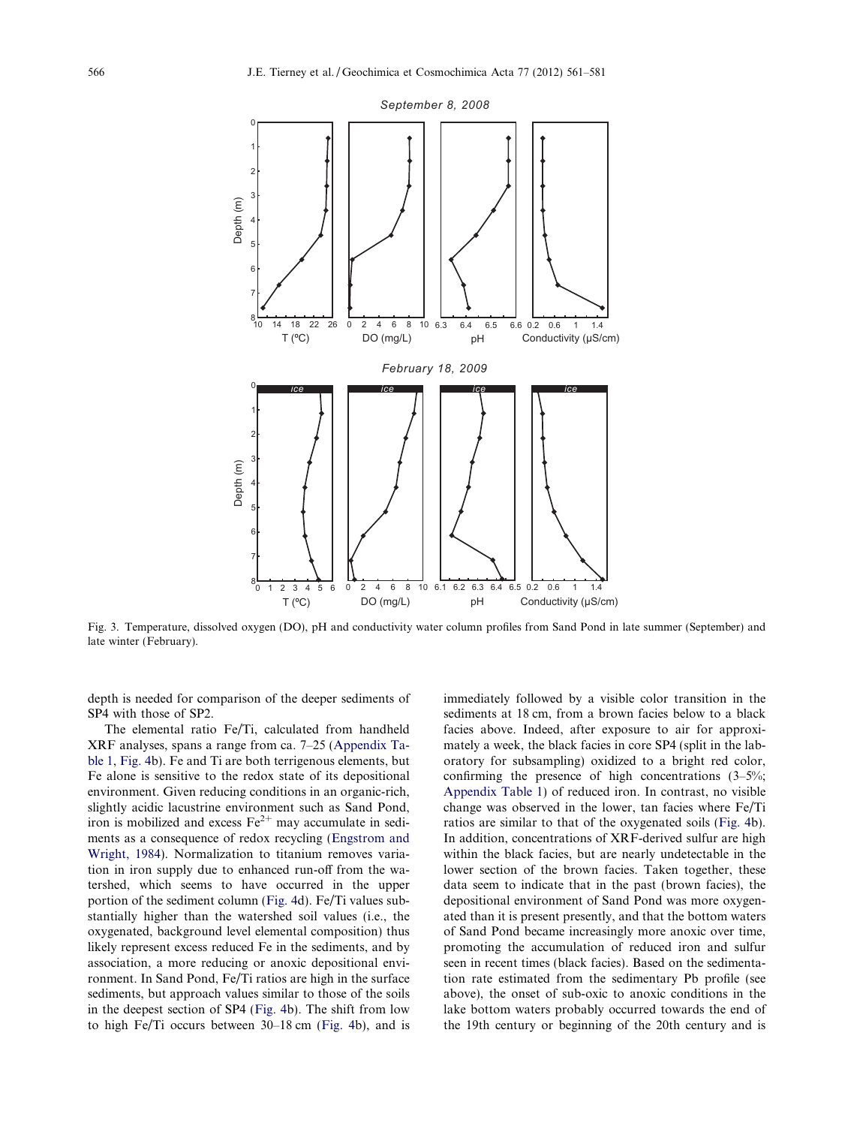<span id="page-5-0"></span>

Fig. 3. Temperature, dissolved oxygen (DO), pH and conductivity water column profiles from Sand Pond in late summer (September) and late winter (February).

depth is needed for comparison of the deeper sediments of SP4 with those of SP2.

The elemental ratio Fe/Ti, calculated from handheld XRF analyses, spans a range from ca. 7–25 [\(Appendix Ta](#page-14-0)[ble 1,](#page-14-0) [Fig. 4b](#page-6-0)). Fe and Ti are both terrigenous elements, but Fe alone is sensitive to the redox state of its depositional environment. Given reducing conditions in an organic-rich, slightly acidic lacustrine environment such as Sand Pond, iron is mobilized and excess  $Fe^{2+}$  may accumulate in sediments as a consequence of redox recycling ([Engstrom and](#page-18-0) [Wright, 1984](#page-18-0)). Normalization to titanium removes variation in iron supply due to enhanced run-off from the watershed, which seems to have occurred in the upper portion of the sediment column ([Fig. 4d](#page-6-0)). Fe/Ti values substantially higher than the watershed soil values (i.e., the oxygenated, background level elemental composition) thus likely represent excess reduced Fe in the sediments, and by association, a more reducing or anoxic depositional environment. In Sand Pond, Fe/Ti ratios are high in the surface sediments, but approach values similar to those of the soils in the deepest section of SP4 ([Fig. 4](#page-6-0)b). The shift from low to high Fe/Ti occurs between 30–18 cm ([Fig. 4](#page-6-0)b), and is immediately followed by a visible color transition in the sediments at 18 cm, from a brown facies below to a black facies above. Indeed, after exposure to air for approximately a week, the black facies in core SP4 (split in the laboratory for subsampling) oxidized to a bright red color, confirming the presence of high concentrations  $(3-5\%;$ [Appendix Table 1\)](#page-14-0) of reduced iron. In contrast, no visible change was observed in the lower, tan facies where Fe/Ti ratios are similar to that of the oxygenated soils ([Fig. 4b](#page-6-0)). In addition, concentrations of XRF-derived sulfur are high within the black facies, but are nearly undetectable in the lower section of the brown facies. Taken together, these data seem to indicate that in the past (brown facies), the depositional environment of Sand Pond was more oxygenated than it is present presently, and that the bottom waters of Sand Pond became increasingly more anoxic over time, promoting the accumulation of reduced iron and sulfur seen in recent times (black facies). Based on the sedimentation rate estimated from the sedimentary Pb profile (see above), the onset of sub-oxic to anoxic conditions in the lake bottom waters probably occurred towards the end of the 19th century or beginning of the 20th century and is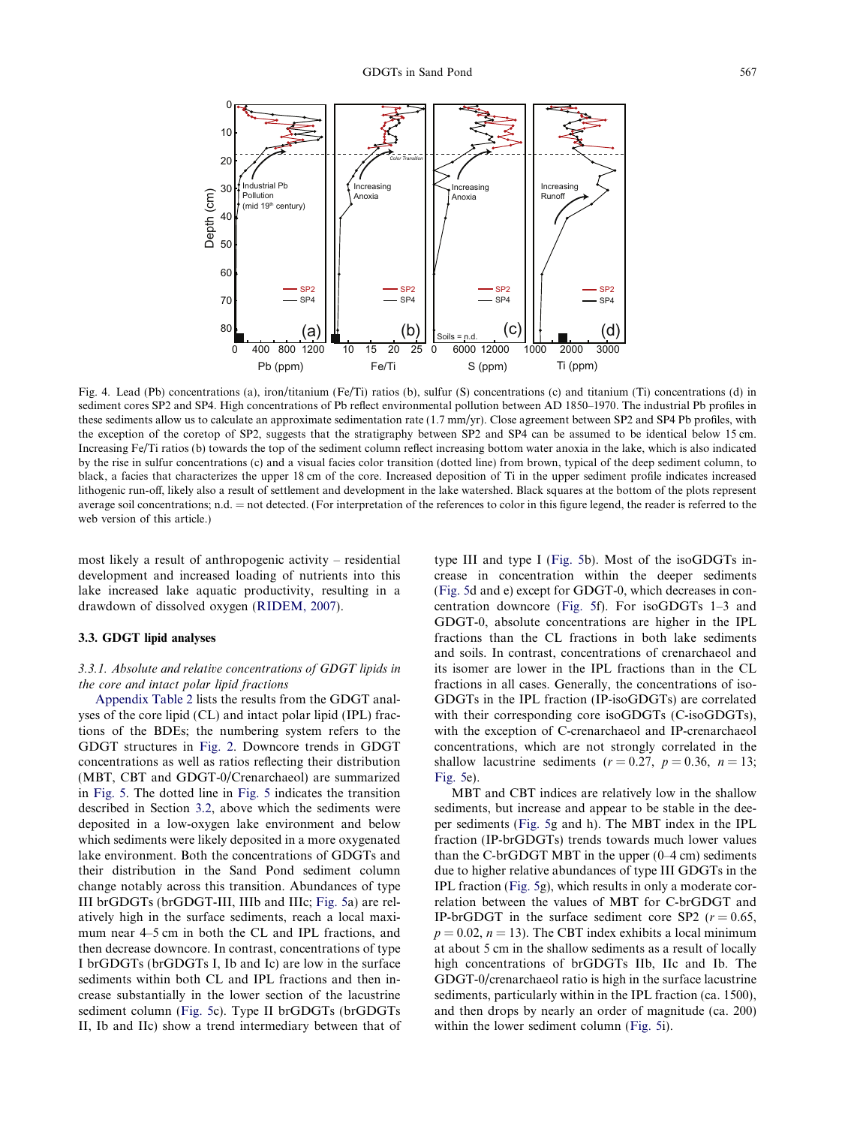<span id="page-6-0"></span>

Fig. 4. Lead (Pb) concentrations (a), iron/titanium (Fe/Ti) ratios (b), sulfur (S) concentrations (c) and titanium (Ti) concentrations (d) in sediment cores SP2 and SP4. High concentrations of Pb reflect environmental pollution between AD 1850–1970. The industrial Pb profiles in these sediments allow us to calculate an approximate sedimentation rate (1.7 mm/yr). Close agreement between SP2 and SP4 Pb profiles, with the exception of the coretop of SP2, suggests that the stratigraphy between SP2 and SP4 can be assumed to be identical below 15 cm. Increasing Fe/Ti ratios (b) towards the top of the sediment column reflect increasing bottom water anoxia in the lake, which is also indicated by the rise in sulfur concentrations (c) and a visual facies color transition (dotted line) from brown, typical of the deep sediment column, to black, a facies that characterizes the upper 18 cm of the core. Increased deposition of Ti in the upper sediment profile indicates increased lithogenic run-off, likely also a result of settlement and development in the lake watershed. Black squares at the bottom of the plots represent average soil concentrations; n.d. = not detected. (For interpretation of the references to color in this figure legend, the reader is referred to the web version of this article.)

most likely a result of anthropogenic activity – residential development and increased loading of nutrients into this lake increased lake aquatic productivity, resulting in a drawdown of dissolved oxygen [\(RIDEM, 2007\)](#page-19-0).

#### 3.3. GDGT lipid analyses

#### 3.3.1. Absolute and relative concentrations of GDGT lipids in the core and intact polar lipid fractions

[Appendix Table 2](#page-14-0) lists the results from the GDGT analyses of the core lipid (CL) and intact polar lipid (IPL) fractions of the BDEs; the numbering system refers to the GDGT structures in [Fig. 2](#page-4-0). Downcore trends in GDGT concentrations as well as ratios reflecting their distribution (MBT, CBT and GDGT-0/Crenarchaeol) are summarized in [Fig. 5.](#page-7-0) The dotted line in [Fig. 5](#page-7-0) indicates the transition described in Section [3.2](#page-4-0), above which the sediments were deposited in a low-oxygen lake environment and below which sediments were likely deposited in a more oxygenated lake environment. Both the concentrations of GDGTs and their distribution in the Sand Pond sediment column change notably across this transition. Abundances of type III brGDGTs (brGDGT-III, IIIb and IIIc; [Fig. 5](#page-7-0)a) are relatively high in the surface sediments, reach a local maximum near 4–5 cm in both the CL and IPL fractions, and then decrease downcore. In contrast, concentrations of type I brGDGTs (brGDGTs I, Ib and Ic) are low in the surface sediments within both CL and IPL fractions and then increase substantially in the lower section of the lacustrine sediment column ([Fig. 5c](#page-7-0)). Type II brGDGTs (brGDGTs II, Ib and IIc) show a trend intermediary between that of type III and type I ([Fig. 5b](#page-7-0)). Most of the isoGDGTs increase in concentration within the deeper sediments [\(Fig. 5](#page-7-0)d and e) except for GDGT-0, which decreases in concentration downcore ([Fig. 5f](#page-7-0)). For isoGDGTs 1–3 and GDGT-0, absolute concentrations are higher in the IPL fractions than the CL fractions in both lake sediments and soils. In contrast, concentrations of crenarchaeol and its isomer are lower in the IPL fractions than in the CL fractions in all cases. Generally, the concentrations of iso-GDGTs in the IPL fraction (IP-isoGDGTs) are correlated with their corresponding core isoGDGTs (C-isoGDGTs), with the exception of C-crenarchaeol and IP-crenarchaeol concentrations, which are not strongly correlated in the shallow lacustrine sediments ( $r = 0.27$ ,  $p = 0.36$ ,  $n = 13$ ; [Fig. 5](#page-7-0)e).

MBT and CBT indices are relatively low in the shallow sediments, but increase and appear to be stable in the deeper sediments [\(Fig. 5](#page-7-0)g and h). The MBT index in the IPL fraction (IP-brGDGTs) trends towards much lower values than the C-brGDGT MBT in the upper  $(0-4 \text{ cm})$  sediments due to higher relative abundances of type III GDGTs in the IPL fraction ([Fig. 5g](#page-7-0)), which results in only a moderate correlation between the values of MBT for C-brGDGT and IP-brGDGT in the surface sediment core SP2 ( $r = 0.65$ ,  $p = 0.02$ ,  $n = 13$ ). The CBT index exhibits a local minimum at about 5 cm in the shallow sediments as a result of locally high concentrations of brGDGTs IIb, IIc and Ib. The GDGT-0/crenarchaeol ratio is high in the surface lacustrine sediments, particularly within in the IPL fraction (ca. 1500), and then drops by nearly an order of magnitude (ca. 200) within the lower sediment column [\(Fig. 5i](#page-7-0)).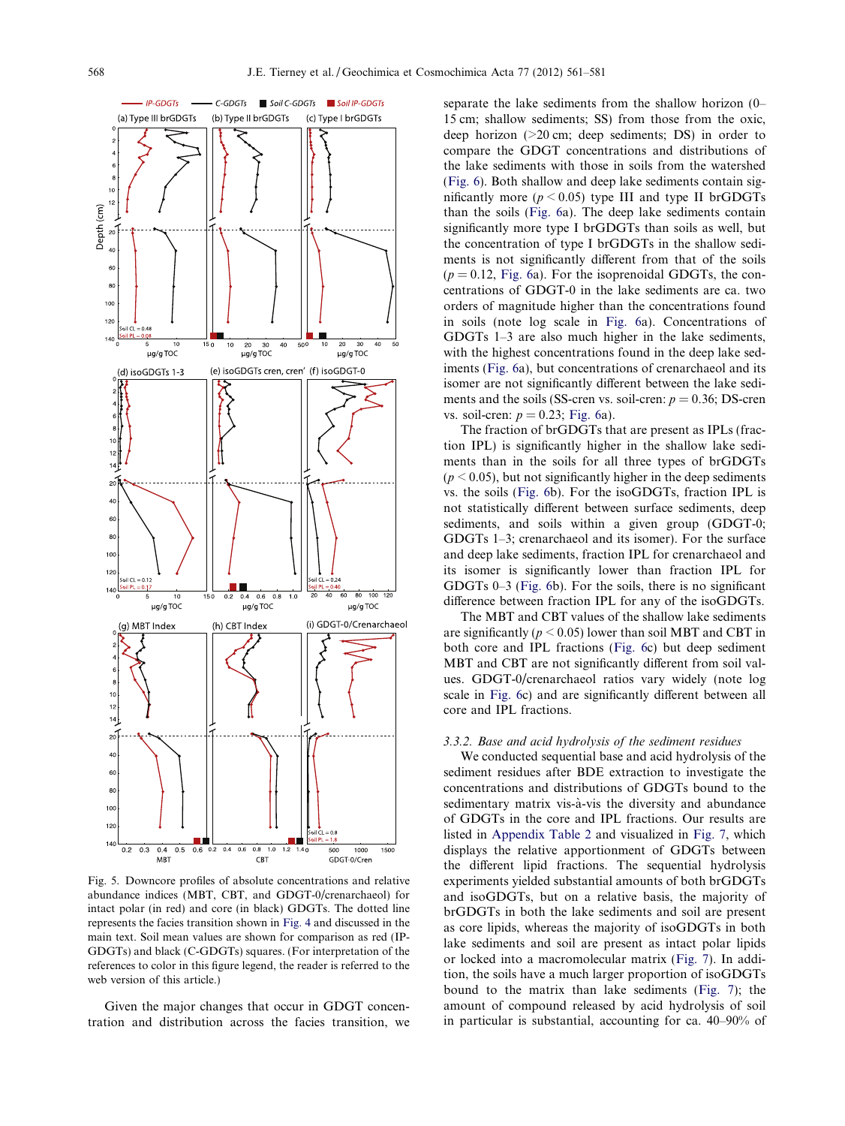<span id="page-7-0"></span>

Fig. 5. Downcore profiles of absolute concentrations and relative abundance indices (MBT, CBT, and GDGT-0/crenarchaeol) for intact polar (in red) and core (in black) GDGTs. The dotted line represents the facies transition shown in [Fig. 4](#page-6-0) and discussed in the main text. Soil mean values are shown for comparison as red (IP-GDGTs) and black (C-GDGTs) squares. (For interpretation of the references to color in this figure legend, the reader is referred to the web version of this article.)

Given the major changes that occur in GDGT concentration and distribution across the facies transition, we

separate the lake sediments from the shallow horizon (0– 15 cm; shallow sediments; SS) from those from the oxic, deep horizon (>20 cm; deep sediments; DS) in order to compare the GDGT concentrations and distributions of the lake sediments with those in soils from the watershed ([Fig. 6](#page-8-0)). Both shallow and deep lake sediments contain significantly more ( $p \le 0.05$ ) type III and type II brGDGTs than the soils [\(Fig. 6a](#page-8-0)). The deep lake sediments contain significantly more type I brGDGTs than soils as well, but the concentration of type I brGDGTs in the shallow sediments is not significantly different from that of the soils  $(p = 0.12,$  [Fig. 6a](#page-8-0)). For the isoprenoidal GDGTs, the concentrations of GDGT-0 in the lake sediments are ca. two orders of magnitude higher than the concentrations found in soils (note log scale in [Fig. 6](#page-8-0)a). Concentrations of GDGTs 1–3 are also much higher in the lake sediments, with the highest concentrations found in the deep lake sediments ([Fig. 6a](#page-8-0)), but concentrations of crenarchaeol and its isomer are not significantly different between the lake sediments and the soils (SS-cren vs. soil-cren:  $p = 0.36$ ; DS-cren vs. soil-cren:  $p = 0.23$ ; [Fig. 6](#page-8-0)a).

The fraction of brGDGTs that are present as IPLs (fraction IPL) is significantly higher in the shallow lake sediments than in the soils for all three types of brGDGTs  $(p < 0.05)$ , but not significantly higher in the deep sediments vs. the soils ([Fig. 6b](#page-8-0)). For the isoGDGTs, fraction IPL is not statistically different between surface sediments, deep sediments, and soils within a given group (GDGT-0; GDGTs 1–3; crenarchaeol and its isomer). For the surface and deep lake sediments, fraction IPL for crenarchaeol and its isomer is significantly lower than fraction IPL for GDGTs 0–3 ([Fig. 6b](#page-8-0)). For the soils, there is no significant difference between fraction IPL for any of the isoGDGTs.

The MBT and CBT values of the shallow lake sediments are significantly ( $p \le 0.05$ ) lower than soil MBT and CBT in both core and IPL fractions ([Fig. 6](#page-8-0)c) but deep sediment MBT and CBT are not significantly different from soil values. GDGT-0/crenarchaeol ratios vary widely (note log scale in [Fig. 6](#page-8-0)c) and are significantly different between all core and IPL fractions.

#### 3.3.2. Base and acid hydrolysis of the sediment residues

We conducted sequential base and acid hydrolysis of the sediment residues after BDE extraction to investigate the concentrations and distributions of GDGTs bound to the sedimentary matrix vis-à-vis the diversity and abundance of GDGTs in the core and IPL fractions. Our results are listed in [Appendix Table 2](#page-14-0) and visualized in [Fig. 7,](#page-9-0) which displays the relative apportionment of GDGTs between the different lipid fractions. The sequential hydrolysis experiments yielded substantial amounts of both brGDGTs and isoGDGTs, but on a relative basis, the majority of brGDGTs in both the lake sediments and soil are present as core lipids, whereas the majority of isoGDGTs in both lake sediments and soil are present as intact polar lipids or locked into a macromolecular matrix ([Fig. 7\)](#page-9-0). In addition, the soils have a much larger proportion of isoGDGTs bound to the matrix than lake sediments ([Fig. 7\)](#page-9-0); the amount of compound released by acid hydrolysis of soil in particular is substantial, accounting for ca. 40–90% of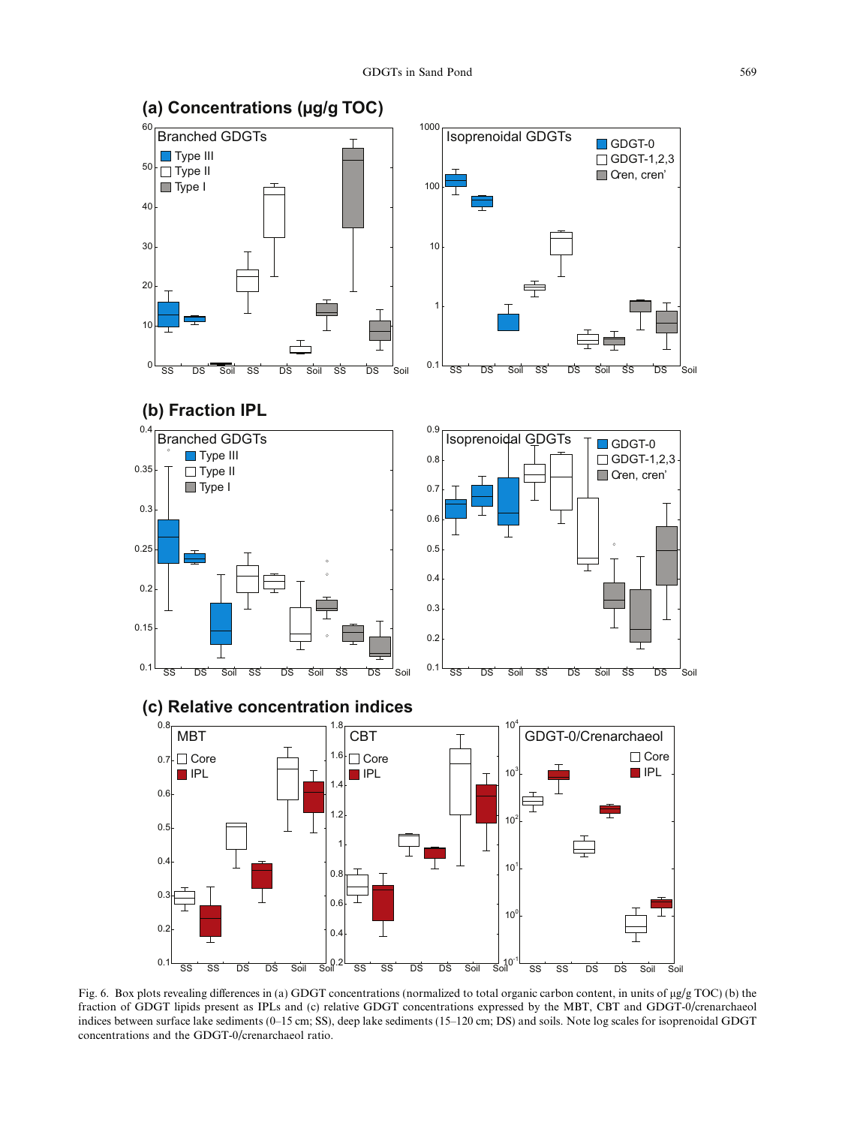<span id="page-8-0"></span>

## **(b) Fraction IPL**





## **(c) Relative concentration indices**



Fig. 6. Box plots revealing differences in (a) GDGT concentrations (normalized to total organic carbon content, in units of  $\mu g/g$  TOC) (b) the fraction of GDGT lipids present as IPLs and (c) relative GDGT concentrations expressed by the MBT, CBT and GDGT-0/crenarchaeol indices between surface lake sediments (0–15 cm; SS), deep lake sediments (15–120 cm; DS) and soils. Note log scales for isoprenoidal GDGT concentrations and the GDGT-0/crenarchaeol ratio.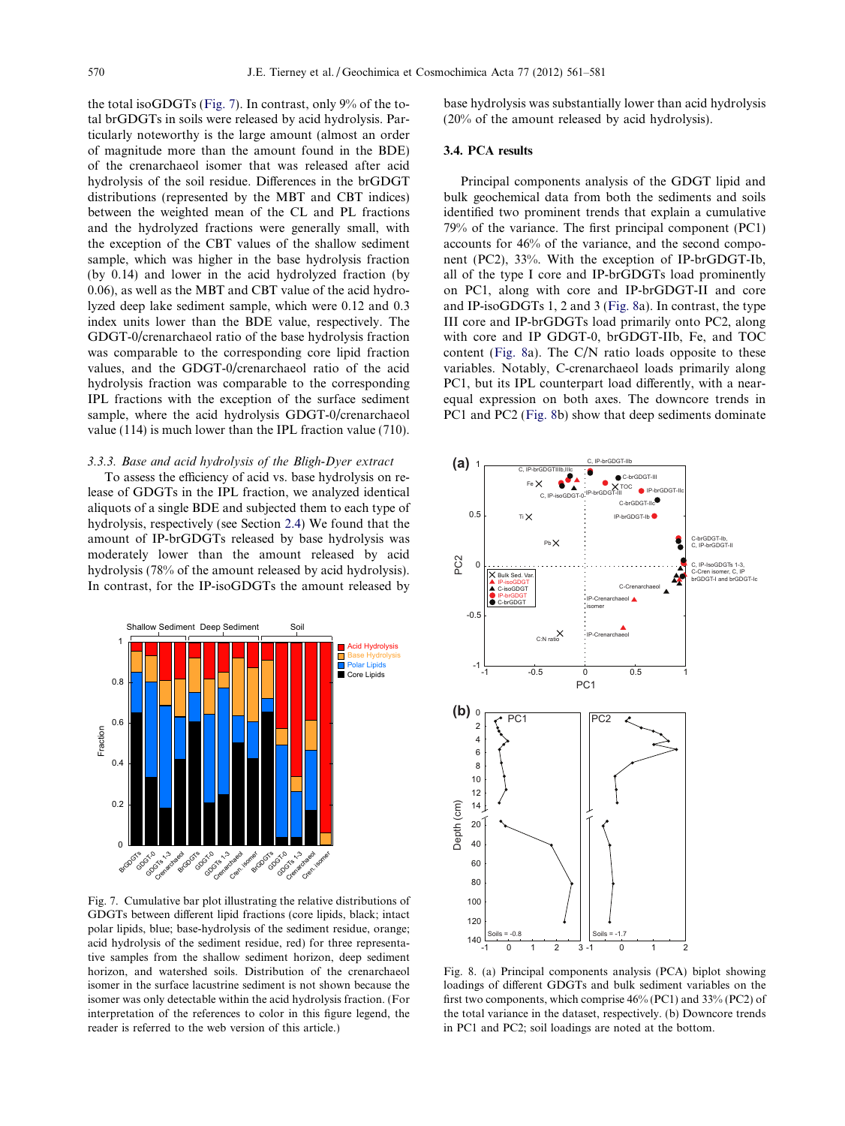<span id="page-9-0"></span>the total isoGDGTs (Fig. 7). In contrast, only 9% of the total brGDGTs in soils were released by acid hydrolysis. Particularly noteworthy is the large amount (almost an order of magnitude more than the amount found in the BDE) of the crenarchaeol isomer that was released after acid hydrolysis of the soil residue. Differences in the brGDGT distributions (represented by the MBT and CBT indices) between the weighted mean of the CL and PL fractions and the hydrolyzed fractions were generally small, with the exception of the CBT values of the shallow sediment sample, which was higher in the base hydrolysis fraction (by 0.14) and lower in the acid hydrolyzed fraction (by 0.06), as well as the MBT and CBT value of the acid hydrolyzed deep lake sediment sample, which were 0.12 and 0.3 index units lower than the BDE value, respectively. The GDGT-0/crenarchaeol ratio of the base hydrolysis fraction was comparable to the corresponding core lipid fraction values, and the GDGT-0/crenarchaeol ratio of the acid hydrolysis fraction was comparable to the corresponding IPL fractions with the exception of the surface sediment sample, where the acid hydrolysis GDGT-0/crenarchaeol value (114) is much lower than the IPL fraction value (710).

#### 3.3.3. Base and acid hydrolysis of the Bligh-Dyer extract

To assess the efficiency of acid vs. base hydrolysis on release of GDGTs in the IPL fraction, we analyzed identical aliquots of a single BDE and subjected them to each type of hydrolysis, respectively (see Section [2.4](#page-2-0)) We found that the amount of IP-brGDGTs released by base hydrolysis was moderately lower than the amount released by acid hydrolysis (78% of the amount released by acid hydrolysis). In contrast, for the IP-isoGDGTs the amount released by



Fig. 7. Cumulative bar plot illustrating the relative distributions of GDGTs between different lipid fractions (core lipids, black; intact polar lipids, blue; base-hydrolysis of the sediment residue, orange; acid hydrolysis of the sediment residue, red) for three representative samples from the shallow sediment horizon, deep sediment horizon, and watershed soils. Distribution of the crenarchaeol isomer in the surface lacustrine sediment is not shown because the isomer was only detectable within the acid hydrolysis fraction. (For interpretation of the references to color in this figure legend, the reader is referred to the web version of this article.)

base hydrolysis was substantially lower than acid hydrolysis (20% of the amount released by acid hydrolysis).

#### 3.4. PCA results

Principal components analysis of the GDGT lipid and bulk geochemical data from both the sediments and soils identified two prominent trends that explain a cumulative 79% of the variance. The first principal component (PC1) accounts for 46% of the variance, and the second component (PC2), 33%. With the exception of IP-brGDGT-Ib, all of the type I core and IP-brGDGTs load prominently on PC1, along with core and IP-brGDGT-II and core and IP-isoGDGTs 1, 2 and 3 (Fig. 8a). In contrast, the type III core and IP-brGDGTs load primarily onto PC2, along with core and IP GDGT-0, brGDGT-IIb, Fe, and TOC content (Fig. 8a). The C/N ratio loads opposite to these variables. Notably, C-crenarchaeol loads primarily along PC1, but its IPL counterpart load differently, with a nearequal expression on both axes. The downcore trends in PC1 and PC2 (Fig. 8b) show that deep sediments dominate



Fig. 8. (a) Principal components analysis (PCA) biplot showing loadings of different GDGTs and bulk sediment variables on the first two components, which comprise 46% (PC1) and 33% (PC2) of the total variance in the dataset, respectively. (b) Downcore trends in PC1 and PC2; soil loadings are noted at the bottom.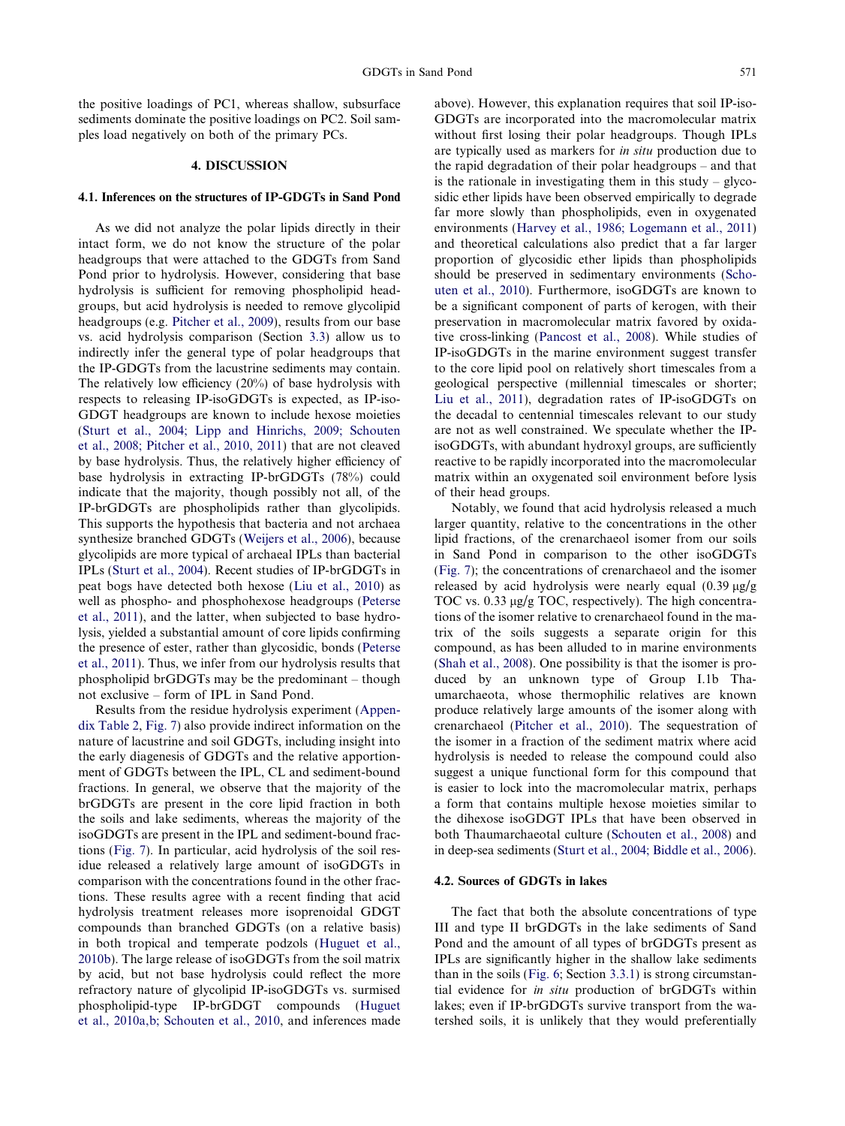<span id="page-10-0"></span>the positive loadings of PC1, whereas shallow, subsurface sediments dominate the positive loadings on PC2. Soil samples load negatively on both of the primary PCs.

#### 4. DISCUSSION

#### 4.1. Inferences on the structures of IP-GDGTs in Sand Pond

As we did not analyze the polar lipids directly in their intact form, we do not know the structure of the polar headgroups that were attached to the GDGTs from Sand Pond prior to hydrolysis. However, considering that base hydrolysis is sufficient for removing phospholipid headgroups, but acid hydrolysis is needed to remove glycolipid headgroups (e.g. [Pitcher et al., 2009\)](#page-19-0), results from our base vs. acid hydrolysis comparison (Section [3.3](#page-6-0)) allow us to indirectly infer the general type of polar headgroups that the IP-GDGTs from the lacustrine sediments may contain. The relatively low efficiency (20%) of base hydrolysis with respects to releasing IP-isoGDGTs is expected, as IP-iso-GDGT headgroups are known to include hexose moieties [\(Sturt et al., 2004; Lipp and Hinrichs, 2009; Schouten](#page-19-0) [et al., 2008; Pitcher et al., 2010, 2011](#page-19-0)) that are not cleaved by base hydrolysis. Thus, the relatively higher efficiency of base hydrolysis in extracting IP-brGDGTs (78%) could indicate that the majority, though possibly not all, of the IP-brGDGTs are phospholipids rather than glycolipids. This supports the hypothesis that bacteria and not archaea synthesize branched GDGTs ([Weijers et al., 2006\)](#page-19-0), because glycolipids are more typical of archaeal IPLs than bacterial IPLs [\(Sturt et al., 2004](#page-19-0)). Recent studies of IP-brGDGTs in peat bogs have detected both hexose [\(Liu et al., 2010\)](#page-18-0) as well as phospho- and phosphohexose headgroups [\(Peterse](#page-19-0) [et al., 2011\)](#page-19-0), and the latter, when subjected to base hydrolysis, yielded a substantial amount of core lipids confirming the presence of ester, rather than glycosidic, bonds [\(Peterse](#page-19-0) [et al., 2011\)](#page-19-0). Thus, we infer from our hydrolysis results that phospholipid brGDGTs may be the predominant – though not exclusive – form of IPL in Sand Pond.

Results from the residue hydrolysis experiment ([Appen](#page-14-0)[dix Table 2,](#page-14-0) [Fig. 7\)](#page-9-0) also provide indirect information on the nature of lacustrine and soil GDGTs, including insight into the early diagenesis of GDGTs and the relative apportionment of GDGTs between the IPL, CL and sediment-bound fractions. In general, we observe that the majority of the brGDGTs are present in the core lipid fraction in both the soils and lake sediments, whereas the majority of the isoGDGTs are present in the IPL and sediment-bound fractions [\(Fig. 7\)](#page-9-0). In particular, acid hydrolysis of the soil residue released a relatively large amount of isoGDGTs in comparison with the concentrations found in the other fractions. These results agree with a recent finding that acid hydrolysis treatment releases more isoprenoidal GDGT compounds than branched GDGTs (on a relative basis) in both tropical and temperate podzols [\(Huguet et al.,](#page-18-0) [2010b](#page-18-0)). The large release of isoGDGTs from the soil matrix by acid, but not base hydrolysis could reflect the more refractory nature of glycolipid IP-isoGDGTs vs. surmised phospholipid-type IP-brGDGT compounds ([Huguet](#page-18-0) [et al., 2010a,b; Schouten et al., 2010](#page-18-0), and inferences made above). However, this explanation requires that soil IP-iso-GDGTs are incorporated into the macromolecular matrix without first losing their polar headgroups. Though IPLs are typically used as markers for in situ production due to the rapid degradation of their polar headgroups – and that is the rationale in investigating them in this study – glycosidic ether lipids have been observed empirically to degrade far more slowly than phospholipids, even in oxygenated environments [\(Harvey et al., 1986; Logemann et al., 2011](#page-18-0)) and theoretical calculations also predict that a far larger proportion of glycosidic ether lipids than phospholipids should be preserved in sedimentary environments ([Scho](#page-19-0)[uten et al., 2010](#page-19-0)). Furthermore, isoGDGTs are known to be a significant component of parts of kerogen, with their preservation in macromolecular matrix favored by oxidative cross-linking [\(Pancost et al., 2008](#page-18-0)). While studies of IP-isoGDGTs in the marine environment suggest transfer to the core lipid pool on relatively short timescales from a geological perspective (millennial timescales or shorter; [Liu et al., 2011\)](#page-18-0), degradation rates of IP-isoGDGTs on the decadal to centennial timescales relevant to our study are not as well constrained. We speculate whether the IPisoGDGTs, with abundant hydroxyl groups, are sufficiently reactive to be rapidly incorporated into the macromolecular matrix within an oxygenated soil environment before lysis of their head groups.

Notably, we found that acid hydrolysis released a much larger quantity, relative to the concentrations in the other lipid fractions, of the crenarchaeol isomer from our soils in Sand Pond in comparison to the other isoGDGTs [\(Fig. 7\)](#page-9-0); the concentrations of crenarchaeol and the isomer released by acid hydrolysis were nearly equal  $(0.39 \mu g/g)$ TOC vs.  $0.33 \mu$ g/g TOC, respectively). The high concentrations of the isomer relative to crenarchaeol found in the matrix of the soils suggests a separate origin for this compound, as has been alluded to in marine environments [\(Shah et al., 2008\)](#page-19-0). One possibility is that the isomer is produced by an unknown type of Group I.1b Thaumarchaeota, whose thermophilic relatives are known produce relatively large amounts of the isomer along with crenarchaeol ([Pitcher et al., 2010](#page-19-0)). The sequestration of the isomer in a fraction of the sediment matrix where acid hydrolysis is needed to release the compound could also suggest a unique functional form for this compound that is easier to lock into the macromolecular matrix, perhaps a form that contains multiple hexose moieties similar to the dihexose isoGDGT IPLs that have been observed in both Thaumarchaeotal culture [\(Schouten et al., 2008\)](#page-19-0) and in deep-sea sediments [\(Sturt et al., 2004; Biddle et al., 2006](#page-19-0)).

#### 4.2. Sources of GDGTs in lakes

The fact that both the absolute concentrations of type III and type II brGDGTs in the lake sediments of Sand Pond and the amount of all types of brGDGTs present as IPLs are significantly higher in the shallow lake sediments than in the soils [\(Fig. 6;](#page-8-0) Section [3.3.1](#page-6-0)) is strong circumstantial evidence for in situ production of brGDGTs within lakes; even if IP-brGDGTs survive transport from the watershed soils, it is unlikely that they would preferentially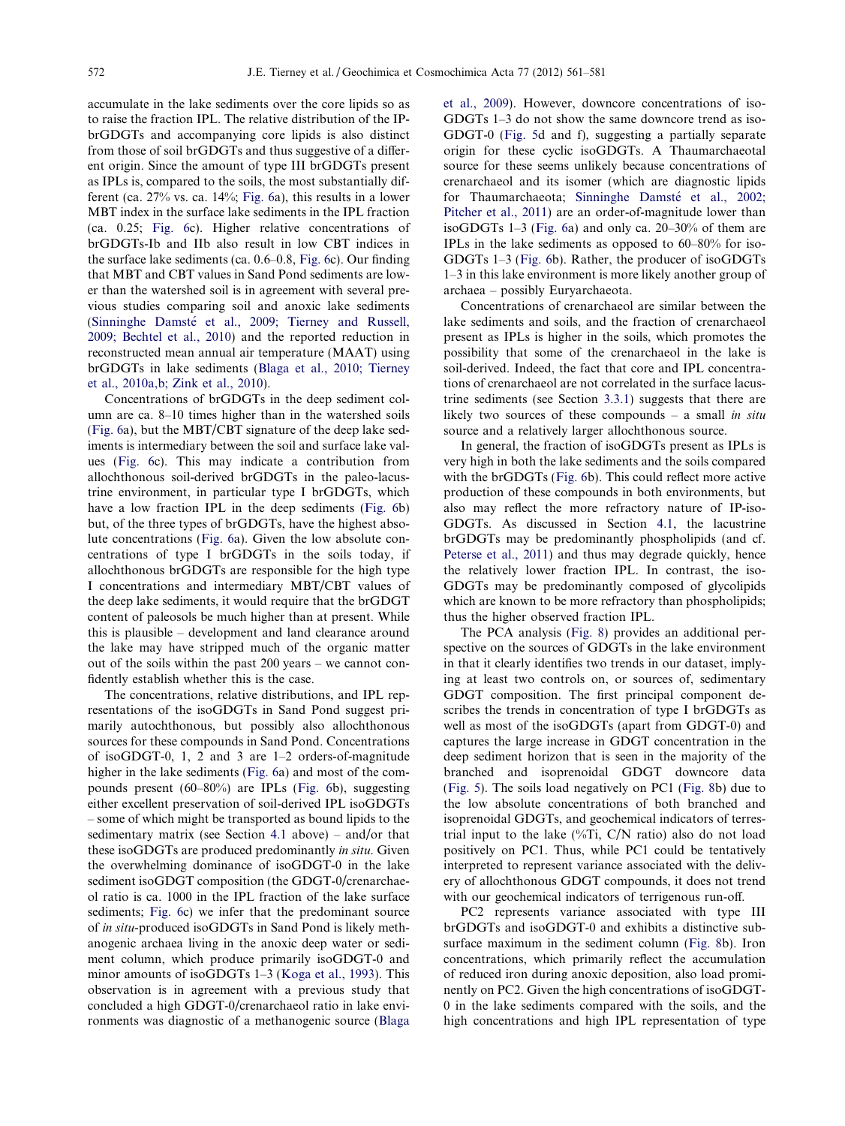accumulate in the lake sediments over the core lipids so as to raise the fraction IPL. The relative distribution of the IPbrGDGTs and accompanying core lipids is also distinct from those of soil brGDGTs and thus suggestive of a different origin. Since the amount of type III brGDGTs present as IPLs is, compared to the soils, the most substantially different (ca. 27% vs. ca. 14%; [Fig. 6a](#page-8-0)), this results in a lower MBT index in the surface lake sediments in the IPL fraction (ca. 0.25; [Fig. 6c](#page-8-0)). Higher relative concentrations of brGDGTs-Ib and IIb also result in low CBT indices in the surface lake sediments (ca. 0.6–0.8, [Fig. 6](#page-8-0)c). Our finding that MBT and CBT values in Sand Pond sediments are lower than the watershed soil is in agreement with several previous studies comparing soil and anoxic lake sediments (Sinninghe Damsté [et al., 2009; Tierney and Russell,](#page-19-0) [2009; Bechtel et al., 2010](#page-19-0)) and the reported reduction in reconstructed mean annual air temperature (MAAT) using brGDGTs in lake sediments [\(Blaga et al., 2010; Tierney](#page-18-0) [et al., 2010a,b; Zink et al., 2010](#page-18-0)).

Concentrations of brGDGTs in the deep sediment column are ca. 8–10 times higher than in the watershed soils ([Fig. 6a](#page-8-0)), but the MBT/CBT signature of the deep lake sediments is intermediary between the soil and surface lake values [\(Fig. 6c](#page-8-0)). This may indicate a contribution from allochthonous soil-derived brGDGTs in the paleo-lacustrine environment, in particular type I brGDGTs, which have a low fraction IPL in the deep sediments [\(Fig. 6b](#page-8-0)) but, of the three types of brGDGTs, have the highest absolute concentrations ([Fig. 6a](#page-8-0)). Given the low absolute concentrations of type I brGDGTs in the soils today, if allochthonous brGDGTs are responsible for the high type I concentrations and intermediary MBT/CBT values of the deep lake sediments, it would require that the brGDGT content of paleosols be much higher than at present. While this is plausible – development and land clearance around the lake may have stripped much of the organic matter out of the soils within the past 200 years – we cannot confidently establish whether this is the case.

The concentrations, relative distributions, and IPL representations of the isoGDGTs in Sand Pond suggest primarily autochthonous, but possibly also allochthonous sources for these compounds in Sand Pond. Concentrations of isoGDGT-0, 1, 2 and 3 are 1–2 orders-of-magnitude higher in the lake sediments [\(Fig. 6a](#page-8-0)) and most of the compounds present (60–80%) are IPLs ([Fig. 6](#page-8-0)b), suggesting either excellent preservation of soil-derived IPL isoGDGTs – some of which might be transported as bound lipids to the sedimentary matrix (see Section [4.1](#page-10-0) above) – and/or that these isoGDGTs are produced predominantly in situ. Given the overwhelming dominance of isoGDGT-0 in the lake sediment isoGDGT composition (the GDGT-0/crenarchaeol ratio is ca. 1000 in the IPL fraction of the lake surface sediments; [Fig. 6](#page-8-0)c) we infer that the predominant source of in situ-produced isoGDGTs in Sand Pond is likely methanogenic archaea living in the anoxic deep water or sediment column, which produce primarily isoGDGT-0 and minor amounts of isoGDGTs 1–3 [\(Koga et al., 1993](#page-18-0)). This observation is in agreement with a previous study that concluded a high GDGT-0/crenarchaeol ratio in lake environments was diagnostic of a methanogenic source [\(Blaga](#page-18-0) [et al., 2009\)](#page-18-0). However, downcore concentrations of iso-GDGTs 1–3 do not show the same downcore trend as iso-GDGT-0 ([Fig. 5d](#page-7-0) and f), suggesting a partially separate origin for these cyclic isoGDGTs. A Thaumarchaeotal source for these seems unlikely because concentrations of crenarchaeol and its isomer (which are diagnostic lipids for Thaumarchaeota; Sinninghe Damsté et al., 2002; [Pitcher et al., 2011](#page-19-0)) are an order-of-magnitude lower than isoGDGTs 1–3 ([Fig. 6a](#page-8-0)) and only ca. 20–30% of them are IPLs in the lake sediments as opposed to 60–80% for iso-GDGTs 1–3 ([Fig. 6](#page-8-0)b). Rather, the producer of isoGDGTs 1–3 in this lake environment is more likely another group of archaea – possibly Euryarchaeota.

Concentrations of crenarchaeol are similar between the lake sediments and soils, and the fraction of crenarchaeol present as IPLs is higher in the soils, which promotes the possibility that some of the crenarchaeol in the lake is soil-derived. Indeed, the fact that core and IPL concentrations of crenarchaeol are not correlated in the surface lacustrine sediments (see Section [3.3.1](#page-6-0)) suggests that there are likely two sources of these compounds  $-$  a small *in situ* source and a relatively larger allochthonous source.

In general, the fraction of isoGDGTs present as IPLs is very high in both the lake sediments and the soils compared with the brGDGTs ([Fig. 6](#page-8-0)b). This could reflect more active production of these compounds in both environments, but also may reflect the more refractory nature of IP-iso-GDGTs. As discussed in Section [4.1,](#page-10-0) the lacustrine brGDGTs may be predominantly phospholipids (and cf. [Peterse et al., 2011\)](#page-19-0) and thus may degrade quickly, hence the relatively lower fraction IPL. In contrast, the iso-GDGTs may be predominantly composed of glycolipids which are known to be more refractory than phospholipids; thus the higher observed fraction IPL.

The PCA analysis ([Fig. 8\)](#page-9-0) provides an additional perspective on the sources of GDGTs in the lake environment in that it clearly identifies two trends in our dataset, implying at least two controls on, or sources of, sedimentary GDGT composition. The first principal component describes the trends in concentration of type I brGDGTs as well as most of the isoGDGTs (apart from GDGT-0) and captures the large increase in GDGT concentration in the deep sediment horizon that is seen in the majority of the branched and isoprenoidal GDGT downcore data ([Fig. 5\)](#page-7-0). The soils load negatively on PC1 [\(Fig. 8](#page-9-0)b) due to the low absolute concentrations of both branched and isoprenoidal GDGTs, and geochemical indicators of terrestrial input to the lake  $(\frac{6}{T}T, C/N)$  ratio) also do not load positively on PC1. Thus, while PC1 could be tentatively interpreted to represent variance associated with the delivery of allochthonous GDGT compounds, it does not trend with our geochemical indicators of terrigenous run-off.

PC2 represents variance associated with type III brGDGTs and isoGDGT-0 and exhibits a distinctive subsurface maximum in the sediment column ([Fig. 8](#page-9-0)b). Iron concentrations, which primarily reflect the accumulation of reduced iron during anoxic deposition, also load prominently on PC2. Given the high concentrations of isoGDGT-0 in the lake sediments compared with the soils, and the high concentrations and high IPL representation of type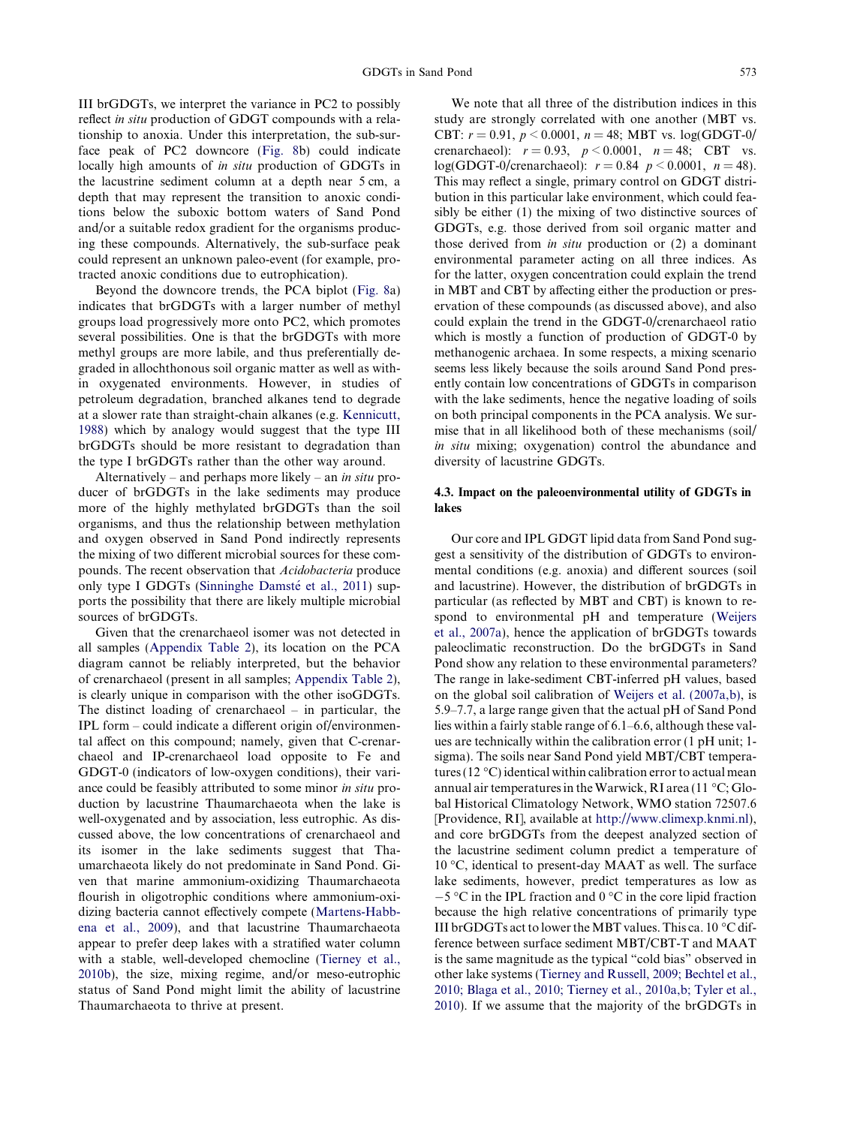III brGDGTs, we interpret the variance in PC2 to possibly reflect in situ production of GDGT compounds with a relationship to anoxia. Under this interpretation, the sub-surface peak of PC2 downcore ([Fig. 8b](#page-9-0)) could indicate locally high amounts of in situ production of GDGTs in the lacustrine sediment column at a depth near 5 cm, a depth that may represent the transition to anoxic conditions below the suboxic bottom waters of Sand Pond and/or a suitable redox gradient for the organisms producing these compounds. Alternatively, the sub-surface peak could represent an unknown paleo-event (for example, protracted anoxic conditions due to eutrophication).

Beyond the downcore trends, the PCA biplot ([Fig. 8a](#page-9-0)) indicates that brGDGTs with a larger number of methyl groups load progressively more onto PC2, which promotes several possibilities. One is that the brGDGTs with more methyl groups are more labile, and thus preferentially degraded in allochthonous soil organic matter as well as within oxygenated environments. However, in studies of petroleum degradation, branched alkanes tend to degrade at a slower rate than straight-chain alkanes (e.g. [Kennicutt,](#page-18-0) [1988](#page-18-0)) which by analogy would suggest that the type III brGDGTs should be more resistant to degradation than the type I brGDGTs rather than the other way around.

Alternatively – and perhaps more likely – an *in situ* producer of brGDGTs in the lake sediments may produce more of the highly methylated brGDGTs than the soil organisms, and thus the relationship between methylation and oxygen observed in Sand Pond indirectly represents the mixing of two different microbial sources for these compounds. The recent observation that Acidobacteria produce only type I GDGTs (Sinninghe Damsté et al., 2011) supports the possibility that there are likely multiple microbial sources of brGDGTs.

Given that the crenarchaeol isomer was not detected in all samples [\(Appendix Table 2](#page-14-0)), its location on the PCA diagram cannot be reliably interpreted, but the behavior of crenarchaeol (present in all samples; [Appendix Table 2](#page-14-0)), is clearly unique in comparison with the other isoGDGTs. The distinct loading of crenarchaeol – in particular, the IPL form – could indicate a different origin of/environmental affect on this compound; namely, given that C-crenarchaeol and IP-crenarchaeol load opposite to Fe and GDGT-0 (indicators of low-oxygen conditions), their variance could be feasibly attributed to some minor in situ production by lacustrine Thaumarchaeota when the lake is well-oxygenated and by association, less eutrophic. As discussed above, the low concentrations of crenarchaeol and its isomer in the lake sediments suggest that Thaumarchaeota likely do not predominate in Sand Pond. Given that marine ammonium-oxidizing Thaumarchaeota flourish in oligotrophic conditions where ammonium-oxidizing bacteria cannot effectively compete ([Martens-Habb](#page-18-0)[ena et al., 2009](#page-18-0)), and that lacustrine Thaumarchaeota appear to prefer deep lakes with a stratified water column with a stable, well-developed chemocline ([Tierney et al.,](#page-19-0) [2010b](#page-19-0)), the size, mixing regime, and/or meso-eutrophic status of Sand Pond might limit the ability of lacustrine Thaumarchaeota to thrive at present.

We note that all three of the distribution indices in this study are strongly correlated with one another (MBT vs. CBT:  $r = 0.91$ ,  $p \le 0.0001$ ,  $n = 48$ ; MBT vs. log(GDGT-0/ crenarchaeol):  $r = 0.93$ ,  $p < 0.0001$ ,  $n = 48$ ; CBT vs. log(GDGT-0/crenarchaeol):  $r = 0.84$   $p < 0.0001$ ,  $n = 48$ ). This may reflect a single, primary control on GDGT distribution in this particular lake environment, which could feasibly be either (1) the mixing of two distinctive sources of GDGTs, e.g. those derived from soil organic matter and those derived from in situ production or (2) a dominant environmental parameter acting on all three indices. As for the latter, oxygen concentration could explain the trend in MBT and CBT by affecting either the production or preservation of these compounds (as discussed above), and also could explain the trend in the GDGT-0/crenarchaeol ratio which is mostly a function of production of GDGT-0 by methanogenic archaea. In some respects, a mixing scenario seems less likely because the soils around Sand Pond presently contain low concentrations of GDGTs in comparison with the lake sediments, hence the negative loading of soils on both principal components in the PCA analysis. We surmise that in all likelihood both of these mechanisms (soil/ in situ mixing; oxygenation) control the abundance and diversity of lacustrine GDGTs.

#### 4.3. Impact on the paleoenvironmental utility of GDGTs in lakes

Our core and IPL GDGT lipid data from Sand Pond suggest a sensitivity of the distribution of GDGTs to environmental conditions (e.g. anoxia) and different sources (soil and lacustrine). However, the distribution of brGDGTs in particular (as reflected by MBT and CBT) is known to respond to environmental pH and temperature ([Weijers](#page-20-0) [et al., 2007a\)](#page-20-0), hence the application of brGDGTs towards paleoclimatic reconstruction. Do the brGDGTs in Sand Pond show any relation to these environmental parameters? The range in lake-sediment CBT-inferred pH values, based on the global soil calibration of [Weijers et al. \(2007a,b\)](#page-20-0), is 5.9–7.7, a large range given that the actual pH of Sand Pond lies within a fairly stable range of 6.1–6.6, although these values are technically within the calibration error (1 pH unit; 1 sigma). The soils near Sand Pond yield MBT/CBT temperatures (12 °C) identical within calibration error to actual mean annual air temperatures in the Warwick, RI area (11 °C; Global Historical Climatology Network, WMO station 72507.6 [Providence, RI], available at <http://www.climexp.knmi.nl>), and core brGDGTs from the deepest analyzed section of the lacustrine sediment column predict a temperature of 10  $\degree$ C, identical to present-day MAAT as well. The surface lake sediments, however, predict temperatures as low as  $-5$  °C in the IPL fraction and 0 °C in the core lipid fraction because the high relative concentrations of primarily type III brGDGTs act to lower the MBT values. This ca. 10  $\degree$ C difference between surface sediment MBT/CBT-T and MAAT is the same magnitude as the typical "cold bias" observed in other lake systems ([Tierney and Russell, 2009; Bechtel et al.,](#page-19-0) [2010; Blaga et al., 2010; Tierney et al., 2010a,b; Tyler et al.,](#page-19-0) [2010](#page-19-0)). If we assume that the majority of the brGDGTs in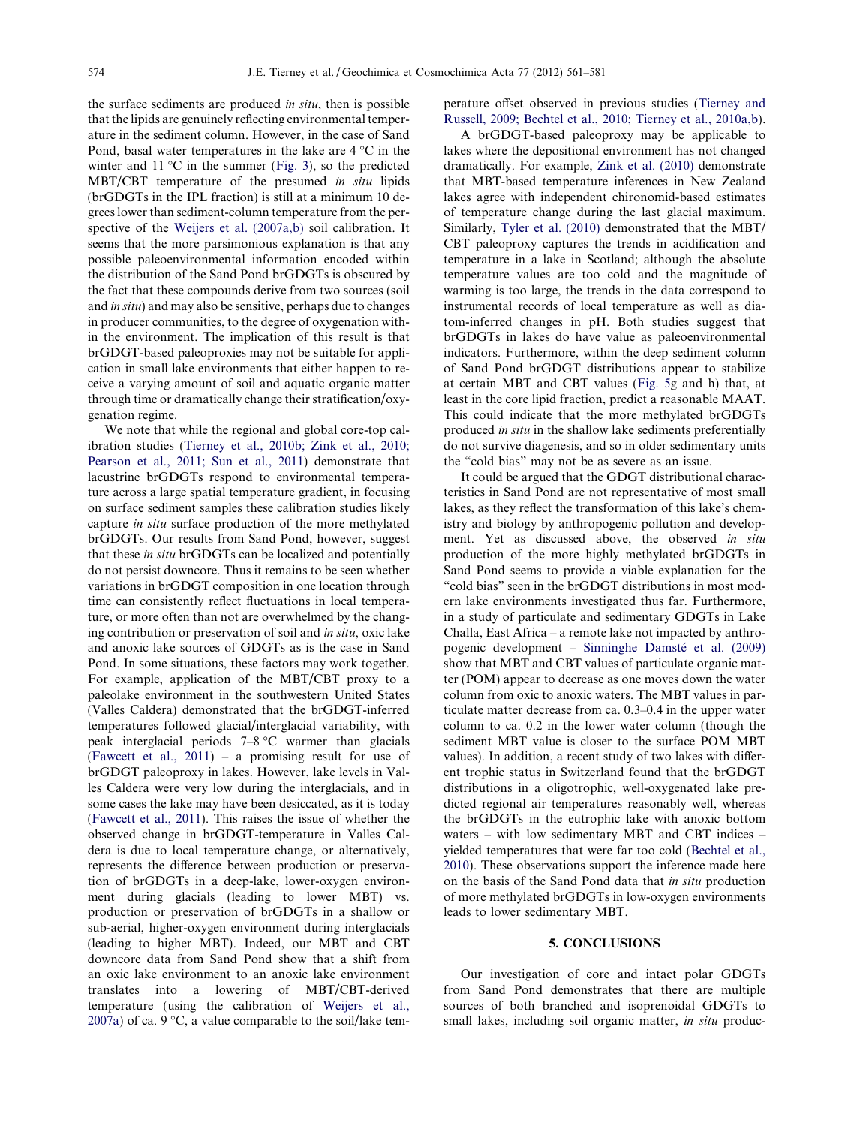the surface sediments are produced in situ, then is possible that the lipids are genuinely reflecting environmental temperature in the sediment column. However, in the case of Sand Pond, basal water temperatures in the lake are  $4^{\circ}$ C in the winter and  $11 \degree C$  in the summer ([Fig. 3\)](#page-5-0), so the predicted MBT/CBT temperature of the presumed in situ lipids (brGDGTs in the IPL fraction) is still at a minimum 10 degrees lower than sediment-column temperature from the per-spective of the [Weijers et al. \(2007a,b\)](#page-20-0) soil calibration. It seems that the more parsimonious explanation is that any possible paleoenvironmental information encoded within the distribution of the Sand Pond brGDGTs is obscured by the fact that these compounds derive from two sources (soil and in situ) and may also be sensitive, perhaps due to changes in producer communities, to the degree of oxygenation within the environment. The implication of this result is that brGDGT-based paleoproxies may not be suitable for application in small lake environments that either happen to receive a varying amount of soil and aquatic organic matter through time or dramatically change their stratification/oxygenation regime.

We note that while the regional and global core-top calibration studies ([Tierney et al., 2010b; Zink et al., 2010;](#page-19-0) [Pearson et al., 2011; Sun et al., 2011](#page-19-0)) demonstrate that lacustrine brGDGTs respond to environmental temperature across a large spatial temperature gradient, in focusing on surface sediment samples these calibration studies likely capture in situ surface production of the more methylated brGDGTs. Our results from Sand Pond, however, suggest that these in situ brGDGTs can be localized and potentially do not persist downcore. Thus it remains to be seen whether variations in brGDGT composition in one location through time can consistently reflect fluctuations in local temperature, or more often than not are overwhelmed by the changing contribution or preservation of soil and in situ, oxic lake and anoxic lake sources of GDGTs as is the case in Sand Pond. In some situations, these factors may work together. For example, application of the MBT/CBT proxy to a paleolake environment in the southwestern United States (Valles Caldera) demonstrated that the brGDGT-inferred temperatures followed glacial/interglacial variability, with peak interglacial periods  $7-8$  °C warmer than glacials ([Fawcett et al., 2011](#page-18-0)) – a promising result for use of brGDGT paleoproxy in lakes. However, lake levels in Valles Caldera were very low during the interglacials, and in some cases the lake may have been desiccated, as it is today ([Fawcett et al., 2011\)](#page-18-0). This raises the issue of whether the observed change in brGDGT-temperature in Valles Caldera is due to local temperature change, or alternatively, represents the difference between production or preservation of brGDGTs in a deep-lake, lower-oxygen environment during glacials (leading to lower MBT) vs. production or preservation of brGDGTs in a shallow or sub-aerial, higher-oxygen environment during interglacials (leading to higher MBT). Indeed, our MBT and CBT downcore data from Sand Pond show that a shift from an oxic lake environment to an anoxic lake environment translates into a lowering of MBT/CBT-derived temperature (using the calibration of [Weijers et al.,](#page-20-0) [2007a](#page-20-0)) of ca. 9 °C, a value comparable to the soil/lake temperature offset observed in previous studies [\(Tierney and](#page-19-0) [Russell, 2009; Bechtel et al., 2010; Tierney et al., 2010a,b\)](#page-19-0).

A brGDGT-based paleoproxy may be applicable to lakes where the depositional environment has not changed dramatically. For example, [Zink et al. \(2010\)](#page-20-0) demonstrate that MBT-based temperature inferences in New Zealand lakes agree with independent chironomid-based estimates of temperature change during the last glacial maximum. Similarly, [Tyler et al. \(2010\)](#page-19-0) demonstrated that the MBT/ CBT paleoproxy captures the trends in acidification and temperature in a lake in Scotland; although the absolute temperature values are too cold and the magnitude of warming is too large, the trends in the data correspond to instrumental records of local temperature as well as diatom-inferred changes in pH. Both studies suggest that brGDGTs in lakes do have value as paleoenvironmental indicators. Furthermore, within the deep sediment column of Sand Pond brGDGT distributions appear to stabilize at certain MBT and CBT values [\(Fig. 5g](#page-7-0) and h) that, at least in the core lipid fraction, predict a reasonable MAAT. This could indicate that the more methylated brGDGTs produced in situ in the shallow lake sediments preferentially do not survive diagenesis, and so in older sedimentary units the "cold bias" may not be as severe as an issue.

It could be argued that the GDGT distributional characteristics in Sand Pond are not representative of most small lakes, as they reflect the transformation of this lake's chemistry and biology by anthropogenic pollution and development. Yet as discussed above, the observed in situ production of the more highly methylated brGDGTs in Sand Pond seems to provide a viable explanation for the "cold bias" seen in the brGDGT distributions in most modern lake environments investigated thus far. Furthermore, in a study of particulate and sedimentary GDGTs in Lake Challa, East Africa – a remote lake not impacted by anthropogenic development – Sinninghe Damsté et al. (2009) show that MBT and CBT values of particulate organic matter (POM) appear to decrease as one moves down the water column from oxic to anoxic waters. The MBT values in particulate matter decrease from ca. 0.3–0.4 in the upper water column to ca. 0.2 in the lower water column (though the sediment MBT value is closer to the surface POM MBT values). In addition, a recent study of two lakes with different trophic status in Switzerland found that the brGDGT distributions in a oligotrophic, well-oxygenated lake predicted regional air temperatures reasonably well, whereas the brGDGTs in the eutrophic lake with anoxic bottom waters – with low sedimentary MBT and CBT indices – yielded temperatures that were far too cold [\(Bechtel et al.,](#page-18-0) [2010\)](#page-18-0). These observations support the inference made here on the basis of the Sand Pond data that in situ production of more methylated brGDGTs in low-oxygen environments leads to lower sedimentary MBT.

## 5. CONCLUSIONS

Our investigation of core and intact polar GDGTs from Sand Pond demonstrates that there are multiple sources of both branched and isoprenoidal GDGTs to small lakes, including soil organic matter, in situ produc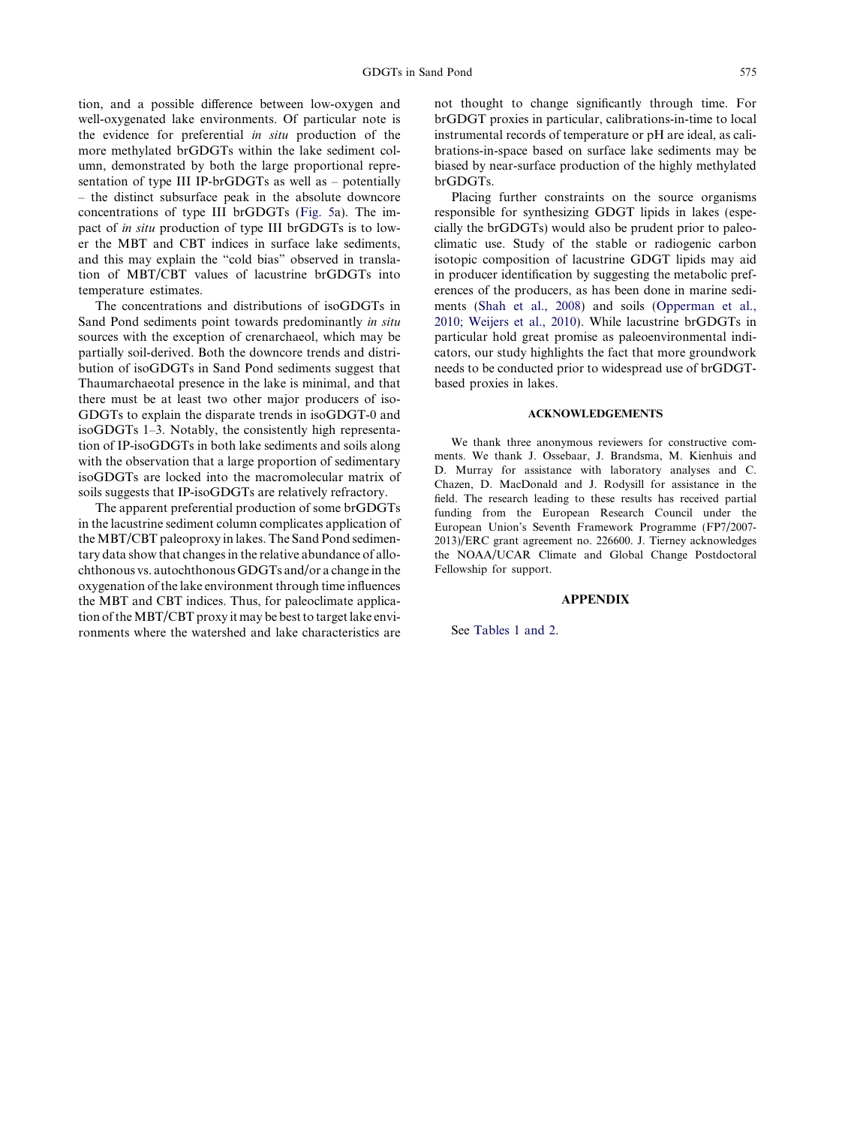<span id="page-14-0"></span>tion, and a possible difference between low-oxygen and well-oxygenated lake environments. Of particular note is the evidence for preferential in situ production of the more methylated brGDGTs within the lake sediment column, demonstrated by both the large proportional representation of type III IP-brGDGTs as well as – potentially – the distinct subsurface peak in the absolute downcore concentrations of type III brGDGTs ([Fig. 5a](#page-7-0)). The impact of in situ production of type III brGDGTs is to lower the MBT and CBT indices in surface lake sediments, and this may explain the "cold bias" observed in translation of MBT/CBT values of lacustrine brGDGTs into temperature estimates.

The concentrations and distributions of isoGDGTs in Sand Pond sediments point towards predominantly in situ sources with the exception of crenarchaeol, which may be partially soil-derived. Both the downcore trends and distribution of isoGDGTs in Sand Pond sediments suggest that Thaumarchaeotal presence in the lake is minimal, and that there must be at least two other major producers of iso-GDGTs to explain the disparate trends in isoGDGT-0 and isoGDGTs 1–3. Notably, the consistently high representation of IP-isoGDGTs in both lake sediments and soils along with the observation that a large proportion of sedimentary isoGDGTs are locked into the macromolecular matrix of soils suggests that IP-isoGDGTs are relatively refractory.

The apparent preferential production of some brGDGTs in the lacustrine sediment column complicates application of the MBT/CBT paleoproxy in lakes. The Sand Pond sedimentary data show that changes in the relative abundance of allochthonous vs. autochthonous GDGTs and/or a change in the oxygenation of the lake environment through time influences the MBT and CBT indices. Thus, for paleoclimate application of theMBT/CBT proxy it may be best to target lake environments where the watershed and lake characteristics are

not thought to change significantly through time. For brGDGT proxies in particular, calibrations-in-time to local instrumental records of temperature or pH are ideal, as calibrations-in-space based on surface lake sediments may be biased by near-surface production of the highly methylated brGDGTs.

Placing further constraints on the source organisms responsible for synthesizing GDGT lipids in lakes (especially the brGDGTs) would also be prudent prior to paleoclimatic use. Study of the stable or radiogenic carbon isotopic composition of lacustrine GDGT lipids may aid in producer identification by suggesting the metabolic preferences of the producers, as has been done in marine sediments [\(Shah et al., 2008\)](#page-19-0) and soils ([Opperman et al.,](#page-18-0) [2010; Weijers et al., 2010](#page-18-0)). While lacustrine brGDGTs in particular hold great promise as paleoenvironmental indicators, our study highlights the fact that more groundwork needs to be conducted prior to widespread use of brGDGTbased proxies in lakes.

#### ACKNOWLEDGEMENTS

We thank three anonymous reviewers for constructive comments. We thank J. Ossebaar, J. Brandsma, M. Kienhuis and D. Murray for assistance with laboratory analyses and C. Chazen, D. MacDonald and J. Rodysill for assistance in the field. The research leading to these results has received partial funding from the European Research Council under the European Union's Seventh Framework Programme (FP7/2007- 2013)/ERC grant agreement no. 226600. J. Tierney acknowledges the NOAA/UCAR Climate and Global Change Postdoctoral Fellowship for support.

#### APPENDIX

See [Tables 1 and 2.](#page-15-0)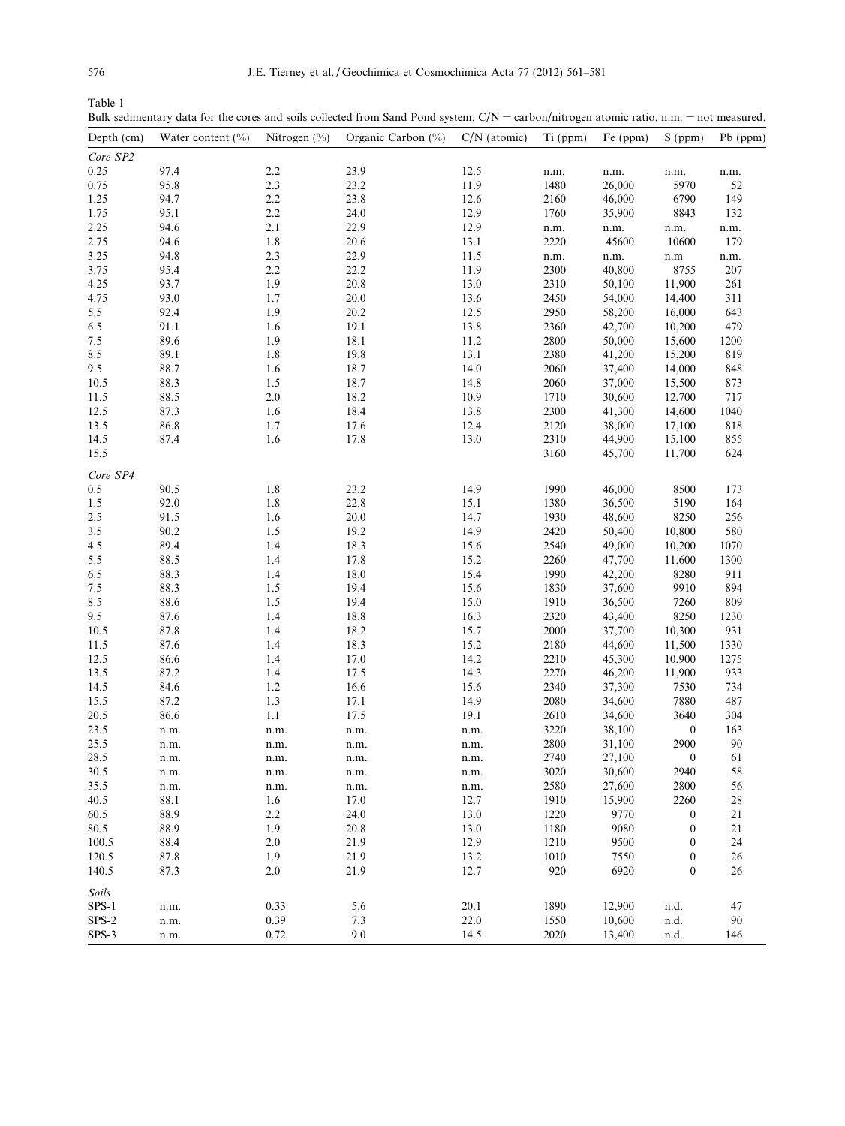<span id="page-15-0"></span>Table 1

Bulk sedimentary data for the cores and soils collected from Sand Pond system. C/N = carbon/nitrogen atomic ratio. n.m. = not measured.

| Core SP2<br>0.25<br>97.4<br>2.2<br>23.9<br>12.5<br>n.m.<br>n.m.<br>n.m.<br>n.m.<br>95.8<br>1480<br>5970<br>0.75<br>2.3<br>23.2<br>11.9<br>52<br>26,000<br>2.2<br>1.25<br>94.7<br>23.8<br>12.6<br>2160<br>46,000<br>6790<br>149<br>95.1<br>2.2<br>24.0<br>1.75<br>12.9<br>1760<br>8843<br>132<br>35,900<br>22.9<br>2.25<br>94.6<br>2.1<br>12.9<br>n.m.<br>n.m.<br>n.m.<br>n.m.<br>2.75<br>94.6<br>1.8<br>20.6<br>13.1<br>2220<br>45600<br>10600<br>179<br>22.9<br>3.25<br>94.8<br>2.3<br>11.5<br>n.m.<br>n.m.<br>n.m<br>n.m.<br>22.2<br>2300<br>3.75<br>95.4<br>2.2<br>11.9<br>40,800<br>8755<br>207<br>1.9<br>4.25<br>93.7<br>20.8<br>13.0<br>2310<br>50,100<br>11,900<br>261<br>4.75<br>93.0<br>1.7<br>20.0<br>13.6<br>2450<br>311<br>54,000<br>14,400<br>92.4<br>20.2<br>2950<br>643<br>5.5<br>1.9<br>12.5<br>58,200<br>16,000<br>479<br>6.5<br>91.1<br>1.6<br>19.1<br>13.8<br>2360<br>42,700<br>10,200<br>$7.5\,$<br>89.6<br>18.1<br>2800<br>1.9<br>11.2<br>50,000<br>15,600<br>1200<br>89.1<br>19.8<br>2380<br>819<br>8.5<br>1.8<br>13.1<br>41,200<br>15,200<br>9.5<br>88.7<br>18.7<br>2060<br>14,000<br>848<br>1.6<br>14.0<br>37,400<br>88.3<br>873<br>10.5<br>1.5<br>18.7<br>2060<br>37,000<br>15,500<br>14.8<br>88.5<br>18.2<br>1710<br>11.5<br>2.0<br>10.9<br>30,600<br>12,700<br>717<br>87.3<br>18.4<br>12.5<br>1.6<br>2300<br>14,600<br>1040<br>13.8<br>41,300<br>13.5<br>86.8<br>1.7<br>17.6<br>12.4<br>2120<br>38,000<br>17,100<br>818<br>87.4<br>1.6<br>2310<br>855<br>14.5<br>17.8<br>13.0<br>44,900<br>15,100<br>624<br>15.5<br>3160<br>45,700<br>11,700<br>Core SP4<br>0.5<br>1990<br>90.5<br>1.8<br>23.2<br>14.9<br>46,000<br>8500<br>173<br>22.8<br>1.5<br>92.0<br>1.8<br>15.1<br>1380<br>36,500<br>5190<br>164<br>2.5<br>91.5<br>20.0<br>1930<br>48,600<br>8250<br>256<br>1.6<br>14.7<br>3.5<br>90.2<br>19.2<br>580<br>1.5<br>14.9<br>2420<br>10,800<br>50,400<br>4.5<br>89.4<br>18.3<br>2540<br>1.4<br>15.6<br>49,000<br>10,200<br>1070<br>88.5<br>5.5<br>1.4<br>17.8<br>2260<br>47,700<br>1300<br>15.2<br>11,600<br>88.3<br>18.0<br>1990<br>6.5<br>1.4<br>15.4<br>42,200<br>8280<br>911<br>88.3<br>894<br>7.5<br>1.5<br>19.4<br>15.6<br>1830<br>37,600<br>9910<br>8.5<br>88.6<br>809<br>1.5<br>19.4<br>15.0<br>1910<br>7260<br>36,500<br>9.5<br>87.6<br>18.8<br>2320<br>8250<br>1.4<br>16.3<br>43,400<br>1230<br>87.8<br>10.5<br>18.2<br>15.7<br>2000<br>37,700<br>10,300<br>931<br>1.4<br>87.6<br>11.5<br>18.3<br>2180<br>1.4<br>15.2<br>44,600<br>11,500<br>1330<br>12.5<br>86.6<br>1.4<br>17.0<br>14.2<br>2210<br>45,300<br>10,900<br>1275<br>13.5<br>87.2<br>1.4<br>17.5<br>14.3<br>2270<br>46,200<br>11,900<br>933<br>84.6<br>16.6<br>14.5<br>1.2<br>15.6<br>2340<br>37,300<br>7530<br>734<br>87.2<br>15.5<br>1.3<br>17.1<br>14.9<br>2080<br>34,600<br>7880<br>487<br>20.5<br>86.6<br>17.5<br>1.1<br>19.1<br>2610<br>3640<br>304<br>34,600<br>23.5<br>3220<br>38,100<br>$\boldsymbol{0}$<br>163<br>n.m.<br>n.m.<br>n.m.<br>n.m.<br>25.5<br>2800<br>31,100<br>2900<br>90<br>n.m.<br>n.m.<br>n.m.<br>n.m.<br>28.5<br>2740<br>27,100<br>$\boldsymbol{0}$<br>61<br>n.m.<br>n.m.<br>n.m.<br>n.m.<br>30,600<br>2940<br>58<br>30.5<br>3020<br>n.m.<br>n.m.<br>n.m.<br>n.m.<br>35.5<br>2580<br>27,600<br>2800<br>56<br>n.m.<br>n.m.<br>n.m.<br>n.m.<br>40.5<br>88.1<br>12.7<br>1910<br>2260<br>1.6<br>17.0<br>15,900<br>28<br>88.9<br>24.0<br>13.0<br>1220<br>9770<br>60.5<br>2.2<br>$\boldsymbol{0}$<br>21<br>88.9<br>1.9<br>80.5<br>20.8<br>13.0<br>1180<br>9080<br>$\boldsymbol{0}$<br>21<br>100.5<br>88.4<br>$2.0\,$<br>21.9<br>12.9<br>1210<br>9500<br>$\boldsymbol{0}$<br>24<br>1010<br>120.5<br>87.8<br>1.9<br>21.9<br>13.2<br>7550<br>$\boldsymbol{0}$<br>26<br>140.5<br>87.3<br>2.0<br>21.9<br>12.7<br>920<br>6920<br>$\boldsymbol{0}$<br>26<br>Soils<br>$SPS-1$<br>5.6<br>20.1<br>1890<br>$47\,$<br>0.33<br>12,900<br>n.d.<br>n.m.<br>SPS-2<br>0.39<br>7.3<br>22.0<br>1550<br>10,600<br>90<br>n.d.<br>n.m.<br>$SPS-3$<br>0.72<br>9.0<br>14.5<br>2020<br>13,400<br>n.d.<br>146<br>n.m. | Depth (cm) | Water content $(\% )$ | Nitrogen $(\% )$ | Organic Carbon (%) | $C/N$ (atomic) | Ti (ppm) | Fe (ppm) | S (ppm) | Pb (ppm) |
|-------------------------------------------------------------------------------------------------------------------------------------------------------------------------------------------------------------------------------------------------------------------------------------------------------------------------------------------------------------------------------------------------------------------------------------------------------------------------------------------------------------------------------------------------------------------------------------------------------------------------------------------------------------------------------------------------------------------------------------------------------------------------------------------------------------------------------------------------------------------------------------------------------------------------------------------------------------------------------------------------------------------------------------------------------------------------------------------------------------------------------------------------------------------------------------------------------------------------------------------------------------------------------------------------------------------------------------------------------------------------------------------------------------------------------------------------------------------------------------------------------------------------------------------------------------------------------------------------------------------------------------------------------------------------------------------------------------------------------------------------------------------------------------------------------------------------------------------------------------------------------------------------------------------------------------------------------------------------------------------------------------------------------------------------------------------------------------------------------------------------------------------------------------------------------------------------------------------------------------------------------------------------------------------------------------------------------------------------------------------------------------------------------------------------------------------------------------------------------------------------------------------------------------------------------------------------------------------------------------------------------------------------------------------------------------------------------------------------------------------------------------------------------------------------------------------------------------------------------------------------------------------------------------------------------------------------------------------------------------------------------------------------------------------------------------------------------------------------------------------------------------------------------------------------------------------------------------------------------------------------------------------------------------------------------------------------------------------------------------------------------------------------------------------------------------------------------------------------------------------------------------------------------------------------------------------------------------------------------------------------------------------------------------------------------------------------------------------------------------------------------------------------------------------------------------------------------------------------------------------------------------------------------------------------------------------------------------------------------------------------------------------|------------|-----------------------|------------------|--------------------|----------------|----------|----------|---------|----------|
|                                                                                                                                                                                                                                                                                                                                                                                                                                                                                                                                                                                                                                                                                                                                                                                                                                                                                                                                                                                                                                                                                                                                                                                                                                                                                                                                                                                                                                                                                                                                                                                                                                                                                                                                                                                                                                                                                                                                                                                                                                                                                                                                                                                                                                                                                                                                                                                                                                                                                                                                                                                                                                                                                                                                                                                                                                                                                                                                                                                                                                                                                                                                                                                                                                                                                                                                                                                                                                                                                                                                                                                                                                                                                                                                                                                                                                                                                                                                                                                                                   |            |                       |                  |                    |                |          |          |         |          |
|                                                                                                                                                                                                                                                                                                                                                                                                                                                                                                                                                                                                                                                                                                                                                                                                                                                                                                                                                                                                                                                                                                                                                                                                                                                                                                                                                                                                                                                                                                                                                                                                                                                                                                                                                                                                                                                                                                                                                                                                                                                                                                                                                                                                                                                                                                                                                                                                                                                                                                                                                                                                                                                                                                                                                                                                                                                                                                                                                                                                                                                                                                                                                                                                                                                                                                                                                                                                                                                                                                                                                                                                                                                                                                                                                                                                                                                                                                                                                                                                                   |            |                       |                  |                    |                |          |          |         |          |
|                                                                                                                                                                                                                                                                                                                                                                                                                                                                                                                                                                                                                                                                                                                                                                                                                                                                                                                                                                                                                                                                                                                                                                                                                                                                                                                                                                                                                                                                                                                                                                                                                                                                                                                                                                                                                                                                                                                                                                                                                                                                                                                                                                                                                                                                                                                                                                                                                                                                                                                                                                                                                                                                                                                                                                                                                                                                                                                                                                                                                                                                                                                                                                                                                                                                                                                                                                                                                                                                                                                                                                                                                                                                                                                                                                                                                                                                                                                                                                                                                   |            |                       |                  |                    |                |          |          |         |          |
|                                                                                                                                                                                                                                                                                                                                                                                                                                                                                                                                                                                                                                                                                                                                                                                                                                                                                                                                                                                                                                                                                                                                                                                                                                                                                                                                                                                                                                                                                                                                                                                                                                                                                                                                                                                                                                                                                                                                                                                                                                                                                                                                                                                                                                                                                                                                                                                                                                                                                                                                                                                                                                                                                                                                                                                                                                                                                                                                                                                                                                                                                                                                                                                                                                                                                                                                                                                                                                                                                                                                                                                                                                                                                                                                                                                                                                                                                                                                                                                                                   |            |                       |                  |                    |                |          |          |         |          |
|                                                                                                                                                                                                                                                                                                                                                                                                                                                                                                                                                                                                                                                                                                                                                                                                                                                                                                                                                                                                                                                                                                                                                                                                                                                                                                                                                                                                                                                                                                                                                                                                                                                                                                                                                                                                                                                                                                                                                                                                                                                                                                                                                                                                                                                                                                                                                                                                                                                                                                                                                                                                                                                                                                                                                                                                                                                                                                                                                                                                                                                                                                                                                                                                                                                                                                                                                                                                                                                                                                                                                                                                                                                                                                                                                                                                                                                                                                                                                                                                                   |            |                       |                  |                    |                |          |          |         |          |
|                                                                                                                                                                                                                                                                                                                                                                                                                                                                                                                                                                                                                                                                                                                                                                                                                                                                                                                                                                                                                                                                                                                                                                                                                                                                                                                                                                                                                                                                                                                                                                                                                                                                                                                                                                                                                                                                                                                                                                                                                                                                                                                                                                                                                                                                                                                                                                                                                                                                                                                                                                                                                                                                                                                                                                                                                                                                                                                                                                                                                                                                                                                                                                                                                                                                                                                                                                                                                                                                                                                                                                                                                                                                                                                                                                                                                                                                                                                                                                                                                   |            |                       |                  |                    |                |          |          |         |          |
|                                                                                                                                                                                                                                                                                                                                                                                                                                                                                                                                                                                                                                                                                                                                                                                                                                                                                                                                                                                                                                                                                                                                                                                                                                                                                                                                                                                                                                                                                                                                                                                                                                                                                                                                                                                                                                                                                                                                                                                                                                                                                                                                                                                                                                                                                                                                                                                                                                                                                                                                                                                                                                                                                                                                                                                                                                                                                                                                                                                                                                                                                                                                                                                                                                                                                                                                                                                                                                                                                                                                                                                                                                                                                                                                                                                                                                                                                                                                                                                                                   |            |                       |                  |                    |                |          |          |         |          |
|                                                                                                                                                                                                                                                                                                                                                                                                                                                                                                                                                                                                                                                                                                                                                                                                                                                                                                                                                                                                                                                                                                                                                                                                                                                                                                                                                                                                                                                                                                                                                                                                                                                                                                                                                                                                                                                                                                                                                                                                                                                                                                                                                                                                                                                                                                                                                                                                                                                                                                                                                                                                                                                                                                                                                                                                                                                                                                                                                                                                                                                                                                                                                                                                                                                                                                                                                                                                                                                                                                                                                                                                                                                                                                                                                                                                                                                                                                                                                                                                                   |            |                       |                  |                    |                |          |          |         |          |
|                                                                                                                                                                                                                                                                                                                                                                                                                                                                                                                                                                                                                                                                                                                                                                                                                                                                                                                                                                                                                                                                                                                                                                                                                                                                                                                                                                                                                                                                                                                                                                                                                                                                                                                                                                                                                                                                                                                                                                                                                                                                                                                                                                                                                                                                                                                                                                                                                                                                                                                                                                                                                                                                                                                                                                                                                                                                                                                                                                                                                                                                                                                                                                                                                                                                                                                                                                                                                                                                                                                                                                                                                                                                                                                                                                                                                                                                                                                                                                                                                   |            |                       |                  |                    |                |          |          |         |          |
|                                                                                                                                                                                                                                                                                                                                                                                                                                                                                                                                                                                                                                                                                                                                                                                                                                                                                                                                                                                                                                                                                                                                                                                                                                                                                                                                                                                                                                                                                                                                                                                                                                                                                                                                                                                                                                                                                                                                                                                                                                                                                                                                                                                                                                                                                                                                                                                                                                                                                                                                                                                                                                                                                                                                                                                                                                                                                                                                                                                                                                                                                                                                                                                                                                                                                                                                                                                                                                                                                                                                                                                                                                                                                                                                                                                                                                                                                                                                                                                                                   |            |                       |                  |                    |                |          |          |         |          |
|                                                                                                                                                                                                                                                                                                                                                                                                                                                                                                                                                                                                                                                                                                                                                                                                                                                                                                                                                                                                                                                                                                                                                                                                                                                                                                                                                                                                                                                                                                                                                                                                                                                                                                                                                                                                                                                                                                                                                                                                                                                                                                                                                                                                                                                                                                                                                                                                                                                                                                                                                                                                                                                                                                                                                                                                                                                                                                                                                                                                                                                                                                                                                                                                                                                                                                                                                                                                                                                                                                                                                                                                                                                                                                                                                                                                                                                                                                                                                                                                                   |            |                       |                  |                    |                |          |          |         |          |
|                                                                                                                                                                                                                                                                                                                                                                                                                                                                                                                                                                                                                                                                                                                                                                                                                                                                                                                                                                                                                                                                                                                                                                                                                                                                                                                                                                                                                                                                                                                                                                                                                                                                                                                                                                                                                                                                                                                                                                                                                                                                                                                                                                                                                                                                                                                                                                                                                                                                                                                                                                                                                                                                                                                                                                                                                                                                                                                                                                                                                                                                                                                                                                                                                                                                                                                                                                                                                                                                                                                                                                                                                                                                                                                                                                                                                                                                                                                                                                                                                   |            |                       |                  |                    |                |          |          |         |          |
|                                                                                                                                                                                                                                                                                                                                                                                                                                                                                                                                                                                                                                                                                                                                                                                                                                                                                                                                                                                                                                                                                                                                                                                                                                                                                                                                                                                                                                                                                                                                                                                                                                                                                                                                                                                                                                                                                                                                                                                                                                                                                                                                                                                                                                                                                                                                                                                                                                                                                                                                                                                                                                                                                                                                                                                                                                                                                                                                                                                                                                                                                                                                                                                                                                                                                                                                                                                                                                                                                                                                                                                                                                                                                                                                                                                                                                                                                                                                                                                                                   |            |                       |                  |                    |                |          |          |         |          |
|                                                                                                                                                                                                                                                                                                                                                                                                                                                                                                                                                                                                                                                                                                                                                                                                                                                                                                                                                                                                                                                                                                                                                                                                                                                                                                                                                                                                                                                                                                                                                                                                                                                                                                                                                                                                                                                                                                                                                                                                                                                                                                                                                                                                                                                                                                                                                                                                                                                                                                                                                                                                                                                                                                                                                                                                                                                                                                                                                                                                                                                                                                                                                                                                                                                                                                                                                                                                                                                                                                                                                                                                                                                                                                                                                                                                                                                                                                                                                                                                                   |            |                       |                  |                    |                |          |          |         |          |
|                                                                                                                                                                                                                                                                                                                                                                                                                                                                                                                                                                                                                                                                                                                                                                                                                                                                                                                                                                                                                                                                                                                                                                                                                                                                                                                                                                                                                                                                                                                                                                                                                                                                                                                                                                                                                                                                                                                                                                                                                                                                                                                                                                                                                                                                                                                                                                                                                                                                                                                                                                                                                                                                                                                                                                                                                                                                                                                                                                                                                                                                                                                                                                                                                                                                                                                                                                                                                                                                                                                                                                                                                                                                                                                                                                                                                                                                                                                                                                                                                   |            |                       |                  |                    |                |          |          |         |          |
|                                                                                                                                                                                                                                                                                                                                                                                                                                                                                                                                                                                                                                                                                                                                                                                                                                                                                                                                                                                                                                                                                                                                                                                                                                                                                                                                                                                                                                                                                                                                                                                                                                                                                                                                                                                                                                                                                                                                                                                                                                                                                                                                                                                                                                                                                                                                                                                                                                                                                                                                                                                                                                                                                                                                                                                                                                                                                                                                                                                                                                                                                                                                                                                                                                                                                                                                                                                                                                                                                                                                                                                                                                                                                                                                                                                                                                                                                                                                                                                                                   |            |                       |                  |                    |                |          |          |         |          |
|                                                                                                                                                                                                                                                                                                                                                                                                                                                                                                                                                                                                                                                                                                                                                                                                                                                                                                                                                                                                                                                                                                                                                                                                                                                                                                                                                                                                                                                                                                                                                                                                                                                                                                                                                                                                                                                                                                                                                                                                                                                                                                                                                                                                                                                                                                                                                                                                                                                                                                                                                                                                                                                                                                                                                                                                                                                                                                                                                                                                                                                                                                                                                                                                                                                                                                                                                                                                                                                                                                                                                                                                                                                                                                                                                                                                                                                                                                                                                                                                                   |            |                       |                  |                    |                |          |          |         |          |
|                                                                                                                                                                                                                                                                                                                                                                                                                                                                                                                                                                                                                                                                                                                                                                                                                                                                                                                                                                                                                                                                                                                                                                                                                                                                                                                                                                                                                                                                                                                                                                                                                                                                                                                                                                                                                                                                                                                                                                                                                                                                                                                                                                                                                                                                                                                                                                                                                                                                                                                                                                                                                                                                                                                                                                                                                                                                                                                                                                                                                                                                                                                                                                                                                                                                                                                                                                                                                                                                                                                                                                                                                                                                                                                                                                                                                                                                                                                                                                                                                   |            |                       |                  |                    |                |          |          |         |          |
|                                                                                                                                                                                                                                                                                                                                                                                                                                                                                                                                                                                                                                                                                                                                                                                                                                                                                                                                                                                                                                                                                                                                                                                                                                                                                                                                                                                                                                                                                                                                                                                                                                                                                                                                                                                                                                                                                                                                                                                                                                                                                                                                                                                                                                                                                                                                                                                                                                                                                                                                                                                                                                                                                                                                                                                                                                                                                                                                                                                                                                                                                                                                                                                                                                                                                                                                                                                                                                                                                                                                                                                                                                                                                                                                                                                                                                                                                                                                                                                                                   |            |                       |                  |                    |                |          |          |         |          |
|                                                                                                                                                                                                                                                                                                                                                                                                                                                                                                                                                                                                                                                                                                                                                                                                                                                                                                                                                                                                                                                                                                                                                                                                                                                                                                                                                                                                                                                                                                                                                                                                                                                                                                                                                                                                                                                                                                                                                                                                                                                                                                                                                                                                                                                                                                                                                                                                                                                                                                                                                                                                                                                                                                                                                                                                                                                                                                                                                                                                                                                                                                                                                                                                                                                                                                                                                                                                                                                                                                                                                                                                                                                                                                                                                                                                                                                                                                                                                                                                                   |            |                       |                  |                    |                |          |          |         |          |
|                                                                                                                                                                                                                                                                                                                                                                                                                                                                                                                                                                                                                                                                                                                                                                                                                                                                                                                                                                                                                                                                                                                                                                                                                                                                                                                                                                                                                                                                                                                                                                                                                                                                                                                                                                                                                                                                                                                                                                                                                                                                                                                                                                                                                                                                                                                                                                                                                                                                                                                                                                                                                                                                                                                                                                                                                                                                                                                                                                                                                                                                                                                                                                                                                                                                                                                                                                                                                                                                                                                                                                                                                                                                                                                                                                                                                                                                                                                                                                                                                   |            |                       |                  |                    |                |          |          |         |          |
|                                                                                                                                                                                                                                                                                                                                                                                                                                                                                                                                                                                                                                                                                                                                                                                                                                                                                                                                                                                                                                                                                                                                                                                                                                                                                                                                                                                                                                                                                                                                                                                                                                                                                                                                                                                                                                                                                                                                                                                                                                                                                                                                                                                                                                                                                                                                                                                                                                                                                                                                                                                                                                                                                                                                                                                                                                                                                                                                                                                                                                                                                                                                                                                                                                                                                                                                                                                                                                                                                                                                                                                                                                                                                                                                                                                                                                                                                                                                                                                                                   |            |                       |                  |                    |                |          |          |         |          |
|                                                                                                                                                                                                                                                                                                                                                                                                                                                                                                                                                                                                                                                                                                                                                                                                                                                                                                                                                                                                                                                                                                                                                                                                                                                                                                                                                                                                                                                                                                                                                                                                                                                                                                                                                                                                                                                                                                                                                                                                                                                                                                                                                                                                                                                                                                                                                                                                                                                                                                                                                                                                                                                                                                                                                                                                                                                                                                                                                                                                                                                                                                                                                                                                                                                                                                                                                                                                                                                                                                                                                                                                                                                                                                                                                                                                                                                                                                                                                                                                                   |            |                       |                  |                    |                |          |          |         |          |
|                                                                                                                                                                                                                                                                                                                                                                                                                                                                                                                                                                                                                                                                                                                                                                                                                                                                                                                                                                                                                                                                                                                                                                                                                                                                                                                                                                                                                                                                                                                                                                                                                                                                                                                                                                                                                                                                                                                                                                                                                                                                                                                                                                                                                                                                                                                                                                                                                                                                                                                                                                                                                                                                                                                                                                                                                                                                                                                                                                                                                                                                                                                                                                                                                                                                                                                                                                                                                                                                                                                                                                                                                                                                                                                                                                                                                                                                                                                                                                                                                   |            |                       |                  |                    |                |          |          |         |          |
|                                                                                                                                                                                                                                                                                                                                                                                                                                                                                                                                                                                                                                                                                                                                                                                                                                                                                                                                                                                                                                                                                                                                                                                                                                                                                                                                                                                                                                                                                                                                                                                                                                                                                                                                                                                                                                                                                                                                                                                                                                                                                                                                                                                                                                                                                                                                                                                                                                                                                                                                                                                                                                                                                                                                                                                                                                                                                                                                                                                                                                                                                                                                                                                                                                                                                                                                                                                                                                                                                                                                                                                                                                                                                                                                                                                                                                                                                                                                                                                                                   |            |                       |                  |                    |                |          |          |         |          |
|                                                                                                                                                                                                                                                                                                                                                                                                                                                                                                                                                                                                                                                                                                                                                                                                                                                                                                                                                                                                                                                                                                                                                                                                                                                                                                                                                                                                                                                                                                                                                                                                                                                                                                                                                                                                                                                                                                                                                                                                                                                                                                                                                                                                                                                                                                                                                                                                                                                                                                                                                                                                                                                                                                                                                                                                                                                                                                                                                                                                                                                                                                                                                                                                                                                                                                                                                                                                                                                                                                                                                                                                                                                                                                                                                                                                                                                                                                                                                                                                                   |            |                       |                  |                    |                |          |          |         |          |
|                                                                                                                                                                                                                                                                                                                                                                                                                                                                                                                                                                                                                                                                                                                                                                                                                                                                                                                                                                                                                                                                                                                                                                                                                                                                                                                                                                                                                                                                                                                                                                                                                                                                                                                                                                                                                                                                                                                                                                                                                                                                                                                                                                                                                                                                                                                                                                                                                                                                                                                                                                                                                                                                                                                                                                                                                                                                                                                                                                                                                                                                                                                                                                                                                                                                                                                                                                                                                                                                                                                                                                                                                                                                                                                                                                                                                                                                                                                                                                                                                   |            |                       |                  |                    |                |          |          |         |          |
|                                                                                                                                                                                                                                                                                                                                                                                                                                                                                                                                                                                                                                                                                                                                                                                                                                                                                                                                                                                                                                                                                                                                                                                                                                                                                                                                                                                                                                                                                                                                                                                                                                                                                                                                                                                                                                                                                                                                                                                                                                                                                                                                                                                                                                                                                                                                                                                                                                                                                                                                                                                                                                                                                                                                                                                                                                                                                                                                                                                                                                                                                                                                                                                                                                                                                                                                                                                                                                                                                                                                                                                                                                                                                                                                                                                                                                                                                                                                                                                                                   |            |                       |                  |                    |                |          |          |         |          |
|                                                                                                                                                                                                                                                                                                                                                                                                                                                                                                                                                                                                                                                                                                                                                                                                                                                                                                                                                                                                                                                                                                                                                                                                                                                                                                                                                                                                                                                                                                                                                                                                                                                                                                                                                                                                                                                                                                                                                                                                                                                                                                                                                                                                                                                                                                                                                                                                                                                                                                                                                                                                                                                                                                                                                                                                                                                                                                                                                                                                                                                                                                                                                                                                                                                                                                                                                                                                                                                                                                                                                                                                                                                                                                                                                                                                                                                                                                                                                                                                                   |            |                       |                  |                    |                |          |          |         |          |
|                                                                                                                                                                                                                                                                                                                                                                                                                                                                                                                                                                                                                                                                                                                                                                                                                                                                                                                                                                                                                                                                                                                                                                                                                                                                                                                                                                                                                                                                                                                                                                                                                                                                                                                                                                                                                                                                                                                                                                                                                                                                                                                                                                                                                                                                                                                                                                                                                                                                                                                                                                                                                                                                                                                                                                                                                                                                                                                                                                                                                                                                                                                                                                                                                                                                                                                                                                                                                                                                                                                                                                                                                                                                                                                                                                                                                                                                                                                                                                                                                   |            |                       |                  |                    |                |          |          |         |          |
|                                                                                                                                                                                                                                                                                                                                                                                                                                                                                                                                                                                                                                                                                                                                                                                                                                                                                                                                                                                                                                                                                                                                                                                                                                                                                                                                                                                                                                                                                                                                                                                                                                                                                                                                                                                                                                                                                                                                                                                                                                                                                                                                                                                                                                                                                                                                                                                                                                                                                                                                                                                                                                                                                                                                                                                                                                                                                                                                                                                                                                                                                                                                                                                                                                                                                                                                                                                                                                                                                                                                                                                                                                                                                                                                                                                                                                                                                                                                                                                                                   |            |                       |                  |                    |                |          |          |         |          |
|                                                                                                                                                                                                                                                                                                                                                                                                                                                                                                                                                                                                                                                                                                                                                                                                                                                                                                                                                                                                                                                                                                                                                                                                                                                                                                                                                                                                                                                                                                                                                                                                                                                                                                                                                                                                                                                                                                                                                                                                                                                                                                                                                                                                                                                                                                                                                                                                                                                                                                                                                                                                                                                                                                                                                                                                                                                                                                                                                                                                                                                                                                                                                                                                                                                                                                                                                                                                                                                                                                                                                                                                                                                                                                                                                                                                                                                                                                                                                                                                                   |            |                       |                  |                    |                |          |          |         |          |
|                                                                                                                                                                                                                                                                                                                                                                                                                                                                                                                                                                                                                                                                                                                                                                                                                                                                                                                                                                                                                                                                                                                                                                                                                                                                                                                                                                                                                                                                                                                                                                                                                                                                                                                                                                                                                                                                                                                                                                                                                                                                                                                                                                                                                                                                                                                                                                                                                                                                                                                                                                                                                                                                                                                                                                                                                                                                                                                                                                                                                                                                                                                                                                                                                                                                                                                                                                                                                                                                                                                                                                                                                                                                                                                                                                                                                                                                                                                                                                                                                   |            |                       |                  |                    |                |          |          |         |          |
|                                                                                                                                                                                                                                                                                                                                                                                                                                                                                                                                                                                                                                                                                                                                                                                                                                                                                                                                                                                                                                                                                                                                                                                                                                                                                                                                                                                                                                                                                                                                                                                                                                                                                                                                                                                                                                                                                                                                                                                                                                                                                                                                                                                                                                                                                                                                                                                                                                                                                                                                                                                                                                                                                                                                                                                                                                                                                                                                                                                                                                                                                                                                                                                                                                                                                                                                                                                                                                                                                                                                                                                                                                                                                                                                                                                                                                                                                                                                                                                                                   |            |                       |                  |                    |                |          |          |         |          |
|                                                                                                                                                                                                                                                                                                                                                                                                                                                                                                                                                                                                                                                                                                                                                                                                                                                                                                                                                                                                                                                                                                                                                                                                                                                                                                                                                                                                                                                                                                                                                                                                                                                                                                                                                                                                                                                                                                                                                                                                                                                                                                                                                                                                                                                                                                                                                                                                                                                                                                                                                                                                                                                                                                                                                                                                                                                                                                                                                                                                                                                                                                                                                                                                                                                                                                                                                                                                                                                                                                                                                                                                                                                                                                                                                                                                                                                                                                                                                                                                                   |            |                       |                  |                    |                |          |          |         |          |
|                                                                                                                                                                                                                                                                                                                                                                                                                                                                                                                                                                                                                                                                                                                                                                                                                                                                                                                                                                                                                                                                                                                                                                                                                                                                                                                                                                                                                                                                                                                                                                                                                                                                                                                                                                                                                                                                                                                                                                                                                                                                                                                                                                                                                                                                                                                                                                                                                                                                                                                                                                                                                                                                                                                                                                                                                                                                                                                                                                                                                                                                                                                                                                                                                                                                                                                                                                                                                                                                                                                                                                                                                                                                                                                                                                                                                                                                                                                                                                                                                   |            |                       |                  |                    |                |          |          |         |          |
|                                                                                                                                                                                                                                                                                                                                                                                                                                                                                                                                                                                                                                                                                                                                                                                                                                                                                                                                                                                                                                                                                                                                                                                                                                                                                                                                                                                                                                                                                                                                                                                                                                                                                                                                                                                                                                                                                                                                                                                                                                                                                                                                                                                                                                                                                                                                                                                                                                                                                                                                                                                                                                                                                                                                                                                                                                                                                                                                                                                                                                                                                                                                                                                                                                                                                                                                                                                                                                                                                                                                                                                                                                                                                                                                                                                                                                                                                                                                                                                                                   |            |                       |                  |                    |                |          |          |         |          |
|                                                                                                                                                                                                                                                                                                                                                                                                                                                                                                                                                                                                                                                                                                                                                                                                                                                                                                                                                                                                                                                                                                                                                                                                                                                                                                                                                                                                                                                                                                                                                                                                                                                                                                                                                                                                                                                                                                                                                                                                                                                                                                                                                                                                                                                                                                                                                                                                                                                                                                                                                                                                                                                                                                                                                                                                                                                                                                                                                                                                                                                                                                                                                                                                                                                                                                                                                                                                                                                                                                                                                                                                                                                                                                                                                                                                                                                                                                                                                                                                                   |            |                       |                  |                    |                |          |          |         |          |
|                                                                                                                                                                                                                                                                                                                                                                                                                                                                                                                                                                                                                                                                                                                                                                                                                                                                                                                                                                                                                                                                                                                                                                                                                                                                                                                                                                                                                                                                                                                                                                                                                                                                                                                                                                                                                                                                                                                                                                                                                                                                                                                                                                                                                                                                                                                                                                                                                                                                                                                                                                                                                                                                                                                                                                                                                                                                                                                                                                                                                                                                                                                                                                                                                                                                                                                                                                                                                                                                                                                                                                                                                                                                                                                                                                                                                                                                                                                                                                                                                   |            |                       |                  |                    |                |          |          |         |          |
|                                                                                                                                                                                                                                                                                                                                                                                                                                                                                                                                                                                                                                                                                                                                                                                                                                                                                                                                                                                                                                                                                                                                                                                                                                                                                                                                                                                                                                                                                                                                                                                                                                                                                                                                                                                                                                                                                                                                                                                                                                                                                                                                                                                                                                                                                                                                                                                                                                                                                                                                                                                                                                                                                                                                                                                                                                                                                                                                                                                                                                                                                                                                                                                                                                                                                                                                                                                                                                                                                                                                                                                                                                                                                                                                                                                                                                                                                                                                                                                                                   |            |                       |                  |                    |                |          |          |         |          |
|                                                                                                                                                                                                                                                                                                                                                                                                                                                                                                                                                                                                                                                                                                                                                                                                                                                                                                                                                                                                                                                                                                                                                                                                                                                                                                                                                                                                                                                                                                                                                                                                                                                                                                                                                                                                                                                                                                                                                                                                                                                                                                                                                                                                                                                                                                                                                                                                                                                                                                                                                                                                                                                                                                                                                                                                                                                                                                                                                                                                                                                                                                                                                                                                                                                                                                                                                                                                                                                                                                                                                                                                                                                                                                                                                                                                                                                                                                                                                                                                                   |            |                       |                  |                    |                |          |          |         |          |
|                                                                                                                                                                                                                                                                                                                                                                                                                                                                                                                                                                                                                                                                                                                                                                                                                                                                                                                                                                                                                                                                                                                                                                                                                                                                                                                                                                                                                                                                                                                                                                                                                                                                                                                                                                                                                                                                                                                                                                                                                                                                                                                                                                                                                                                                                                                                                                                                                                                                                                                                                                                                                                                                                                                                                                                                                                                                                                                                                                                                                                                                                                                                                                                                                                                                                                                                                                                                                                                                                                                                                                                                                                                                                                                                                                                                                                                                                                                                                                                                                   |            |                       |                  |                    |                |          |          |         |          |
|                                                                                                                                                                                                                                                                                                                                                                                                                                                                                                                                                                                                                                                                                                                                                                                                                                                                                                                                                                                                                                                                                                                                                                                                                                                                                                                                                                                                                                                                                                                                                                                                                                                                                                                                                                                                                                                                                                                                                                                                                                                                                                                                                                                                                                                                                                                                                                                                                                                                                                                                                                                                                                                                                                                                                                                                                                                                                                                                                                                                                                                                                                                                                                                                                                                                                                                                                                                                                                                                                                                                                                                                                                                                                                                                                                                                                                                                                                                                                                                                                   |            |                       |                  |                    |                |          |          |         |          |
|                                                                                                                                                                                                                                                                                                                                                                                                                                                                                                                                                                                                                                                                                                                                                                                                                                                                                                                                                                                                                                                                                                                                                                                                                                                                                                                                                                                                                                                                                                                                                                                                                                                                                                                                                                                                                                                                                                                                                                                                                                                                                                                                                                                                                                                                                                                                                                                                                                                                                                                                                                                                                                                                                                                                                                                                                                                                                                                                                                                                                                                                                                                                                                                                                                                                                                                                                                                                                                                                                                                                                                                                                                                                                                                                                                                                                                                                                                                                                                                                                   |            |                       |                  |                    |                |          |          |         |          |
|                                                                                                                                                                                                                                                                                                                                                                                                                                                                                                                                                                                                                                                                                                                                                                                                                                                                                                                                                                                                                                                                                                                                                                                                                                                                                                                                                                                                                                                                                                                                                                                                                                                                                                                                                                                                                                                                                                                                                                                                                                                                                                                                                                                                                                                                                                                                                                                                                                                                                                                                                                                                                                                                                                                                                                                                                                                                                                                                                                                                                                                                                                                                                                                                                                                                                                                                                                                                                                                                                                                                                                                                                                                                                                                                                                                                                                                                                                                                                                                                                   |            |                       |                  |                    |                |          |          |         |          |
|                                                                                                                                                                                                                                                                                                                                                                                                                                                                                                                                                                                                                                                                                                                                                                                                                                                                                                                                                                                                                                                                                                                                                                                                                                                                                                                                                                                                                                                                                                                                                                                                                                                                                                                                                                                                                                                                                                                                                                                                                                                                                                                                                                                                                                                                                                                                                                                                                                                                                                                                                                                                                                                                                                                                                                                                                                                                                                                                                                                                                                                                                                                                                                                                                                                                                                                                                                                                                                                                                                                                                                                                                                                                                                                                                                                                                                                                                                                                                                                                                   |            |                       |                  |                    |                |          |          |         |          |
|                                                                                                                                                                                                                                                                                                                                                                                                                                                                                                                                                                                                                                                                                                                                                                                                                                                                                                                                                                                                                                                                                                                                                                                                                                                                                                                                                                                                                                                                                                                                                                                                                                                                                                                                                                                                                                                                                                                                                                                                                                                                                                                                                                                                                                                                                                                                                                                                                                                                                                                                                                                                                                                                                                                                                                                                                                                                                                                                                                                                                                                                                                                                                                                                                                                                                                                                                                                                                                                                                                                                                                                                                                                                                                                                                                                                                                                                                                                                                                                                                   |            |                       |                  |                    |                |          |          |         |          |
|                                                                                                                                                                                                                                                                                                                                                                                                                                                                                                                                                                                                                                                                                                                                                                                                                                                                                                                                                                                                                                                                                                                                                                                                                                                                                                                                                                                                                                                                                                                                                                                                                                                                                                                                                                                                                                                                                                                                                                                                                                                                                                                                                                                                                                                                                                                                                                                                                                                                                                                                                                                                                                                                                                                                                                                                                                                                                                                                                                                                                                                                                                                                                                                                                                                                                                                                                                                                                                                                                                                                                                                                                                                                                                                                                                                                                                                                                                                                                                                                                   |            |                       |                  |                    |                |          |          |         |          |
|                                                                                                                                                                                                                                                                                                                                                                                                                                                                                                                                                                                                                                                                                                                                                                                                                                                                                                                                                                                                                                                                                                                                                                                                                                                                                                                                                                                                                                                                                                                                                                                                                                                                                                                                                                                                                                                                                                                                                                                                                                                                                                                                                                                                                                                                                                                                                                                                                                                                                                                                                                                                                                                                                                                                                                                                                                                                                                                                                                                                                                                                                                                                                                                                                                                                                                                                                                                                                                                                                                                                                                                                                                                                                                                                                                                                                                                                                                                                                                                                                   |            |                       |                  |                    |                |          |          |         |          |
|                                                                                                                                                                                                                                                                                                                                                                                                                                                                                                                                                                                                                                                                                                                                                                                                                                                                                                                                                                                                                                                                                                                                                                                                                                                                                                                                                                                                                                                                                                                                                                                                                                                                                                                                                                                                                                                                                                                                                                                                                                                                                                                                                                                                                                                                                                                                                                                                                                                                                                                                                                                                                                                                                                                                                                                                                                                                                                                                                                                                                                                                                                                                                                                                                                                                                                                                                                                                                                                                                                                                                                                                                                                                                                                                                                                                                                                                                                                                                                                                                   |            |                       |                  |                    |                |          |          |         |          |
|                                                                                                                                                                                                                                                                                                                                                                                                                                                                                                                                                                                                                                                                                                                                                                                                                                                                                                                                                                                                                                                                                                                                                                                                                                                                                                                                                                                                                                                                                                                                                                                                                                                                                                                                                                                                                                                                                                                                                                                                                                                                                                                                                                                                                                                                                                                                                                                                                                                                                                                                                                                                                                                                                                                                                                                                                                                                                                                                                                                                                                                                                                                                                                                                                                                                                                                                                                                                                                                                                                                                                                                                                                                                                                                                                                                                                                                                                                                                                                                                                   |            |                       |                  |                    |                |          |          |         |          |
|                                                                                                                                                                                                                                                                                                                                                                                                                                                                                                                                                                                                                                                                                                                                                                                                                                                                                                                                                                                                                                                                                                                                                                                                                                                                                                                                                                                                                                                                                                                                                                                                                                                                                                                                                                                                                                                                                                                                                                                                                                                                                                                                                                                                                                                                                                                                                                                                                                                                                                                                                                                                                                                                                                                                                                                                                                                                                                                                                                                                                                                                                                                                                                                                                                                                                                                                                                                                                                                                                                                                                                                                                                                                                                                                                                                                                                                                                                                                                                                                                   |            |                       |                  |                    |                |          |          |         |          |
|                                                                                                                                                                                                                                                                                                                                                                                                                                                                                                                                                                                                                                                                                                                                                                                                                                                                                                                                                                                                                                                                                                                                                                                                                                                                                                                                                                                                                                                                                                                                                                                                                                                                                                                                                                                                                                                                                                                                                                                                                                                                                                                                                                                                                                                                                                                                                                                                                                                                                                                                                                                                                                                                                                                                                                                                                                                                                                                                                                                                                                                                                                                                                                                                                                                                                                                                                                                                                                                                                                                                                                                                                                                                                                                                                                                                                                                                                                                                                                                                                   |            |                       |                  |                    |                |          |          |         |          |
|                                                                                                                                                                                                                                                                                                                                                                                                                                                                                                                                                                                                                                                                                                                                                                                                                                                                                                                                                                                                                                                                                                                                                                                                                                                                                                                                                                                                                                                                                                                                                                                                                                                                                                                                                                                                                                                                                                                                                                                                                                                                                                                                                                                                                                                                                                                                                                                                                                                                                                                                                                                                                                                                                                                                                                                                                                                                                                                                                                                                                                                                                                                                                                                                                                                                                                                                                                                                                                                                                                                                                                                                                                                                                                                                                                                                                                                                                                                                                                                                                   |            |                       |                  |                    |                |          |          |         |          |
|                                                                                                                                                                                                                                                                                                                                                                                                                                                                                                                                                                                                                                                                                                                                                                                                                                                                                                                                                                                                                                                                                                                                                                                                                                                                                                                                                                                                                                                                                                                                                                                                                                                                                                                                                                                                                                                                                                                                                                                                                                                                                                                                                                                                                                                                                                                                                                                                                                                                                                                                                                                                                                                                                                                                                                                                                                                                                                                                                                                                                                                                                                                                                                                                                                                                                                                                                                                                                                                                                                                                                                                                                                                                                                                                                                                                                                                                                                                                                                                                                   |            |                       |                  |                    |                |          |          |         |          |
|                                                                                                                                                                                                                                                                                                                                                                                                                                                                                                                                                                                                                                                                                                                                                                                                                                                                                                                                                                                                                                                                                                                                                                                                                                                                                                                                                                                                                                                                                                                                                                                                                                                                                                                                                                                                                                                                                                                                                                                                                                                                                                                                                                                                                                                                                                                                                                                                                                                                                                                                                                                                                                                                                                                                                                                                                                                                                                                                                                                                                                                                                                                                                                                                                                                                                                                                                                                                                                                                                                                                                                                                                                                                                                                                                                                                                                                                                                                                                                                                                   |            |                       |                  |                    |                |          |          |         |          |
|                                                                                                                                                                                                                                                                                                                                                                                                                                                                                                                                                                                                                                                                                                                                                                                                                                                                                                                                                                                                                                                                                                                                                                                                                                                                                                                                                                                                                                                                                                                                                                                                                                                                                                                                                                                                                                                                                                                                                                                                                                                                                                                                                                                                                                                                                                                                                                                                                                                                                                                                                                                                                                                                                                                                                                                                                                                                                                                                                                                                                                                                                                                                                                                                                                                                                                                                                                                                                                                                                                                                                                                                                                                                                                                                                                                                                                                                                                                                                                                                                   |            |                       |                  |                    |                |          |          |         |          |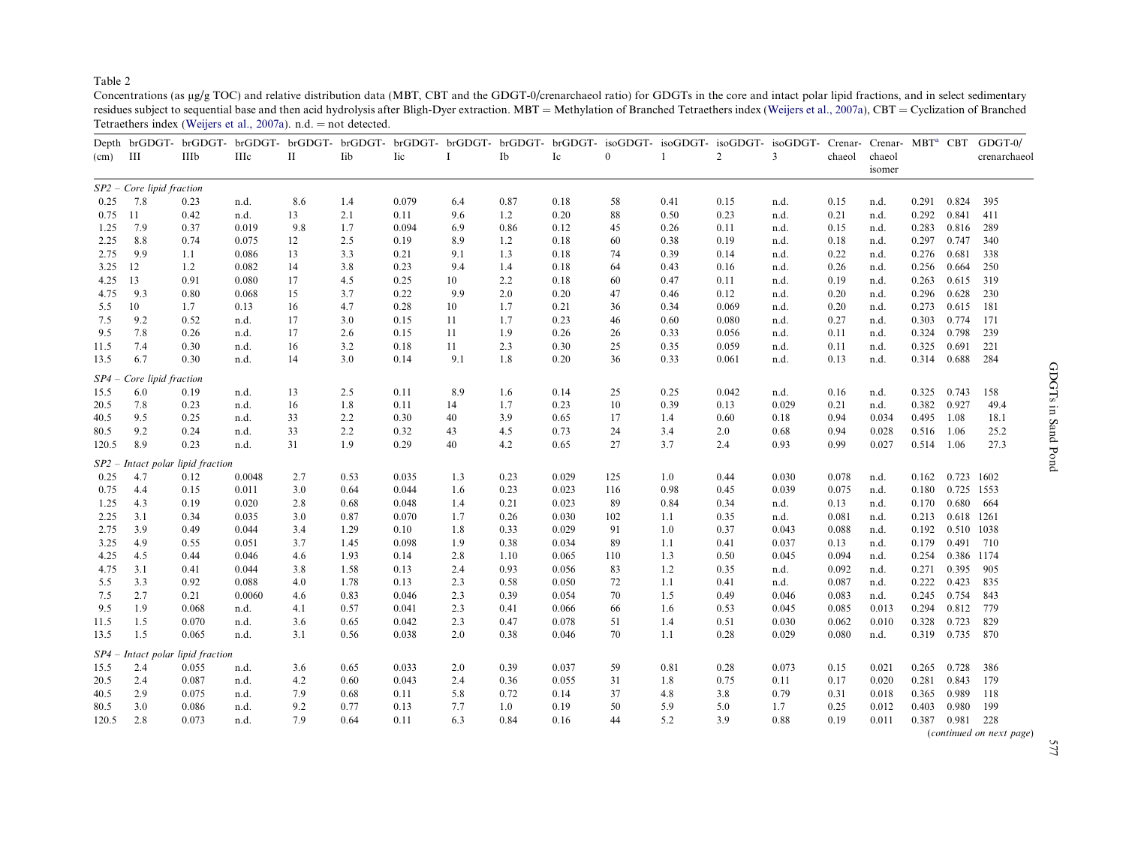#### Table 2

Concentrations (as µg/g TOC) and relative distribution data (MBT, CBT and the GDGT-0/crenarchaeol ratio) for GDGTs in the core and intact polar lipid fractions, and in select sedimentary residues subject to sequential base and then acid hydrolysis after Bligh-Dyer extraction. MBT = Methylation of Branched Tetraethers index ([Weijers](#page-20-0) et al., 2007a), CBT = Cyclization of Branched Tetraethers index ([Weijers](#page-20-0) et al., 2007a). n.d. <sup>=</sup> not detected.

|        |                             |                                     |                |     |      |            |            |              |                |           | Depth brGDGT- brGDGT- brGDGT- brGDGT- brGDGT- brGDGT- brGDGT- brGDGT- brGDGT- isoGDGT- isoGDGT- isoGDGT- isoGDGT- isoGDGT- Crenar- Crenar- MBT <sup>a</sup> CBT GDGT-0/ |       |       |                |        |                |                     |              |
|--------|-----------------------------|-------------------------------------|----------------|-----|------|------------|------------|--------------|----------------|-----------|-------------------------------------------------------------------------------------------------------------------------------------------------------------------------|-------|-------|----------------|--------|----------------|---------------------|--------------|
| (cm)   | Ш                           | IIIb                                | <b>IIIc</b>    | П   | Iib  | <b>Iic</b> | <b>I</b>   | Ib           | Ic             | $\theta$  | $\overline{1}$                                                                                                                                                          | 2     | 3     | chaeol         | chaeol |                |                     | crenarchaeol |
|        |                             |                                     |                |     |      |            |            |              |                |           |                                                                                                                                                                         |       |       |                | isomer |                |                     |              |
|        | $SP2$ – Core lipid fraction |                                     |                |     |      |            |            |              |                |           |                                                                                                                                                                         |       |       |                |        |                |                     |              |
| 0.25   | 7.8                         | 0.23                                | n.d.           | 8.6 | 1.4  | 0.079      | 6.4        | 0.87         | 0.18           | 58        | 0.41                                                                                                                                                                    | 0.15  | n.d.  | 0.15           | n.d.   | 0.291          | 0.824               | 395          |
| 0.75   | 11                          | 0.42                                | n.d.           | 13  | 2.1  | 0.11       | 9.6        | 1.2          | 0.20           | 88        | 0.50                                                                                                                                                                    | 0.23  | n.d.  | 0.21           | n.d.   | 0.292          | 0.841               | 411          |
| 1.25   | 7.9                         | 0.37                                | 0.019          | 9.8 | 1.7  | 0.094      | 6.9        | 0.86         | 0.12           | 45        | 0.26                                                                                                                                                                    | 0.11  | n.d.  | 0.15           | n.d.   | 0.283          | 0.816               | 289          |
| 2.25   | 8.8                         | 0.74                                | 0.075          | 12  | 2.5  | 0.19       | 8.9        | 1.2          | 0.18           | 60        | 0.38                                                                                                                                                                    | 0.19  | n.d.  | 0.18           | n.d.   | 0.297          | 0.747               | 340          |
| 2.75   | 9.9                         | 1.1                                 | 0.086          | 13  | 3.3  | 0.21       | 9.1        | 1.3          | 0.18           | 74        | 0.39                                                                                                                                                                    | 0.14  | n.d.  | 0.22           | n.d.   | 0.276          | 0.681               | 338          |
| 3.25   | 12                          | 1.2                                 | 0.082          | 14  | 3.8  | 0.23       | 9.4        | 1.4          | 0.18           | 64        | 0.43                                                                                                                                                                    | 0.16  | n.d.  | 0.26           | n.d.   | 0.256          | 0.664               | 250          |
| 4.25   | 13                          | 0.91                                | 0.080          | 17  | 4.5  | 0.25       | 10         | 2.2          | 0.18           | 60        | 0.47                                                                                                                                                                    | 0.11  | n.d.  | 0.19           | n.d.   | 0.263          | 0.615               | 319          |
| 4.75   | 9.3                         | 0.80                                | 0.068          | 15  | 3.7  | 0.22       | 9.9        | 2.0          | 0.20           | 47        | 0.46                                                                                                                                                                    | 0.12  | n.d.  | 0.20           | n.d.   | 0.296          | 0.628               | 230          |
| 5.5    | 10                          | 1.7                                 | 0.13           | 16  | 4.7  | 0.28       | 10         | 1.7          | 0.21           | 36        | 0.34                                                                                                                                                                    | 0.069 | n.d.  | 0.20           | n.d.   | 0.273          | 0.615               | 181          |
| 7.5    | 9.2                         | 0.52                                | n.d.           | 17  | 3.0  | 0.15       | 11         | 1.7          | 0.23           | 46        | 0.60                                                                                                                                                                    | 0.080 | n.d.  | 0.27           | n.d.   | 0.303          | 0.774               | 171          |
| 9.5    | 7.8                         | 0.26                                | n.d.           | 17  | 2.6  | 0.15       | 11         | 1.9          | 0.26           | 26        | 0.33                                                                                                                                                                    | 0.056 | n.d.  | 0.11           | n.d.   | 0.324          | 0.798               | 239          |
| 11.5   | 7.4                         | 0.30                                | n.d.           | 16  | 3.2  | 0.18       | 11         | 2.3          | 0.30           | 25        | 0.35                                                                                                                                                                    | 0.059 | n.d.  | 0.11           | n.d.   | 0.325          | 0.691               | 221          |
| 13.5   | 6.7                         | 0.30                                | n.d.           | 14  | 3.0  | 0.14       | 9.1        | 1.8          | 0.20           | 36        | 0.33                                                                                                                                                                    | 0.061 | n.d.  | 0.13           | n.d.   | 0.314 0.688    |                     | 284          |
| $SP4-$ | Core lipid fraction         |                                     |                |     |      |            |            |              |                |           |                                                                                                                                                                         |       |       |                |        |                |                     |              |
| 15.5   | 6.0                         | 0.19                                | n.d.           | 13  | 2.5  | 0.11       | 8.9        | 1.6          | 0.14           | 25        | 0.25                                                                                                                                                                    | 0.042 | n.d.  | 0.16           | n.d.   | 0.325          | 0.743               | 158          |
| 20.5   | 7.8                         | 0.23                                | n.d.           | 16  | 1.8  | 0.11       | 14         | 1.7          | 0.23           | 10        | 0.39                                                                                                                                                                    | 0.13  | 0.029 | 0.21           | n.d.   | 0.382          | 0.927               | 49.4         |
| 40.5   | 9.5                         | 0.25                                | n.d.           | 33  | 2.2  | 0.30       | 40         | 3.9          | 0.65           | 17        | 1.4                                                                                                                                                                     | 0.60  | 0.18  | 0.94           | 0.034  | 0.495          | 1.08                | 18.1         |
| 80.5   | 9.2                         | 0.24                                | n.d.           | 33  | 2.2  | 0.32       | 43         | 4.5          | 0.73           | 24        | 3.4                                                                                                                                                                     | 2.0   | 0.68  | 0.94           | 0.028  | 0.516          | 1.06                | 25.2         |
| 120.5  | 8.9                         | 0.23                                | n.d.           | 31  | 1.9  | 0.29       | 40         | 4.2          | 0.65           | 27        | 3.7                                                                                                                                                                     | 2.4   | 0.93  | 0.99           | 0.027  | 0.514          | 1.06                | 27.3         |
|        |                             |                                     |                |     |      |            |            |              |                |           |                                                                                                                                                                         |       |       |                |        |                |                     |              |
|        |                             | $SP2$ – Intact polar lipid fraction |                |     |      |            |            |              |                |           |                                                                                                                                                                         |       |       |                |        |                |                     |              |
| 0.25   | 4.7                         | 0.12                                | 0.0048         | 2.7 | 0.53 | 0.035      | 1.3        | 0.23         | 0.029          | 125       | 1.0                                                                                                                                                                     | 0.44  | 0.030 | 0.078          | n.d.   | 0.162          | 0.723 1602          |              |
| 0.75   | 4.4                         | 0.15                                | 0.011          | 3.0 | 0.64 | 0.044      | 1.6        | 0.23         | 0.023          | 116       | 0.98                                                                                                                                                                    | 0.45  | 0.039 | 0.075          | n.d.   | 0.180          | 0.725 1553          |              |
| 1.25   | 4.3                         | 0.19                                | 0.020          | 2.8 | 0.68 | 0.048      | 1.4        | 0.21         | 0.023          | 89        | 0.84                                                                                                                                                                    | 0.34  | n.d.  | 0.13           | n.d.   | 0.170          | 0.680               | 664          |
| 2.25   | 3.1                         | 0.34                                | 0.035          | 3.0 | 0.87 | 0.070      | 1.7        | 0.26         | 0.030          | 102       | 1.1                                                                                                                                                                     | 0.35  | n.d.  | 0.081          | n.d.   | 0.213          | 0.618 1261          |              |
| 2.75   | 3.9                         | 0.49                                | 0.044          | 3.4 | 1.29 | 0.10       | 1.8        | 0.33         | 0.029          | 91        | 1.0                                                                                                                                                                     | 0.37  | 0.043 | 0.088          | n.d.   | 0.192          | 0.510 1038          |              |
| 3.25   | 4.9                         | 0.55                                | 0.051          | 3.7 | 1.45 | 0.098      | 1.9        | 0.38         | 0.034          | 89        | 1.1                                                                                                                                                                     | 0.41  | 0.037 | 0.13           | n.d.   | 0.179          | 0.491 710           |              |
| 4.25   | 4.5                         | 0.44                                | 0.046          | 4.6 | 1.93 | 0.14       | 2.8        | 1.10         | 0.065          | 110<br>83 | 1.3                                                                                                                                                                     | 0.50  | 0.045 | 0.094          | n.d.   | 0.254          | 0.386 1174<br>0.395 | 905          |
| 4.75   | 3.1                         | 0.41<br>0.92                        | 0.044<br>0.088 | 3.8 | 1.58 | 0.13       | 2.4        | 0.93<br>0.58 | 0.056          |           | 1.2                                                                                                                                                                     | 0.35  | n.d.  | 0.092          | n.d.   | 0.271<br>0.222 | 0.423               |              |
| 5.5    | 3.3                         |                                     |                | 4.0 | 1.78 | 0.13       | 2.3        |              | 0.050          | 72        | 1.1                                                                                                                                                                     | 0.41  | n.d.  | 0.087          | n.d.   |                |                     | 835          |
| 7.5    | 2.7<br>1.9                  | 0.21                                | 0.0060         | 4.6 | 0.83 | 0.046      | 2.3        | 0.39         | 0.054          | 70        | 1.5                                                                                                                                                                     | 0.49  | 0.046 | 0.083          | n.d.   | 0.245<br>0.294 | 0.754               | 843<br>779   |
| 9.5    | 1.5                         | 0.068                               | n.d.           | 4.1 | 0.57 | 0.041      | 2.3<br>2.3 | 0.41         | 0.066<br>0.078 | 66<br>51  | 1.6                                                                                                                                                                     | 0.53  | 0.045 | 0.085          | 0.013  |                | 0.812<br>0.723      | 829          |
| 11.5   | 1.5                         | 0.070<br>0.065                      | n.d.           | 3.6 | 0.65 | 0.042      |            | 0.47<br>0.38 | 0.046          | 70        | 1.4<br>1.1                                                                                                                                                              | 0.51  | 0.030 | 0.062<br>0.080 | 0.010  | 0.328          |                     | 870          |
| 13.5   |                             |                                     | n.d.           | 3.1 | 0.56 | 0.038      | 2.0        |              |                |           |                                                                                                                                                                         | 0.28  | 0.029 |                | n.d.   | 0.319          | 0.735               |              |
| $SP4-$ |                             | Intact polar lipid fraction         |                |     |      |            |            |              |                |           |                                                                                                                                                                         |       |       |                |        |                |                     |              |
| 15.5   | 2.4                         | 0.055                               | n.d.           | 3.6 | 0.65 | 0.033      | 2.0        | 0.39         | 0.037          | 59        | 0.81                                                                                                                                                                    | 0.28  | 0.073 | 0.15           | 0.021  | 0.265          | 0.728               | 386          |
| 20.5   | 2.4                         | 0.087                               | n.d.           | 4.2 | 0.60 | 0.043      | 2.4        | 0.36         | 0.055          | 31        | 1.8                                                                                                                                                                     | 0.75  | 0.11  | 0.17           | 0.020  | 0.281          | 0.843               | 179          |
| 40.5   | 2.9                         | 0.075                               | n.d.           | 7.9 | 0.68 | 0.11       | 5.8        | 0.72         | 0.14           | 37        | 4.8                                                                                                                                                                     | 3.8   | 0.79  | 0.31           | 0.018  | 0.365          | 0.989               | 118          |
| 80.5   | 3.0                         | 0.086                               | n.d.           | 9.2 | 0.77 | 0.13       | 7.7        | 1.0          | 0.19           | 50        | 5.9                                                                                                                                                                     | 5.0   | 1.7   | 0.25           | 0.012  | 0.403          | 0.980               | 199          |
| 120.5  | 2.8                         | 0.073                               | n.d.           | 7.9 | 0.64 | 0.11       | 6.3        | 0.84         | 0.16           | 44        | 5.2                                                                                                                                                                     | 3.9   | 0.88  | 0.19           | 0.011  | 0.387          | 0.981               | 228          |

(continued on next page)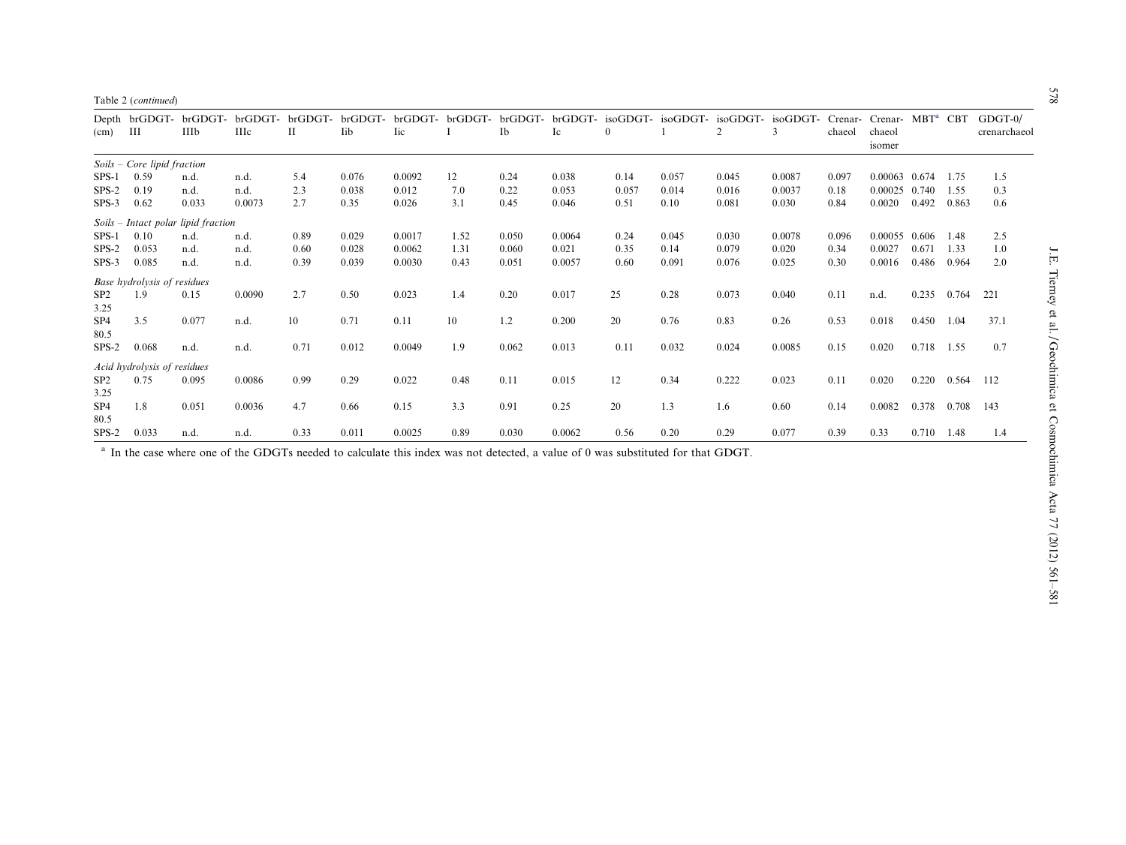<span id="page-17-0"></span>

| Table 2 (continued)     |                               |                                       |                        |              |                |            |                |               |               |          |       |       |                                          |                   |                                                  |       |       |                                   |
|-------------------------|-------------------------------|---------------------------------------|------------------------|--------------|----------------|------------|----------------|---------------|---------------|----------|-------|-------|------------------------------------------|-------------------|--------------------------------------------------|-------|-------|-----------------------------------|
| (cm)                    | Ш                             | Depth brGDGT- brGDGT-<br>IIIb         | brGDGT-<br><b>IIIc</b> | brGDGT-<br>П | brGDGT-<br>Iib | <b>Iic</b> | brGDGT-brGDGT- | brGDGT-<br>Ib | brGDGT-<br>Ic | $\Omega$ |       |       | isoGDGT- isoGDGT- isoGDGT- isoGDGT-<br>3 | Crenar-<br>chaeol | Crenar- MBT <sup>a</sup> CBT<br>chaeol<br>isomer |       |       | $G$ D $G$ T- $0/$<br>crenarchaeol |
|                         | $Soils$ – Core lipid fraction |                                       |                        |              |                |            |                |               |               |          |       |       |                                          |                   |                                                  |       |       |                                   |
| $SPS-1$                 | 0.59                          | n.d.                                  | n.d.                   | 5.4          | 0.076          | 0.0092     | 12             | 0.24          | 0.038         | 0.14     | 0.057 | 0.045 | 0.0087                                   | 0.097             | 0.00063 0.674                                    |       | 1.75  | 1.5                               |
| $SPS-2$                 | 0.19                          | n.d.                                  | n.d.                   | 2.3          | 0.038          | 0.012      | 7.0            | 0.22          | 0.053         | 0.057    | 0.014 | 0.016 | 0.0037                                   | 0.18              | 0.00025 0.740                                    |       | 1.55  | 0.3                               |
| $SPS-3$                 | 0.62                          | 0.033                                 | 0.0073                 | 2.7          | 0.35           | 0.026      | 3.1            | 0.45          | 0.046         | 0.51     | 0.10  | 0.081 | 0.030                                    | 0.84              | 0.0020                                           | 0.492 | 0.863 | 0.6                               |
|                         |                               | $Soils - Intact polar lipid fraction$ |                        |              |                |            |                |               |               |          |       |       |                                          |                   |                                                  |       |       |                                   |
| $SPS-1$                 | 0.10                          | n.d.                                  | n.d.                   | 0.89         | 0.029          | 0.0017     | 1.52           | 0.050         | 0.0064        | 0.24     | 0.045 | 0.030 | 0.0078                                   | 0.096             | 0.00055                                          | 0.606 | 1.48  | 2.5                               |
| $SPS-2$                 | 0.053                         | n.d.                                  | n.d.                   | 0.60         | 0.028          | 0.0062     | 1.31           | 0.060         | 0.021         | 0.35     | 0.14  | 0.079 | 0.020                                    | 0.34              | 0.0027                                           | 0.671 | 1.33  | 1.0                               |
| $SPS-3$                 | 0.085                         | n.d.                                  | n.d.                   | 0.39         | 0.039          | 0.0030     | 0.43           | 0.051         | 0.0057        | 0.60     | 0.091 | 0.076 | 0.025                                    | 0.30              | 0.0016                                           | 0.486 | 0.964 | 2.0                               |
|                         | Base hydrolysis of residues   |                                       |                        |              |                |            |                |               |               |          |       |       |                                          |                   |                                                  |       |       |                                   |
| SP <sub>2</sub><br>3.25 | 1.9                           | 0.15                                  | 0.0090                 | 2.7          | 0.50           | 0.023      | 1.4            | 0.20          | 0.017         | 25       | 0.28  | 0.073 | 0.040                                    | 0.11              | n.d.                                             | 0.235 | 0.764 | 221                               |
| SP <sub>4</sub>         | 3.5                           | 0.077                                 | n.d.                   | 10           | 0.71           | 0.11       | 10             | 1.2           | 0.200         | 20       | 0.76  | 0.83  | 0.26                                     | 0.53              | 0.018                                            | 0.450 | 1.04  | 37.1                              |
| 80.5                    |                               |                                       |                        |              |                |            |                |               |               |          |       |       |                                          |                   |                                                  |       |       |                                   |
| $SPS-2$                 | 0.068                         | n.d.                                  | n.d.                   | 0.71         | 0.012          | 0.0049     | 1.9            | 0.062         | 0.013         | 0.11     | 0.032 | 0.024 | 0.0085                                   | 0.15              | 0.020                                            | 0.718 | 1.55  | 0.7                               |
|                         | Acid hydrolysis of residues   |                                       |                        |              |                |            |                |               |               |          |       |       |                                          |                   |                                                  |       |       |                                   |
| SP <sub>2</sub>         | 0.75                          | 0.095                                 | 0.0086                 | 0.99         | 0.29           | 0.022      | 0.48           | 0.11          | 0.015         | 12       | 0.34  | 0.222 | 0.023                                    | 0.11              | 0.020                                            | 0.220 | 0.564 | 112                               |
| 3.25                    |                               |                                       |                        |              |                |            |                |               |               |          |       |       |                                          |                   |                                                  |       |       |                                   |
| SP <sub>4</sub>         | 1.8                           | 0.051                                 | 0.0036                 | 4.7          | 0.66           | 0.15       | 3.3            | 0.91          | 0.25          | 20       | 1.3   | 1.6   | 0.60                                     | 0.14              | 0.0082                                           | 0.378 | 0.708 | 143                               |
| 80.5                    |                               |                                       |                        |              |                |            |                |               |               |          |       |       |                                          |                   |                                                  |       |       |                                   |
| $SPS-2$                 | 0.033                         | n.d.                                  | n.d.                   | 0.33         | 0.011          | 0.0025     | 0.89           | 0.030         | 0.0062        | 0.56     | 0.20  | 0.29  | 0.077                                    | 0.39              | 0.33                                             | 0.710 | 1.48  | 1.4                               |

<sup>a</sup> In the case where one of the GDGTs needed to calculate this index was not detected, a value of 0 was substituted for that GDGT.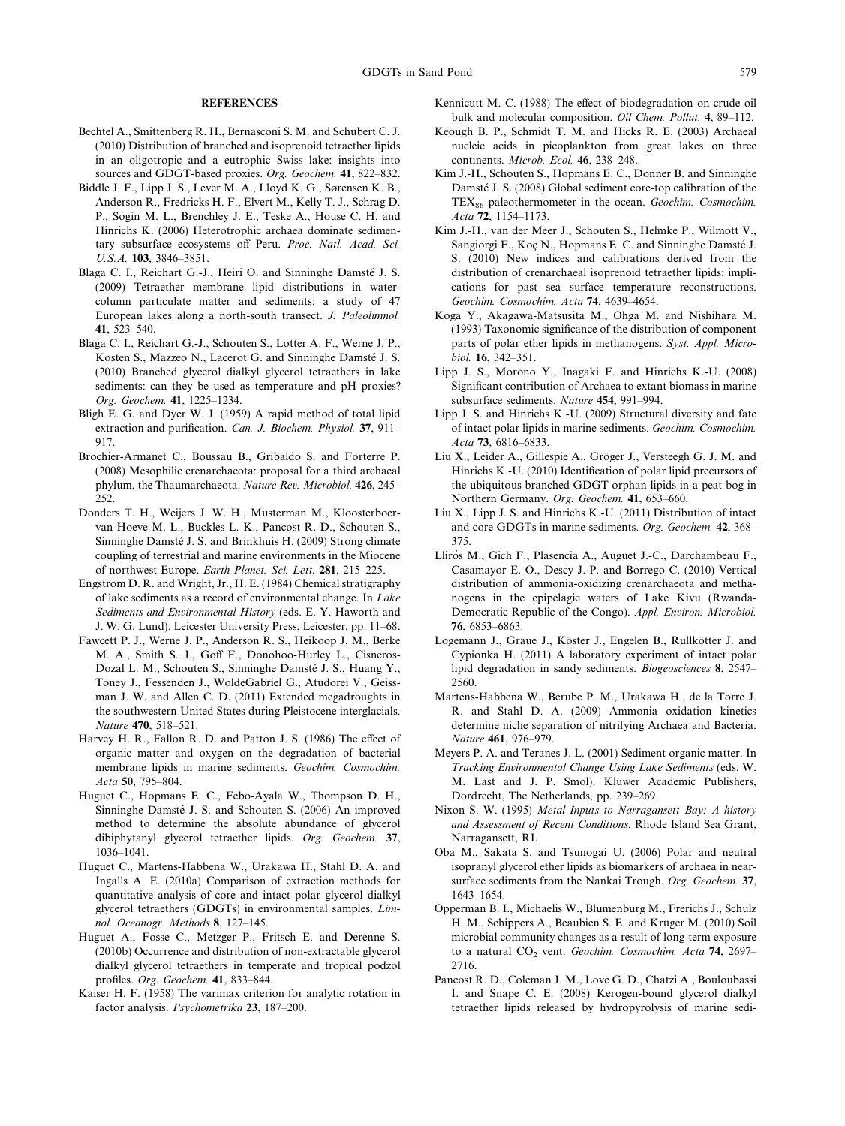#### **REFERENCES**

- <span id="page-18-0"></span>Bechtel A., Smittenberg R. H., Bernasconi S. M. and Schubert C. J. (2010) Distribution of branched and isoprenoid tetraether lipids in an oligotropic and a eutrophic Swiss lake: insights into sources and GDGT-based proxies. Org. Geochem. 41, 822-832.
- Biddle J. F., Lipp J. S., Lever M. A., Lloyd K. G., Sørensen K. B., Anderson R., Fredricks H. F., Elvert M., Kelly T. J., Schrag D. P., Sogin M. L., Brenchley J. E., Teske A., House C. H. and Hinrichs K. (2006) Heterotrophic archaea dominate sedimentary subsurface ecosystems off Peru. Proc. Natl. Acad. Sci. U.S.A. 103, 3846–3851.
- Blaga C. I., Reichart G.-J., Heiri O. and Sinninghe Damsté J. S. (2009) Tetraether membrane lipid distributions in watercolumn particulate matter and sediments: a study of 47 European lakes along a north-south transect. J. Paleolimnol. 41, 523–540.
- Blaga C. I., Reichart G.-J., Schouten S., Lotter A. F., Werne J. P., Kosten S., Mazzeo N., Lacerot G. and Sinninghe Damsté J. S. (2010) Branched glycerol dialkyl glycerol tetraethers in lake sediments: can they be used as temperature and pH proxies? Org. Geochem. 41, 1225–1234.
- Bligh E. G. and Dyer W. J. (1959) A rapid method of total lipid extraction and purification. Can. J. Biochem. Physiol. 37, 911– 917.
- Brochier-Armanet C., Boussau B., Gribaldo S. and Forterre P. (2008) Mesophilic crenarchaeota: proposal for a third archaeal phylum, the Thaumarchaeota. Nature Rev. Microbiol. 426, 245– 252.
- Donders T. H., Weijers J. W. H., Musterman M., Kloosterboervan Hoeve M. L., Buckles L. K., Pancost R. D., Schouten S., Sinninghe Damsté J. S. and Brinkhuis H. (2009) Strong climate coupling of terrestrial and marine environments in the Miocene of northwest Europe. Earth Planet. Sci. Lett. 281, 215–225.
- Engstrom D. R. and Wright, Jr., H. E. (1984) Chemical stratigraphy of lake sediments as a record of environmental change. In Lake Sediments and Environmental History (eds. E. Y. Haworth and J. W. G. Lund). Leicester University Press, Leicester, pp. 11–68.
- Fawcett P. J., Werne J. P., Anderson R. S., Heikoop J. M., Berke M. A., Smith S. J., Goff F., Donohoo-Hurley L., Cisneros-Dozal L. M., Schouten S., Sinninghe Damsté J. S., Huang Y., Toney J., Fessenden J., WoldeGabriel G., Atudorei V., Geissman J. W. and Allen C. D. (2011) Extended megadroughts in the southwestern United States during Pleistocene interglacials. Nature 470, 518–521.
- Harvey H. R., Fallon R. D. and Patton J. S. (1986) The effect of organic matter and oxygen on the degradation of bacterial membrane lipids in marine sediments. Geochim. Cosmochim. Acta 50, 795–804.
- Huguet C., Hopmans E. C., Febo-Ayala W., Thompson D. H., Sinninghe Damsté J. S. and Schouten S. (2006) An improved method to determine the absolute abundance of glycerol dibiphytanyl glycerol tetraether lipids. Org. Geochem. 37, 1036–1041.
- Huguet C., Martens-Habbena W., Urakawa H., Stahl D. A. and Ingalls A. E. (2010a) Comparison of extraction methods for quantitative analysis of core and intact polar glycerol dialkyl glycerol tetraethers (GDGTs) in environmental samples. Limnol. Oceanogr. Methods 8, 127–145.
- Huguet A., Fosse C., Metzger P., Fritsch E. and Derenne S. (2010b) Occurrence and distribution of non-extractable glycerol dialkyl glycerol tetraethers in temperate and tropical podzol profiles. Org. Geochem. 41, 833–844.
- Kaiser H. F. (1958) The varimax criterion for analytic rotation in factor analysis. Psychometrika 23, 187–200.
- Kennicutt M. C. (1988) The effect of biodegradation on crude oil bulk and molecular composition. Oil Chem. Pollut. 4, 89–112.
- Keough B. P., Schmidt T. M. and Hicks R. E. (2003) Archaeal nucleic acids in picoplankton from great lakes on three continents. Microb. Ecol. 46, 238–248.
- Kim J.-H., Schouten S., Hopmans E. C., Donner B. and Sinninghe Damsté J. S. (2008) Global sediment core-top calibration of the  $TEX<sub>86</sub>$  paleothermometer in the ocean. Geochim. Cosmochim. Acta 72, 1154–1173.
- Kim J.-H., van der Meer J., Schouten S., Helmke P., Wilmott V., Sangiorgi F., Koç N., Hopmans E. C. and Sinninghe Damsté J. S. (2010) New indices and calibrations derived from the distribution of crenarchaeal isoprenoid tetraether lipids: implications for past sea surface temperature reconstructions. Geochim. Cosmochim. Acta 74, 4639–4654.
- Koga Y., Akagawa-Matsusita M., Ohga M. and Nishihara M. (1993) Taxonomic significance of the distribution of component parts of polar ether lipids in methanogens. Syst. Appl. Microbiol. 16, 342–351.
- Lipp J. S., Morono Y., Inagaki F. and Hinrichs K.-U. (2008) Significant contribution of Archaea to extant biomass in marine subsurface sediments. Nature 454, 991–994.
- Lipp J. S. and Hinrichs K.-U. (2009) Structural diversity and fate of intact polar lipids in marine sediments. Geochim. Cosmochim. Acta 73, 6816–6833.
- Liu X., Leider A., Gillespie A., Gröger J., Versteegh G. J. M. and Hinrichs K.-U. (2010) Identification of polar lipid precursors of the ubiquitous branched GDGT orphan lipids in a peat bog in Northern Germany. Org. Geochem. 41, 653–660.
- Liu X., Lipp J. S. and Hinrichs K.-U. (2011) Distribution of intact and core GDGTs in marine sediments. Org. Geochem. 42, 368– 375.
- Llirós M., Gich F., Plasencia A., Auguet J.-C., Darchambeau F., Casamayor E. O., Descy J.-P. and Borrego C. (2010) Vertical distribution of ammonia-oxidizing crenarchaeota and methanogens in the epipelagic waters of Lake Kivu (Rwanda-Democratic Republic of the Congo). Appl. Environ. Microbiol. 76, 6853–6863.
- Logemann J., Graue J., Köster J., Engelen B., Rullkötter J. and Cypionka H. (2011) A laboratory experiment of intact polar lipid degradation in sandy sediments. Biogeosciences 8, 2547– 2560.
- Martens-Habbena W., Berube P. M., Urakawa H., de la Torre J. R. and Stahl D. A. (2009) Ammonia oxidation kinetics determine niche separation of nitrifying Archaea and Bacteria. Nature 461, 976–979.
- Meyers P. A. and Teranes J. L. (2001) Sediment organic matter. In Tracking Environmental Change Using Lake Sediments (eds. W. M. Last and J. P. Smol). Kluwer Academic Publishers, Dordrecht, The Netherlands, pp. 239–269.
- Nixon S. W. (1995) Metal Inputs to Narragansett Bay: A history and Assessment of Recent Conditions. Rhode Island Sea Grant, Narragansett, RI.
- Oba M., Sakata S. and Tsunogai U. (2006) Polar and neutral isopranyl glycerol ether lipids as biomarkers of archaea in nearsurface sediments from the Nankai Trough. Org. Geochem. 37, 1643–1654.
- Opperman B. I., Michaelis W., Blumenburg M., Frerichs J., Schulz H. M., Schippers A., Beaubien S. E. and Krüger M. (2010) Soil microbial community changes as a result of long-term exposure to a natural CO<sub>2</sub> vent. Geochim. Cosmochim. Acta 74, 2697-2716.
- Pancost R. D., Coleman J. M., Love G. D., Chatzi A., Bouloubassi I. and Snape C. E. (2008) Kerogen-bound glycerol dialkyl tetraether lipids released by hydropyrolysis of marine sedi-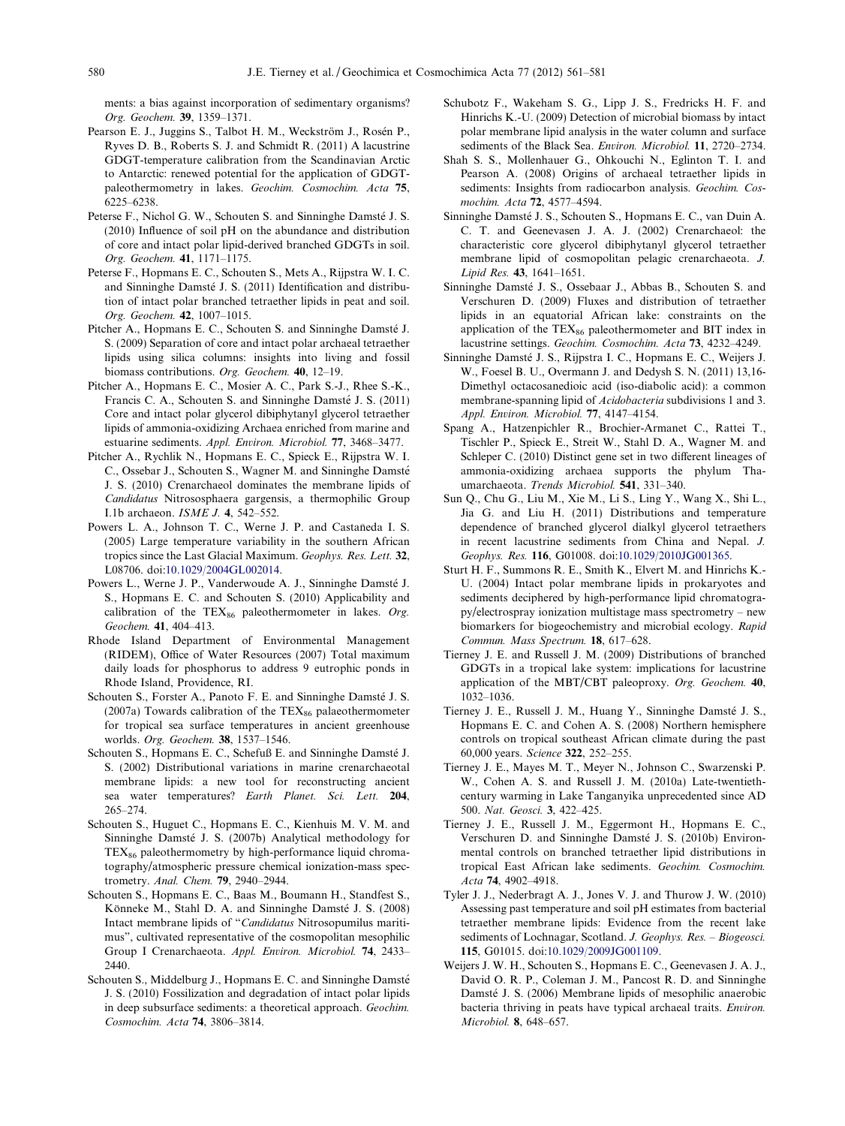<span id="page-19-0"></span>ments: a bias against incorporation of sedimentary organisms? Org. Geochem. 39, 1359–1371.

- Pearson E. J., Juggins S., Talbot H. M., Weckström J., Rosén P., Ryves D. B., Roberts S. J. and Schmidt R. (2011) A lacustrine GDGT-temperature calibration from the Scandinavian Arctic to Antarctic: renewed potential for the application of GDGTpaleothermometry in lakes. Geochim. Cosmochim. Acta 75, 6225–6238.
- Peterse F., Nichol G. W., Schouten S. and Sinninghe Damsté J. S. (2010) Influence of soil pH on the abundance and distribution of core and intact polar lipid-derived branched GDGTs in soil. Org. Geochem. 41, 1171–1175.
- Peterse F., Hopmans E. C., Schouten S., Mets A., Rijpstra W. I. C. and Sinninghe Damsté J. S. (2011) Identification and distribution of intact polar branched tetraether lipids in peat and soil. Org. Geochem. 42, 1007–1015.
- Pitcher A., Hopmans E. C., Schouten S. and Sinninghe Damsté J. S. (2009) Separation of core and intact polar archaeal tetraether lipids using silica columns: insights into living and fossil biomass contributions. Org. Geochem. 40, 12–19.
- Pitcher A., Hopmans E. C., Mosier A. C., Park S.-J., Rhee S.-K., Francis C. A., Schouten S. and Sinninghe Damsté J. S. (2011) Core and intact polar glycerol dibiphytanyl glycerol tetraether lipids of ammonia-oxidizing Archaea enriched from marine and estuarine sediments. Appl. Environ. Microbiol. 77, 3468–3477.
- Pitcher A., Rychlik N., Hopmans E. C., Spieck E., Rijpstra W. I. C., Ossebar J., Schouten S., Wagner M. and Sinninghe Damsté J. S. (2010) Crenarchaeol dominates the membrane lipids of Candidatus Nitrososphaera gargensis, a thermophilic Group I.1b archaeon. ISME J. 4, 542–552.
- Powers L. A., Johnson T. C., Werne J. P. and Castañeda I. S. (2005) Large temperature variability in the southern African tropics since the Last Glacial Maximum. Geophys. Res. Lett. 32, L08706. doi:[10.1029/2004GL002014.](http://dx.doi.org/10.1029/2004GL002014)
- Powers L., Werne J. P., Vanderwoude A. J., Sinninghe Damsté J. S., Hopmans E. C. and Schouten S. (2010) Applicability and calibration of the TEX $_{86}$  paleothermometer in lakes. Org. Geochem. 41, 404–413.
- Rhode Island Department of Environmental Management (RIDEM), Office of Water Resources (2007) Total maximum daily loads for phosphorus to address 9 eutrophic ponds in Rhode Island, Providence, RI.
- Schouten S., Forster A., Panoto F. E. and Sinninghe Damsté J. S. (2007a) Towards calibration of the TEX $_{86}$  palaeothermometer for tropical sea surface temperatures in ancient greenhouse worlds. Org. Geochem. 38, 1537–1546.
- Schouten S., Hopmans E. C., Schefuß E. and Sinninghe Damsté J. S. (2002) Distributional variations in marine crenarchaeotal membrane lipids: a new tool for reconstructing ancient sea water temperatures? Earth Planet. Sci. Lett. 204, 265–274.
- Schouten S., Huguet C., Hopmans E. C., Kienhuis M. V. M. and Sinninghe Damsté J. S. (2007b) Analytical methodology for  $TEX_{86}$  paleothermometry by high-performance liquid chromatography/atmospheric pressure chemical ionization-mass spectrometry. Anal. Chem. 79, 2940–2944.
- Schouten S., Hopmans E. C., Baas M., Boumann H., Standfest S., Könneke M., Stahl D. A. and Sinninghe Damsté J. S. (2008) Intact membrane lipids of "Candidatus Nitrosopumilus maritimus", cultivated representative of the cosmopolitan mesophilic Group I Crenarchaeota. Appl. Environ. Microbiol. 74, 2433– 2440.
- Schouten S., Middelburg J., Hopmans E. C. and Sinninghe Damsté J. S. (2010) Fossilization and degradation of intact polar lipids in deep subsurface sediments: a theoretical approach. Geochim. Cosmochim. Acta 74, 3806–3814.
- Schubotz F., Wakeham S. G., Lipp J. S., Fredricks H. F. and Hinrichs K.-U. (2009) Detection of microbial biomass by intact polar membrane lipid analysis in the water column and surface sediments of the Black Sea. Environ. Microbiol. 11, 2720–2734.
- Shah S. S., Mollenhauer G., Ohkouchi N., Eglinton T. I. and Pearson A. (2008) Origins of archaeal tetraether lipids in sediments: Insights from radiocarbon analysis. Geochim. Cosmochim. Acta 72, 4577–4594.
- Sinninghe Damsté J. S., Schouten S., Hopmans E. C., van Duin A. C. T. and Geenevasen J. A. J. (2002) Crenarchaeol: the characteristic core glycerol dibiphytanyl glycerol tetraether membrane lipid of cosmopolitan pelagic crenarchaeota. J. Lipid Res. 43, 1641–1651.
- Sinninghe Damsté J. S., Ossebaar J., Abbas B., Schouten S. and Verschuren D. (2009) Fluxes and distribution of tetraether lipids in an equatorial African lake: constraints on the application of the  $TEX_{86}$  paleothermometer and BIT index in lacustrine settings. Geochim. Cosmochim. Acta 73, 4232–4249.
- Sinninghe Damsté J. S., Rijpstra I. C., Hopmans E. C., Weijers J. W., Foesel B. U., Overmann J. and Dedysh S. N. (2011) 13,16- Dimethyl octacosanedioic acid (iso-diabolic acid): a common membrane-spanning lipid of Acidobacteria subdivisions 1 and 3. Appl. Environ. Microbiol. 77, 4147–4154.
- Spang A., Hatzenpichler R., Brochier-Armanet C., Rattei T., Tischler P., Spieck E., Streit W., Stahl D. A., Wagner M. and Schleper C. (2010) Distinct gene set in two different lineages of ammonia-oxidizing archaea supports the phylum Thaumarchaeota. Trends Microbiol. 541, 331–340.
- Sun Q., Chu G., Liu M., Xie M., Li S., Ling Y., Wang X., Shi L., Jia G. and Liu H. (2011) Distributions and temperature dependence of branched glycerol dialkyl glycerol tetraethers in recent lacustrine sediments from China and Nepal. J. Geophys. Res. 116, G01008. doi:[10.1029/2010JG001365.](http://dx.doi.org/10.1029/2010JG001365)
- Sturt H. F., Summons R. E., Smith K., Elvert M. and Hinrichs K.- U. (2004) Intact polar membrane lipids in prokaryotes and sediments deciphered by high-performance lipid chromatograpy/electrospray ionization multistage mass spectrometry – new biomarkers for biogeochemistry and microbial ecology. Rapid Commun. Mass Spectrum. 18, 617–628.
- Tierney J. E. and Russell J. M. (2009) Distributions of branched GDGTs in a tropical lake system: implications for lacustrine application of the MBT/CBT paleoproxy. Org. Geochem. 40, 1032–1036.
- Tierney J. E., Russell J. M., Huang Y., Sinninghe Damsté J. S., Hopmans E. C. and Cohen A. S. (2008) Northern hemisphere controls on tropical southeast African climate during the past 60,000 years. Science 322, 252–255.
- Tierney J. E., Mayes M. T., Meyer N., Johnson C., Swarzenski P. W., Cohen A. S. and Russell J. M. (2010a) Late-twentiethcentury warming in Lake Tanganyika unprecedented since AD 500. Nat. Geosci. 3, 422–425.
- Tierney J. E., Russell J. M., Eggermont H., Hopmans E. C., Verschuren D. and Sinninghe Damsté J. S. (2010b) Environmental controls on branched tetraether lipid distributions in tropical East African lake sediments. Geochim. Cosmochim. Acta 74, 4902–4918.
- Tyler J. J., Nederbragt A. J., Jones V. J. and Thurow J. W. (2010) Assessing past temperature and soil pH estimates from bacterial tetraether membrane lipids: Evidence from the recent lake sediments of Lochnagar, Scotland. J. Geophys. Res. - Biogeosci. 115, G01015. doi:[10.1029/2009JG001109.](http://dx.doi.org/10.1029/2009JG001109)
- Weijers J. W. H., Schouten S., Hopmans E. C., Geenevasen J. A. J., David O. R. P., Coleman J. M., Pancost R. D. and Sinninghe Damsté J. S. (2006) Membrane lipids of mesophilic anaerobic bacteria thriving in peats have typical archaeal traits. Environ. Microbiol. 8, 648–657.